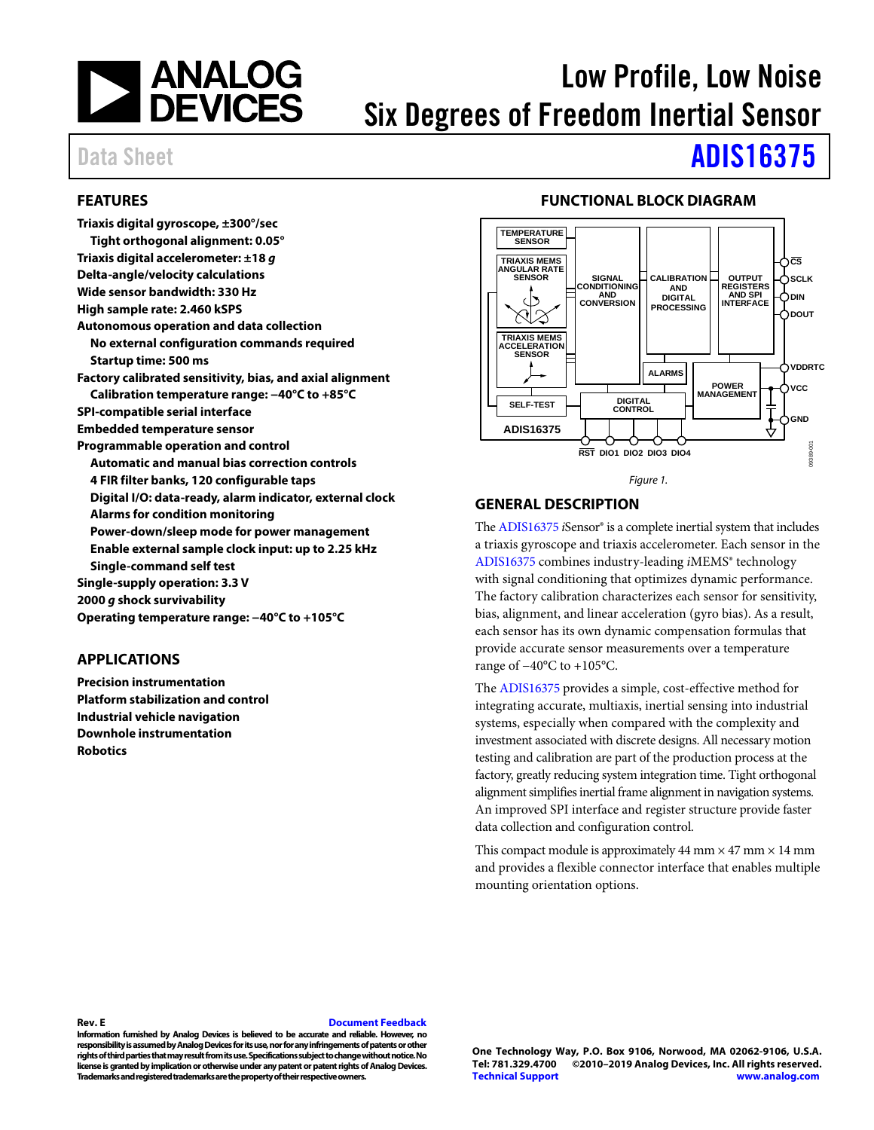

# Low Profile, Low Noise Six Degrees of Freedom Inertial Sensor

# Data Sheet **[ADIS16375](https://www.analog.com/ADIS16375?doc=ADIS16375.pdf)**

# <span id="page-0-0"></span>**FEATURES**

**Triaxis digital gyroscope, ±300°/sec Tight orthogonal alignment: 0.05° Triaxis digital accelerometer: ±18** *g*  **Delta-angle/velocity calculations Wide sensor bandwidth: 330 Hz High sample rate: 2.460 kSPS Autonomous operation and data collection No external configuration commands required Startup time: 500 ms Factory calibrated sensitivity, bias, and axial alignment Calibration temperature range: −40°C to +85°C SPI-compatible serial interface Embedded temperature sensor Programmable operation and control Automatic and manual bias correction controls 4 FIR filter banks, 120 configurable taps Digital I/O: data-ready, alarm indicator, external clock Alarms for condition monitoring Power-down/sleep mode for power management Enable external sample clock input: up to 2.25 kHz Single-command self test Single-supply operation: 3.3 V 2000** *g* **shock survivability Operating temperature range: −40°C to +105°C**

# <span id="page-0-1"></span>**APPLICATIONS**

**Precision instrumentation Platform stabilization and control Industrial vehicle navigation Downhole instrumentation Robotics** 

# **FUNCTIONAL BLOCK DIAGRAM**

<span id="page-0-2"></span>

#### *Figure 1.*

### <span id="page-0-3"></span>**GENERAL DESCRIPTION**

Th[e ADIS16375](https://www.analog.com/ADIS16375) *i*Sensor® is a complete inertial system that includes a triaxis gyroscope and triaxis accelerometer. Each sensor in the [ADIS16375](https://www.analog.com/ADIS16375) combines industry-leading *i*MEMS® technology with signal conditioning that optimizes dynamic performance. The factory calibration characterizes each sensor for sensitivity, bias, alignment, and linear acceleration (gyro bias). As a result, each sensor has its own dynamic compensation formulas that provide accurate sensor measurements over a temperature range of −40°C to +105°C.

The [ADIS16375](https://www.analog.com/ADIS16375) provides a simple, cost-effective method for integrating accurate, multiaxis, inertial sensing into industrial systems, especially when compared with the complexity and investment associated with discrete designs. All necessary motion testing and calibration are part of the production process at the factory, greatly reducing system integration time. Tight orthogonal alignment simplifies inertial frame alignment in navigation systems. An improved SPI interface and register structure provide faster data collection and configuration control.

This compact module is approximately 44 mm  $\times$  47 mm  $\times$  14 mm and provides a flexible connector interface that enables multiple mounting orientation options.

#### **Rev. E [Document Feedback](https://form.analog.com/Form_Pages/feedback/documentfeedback.aspx?doc=ADIS16375.pdf&product=ADIS16375&rev=E)**

**Information furnished by Analog Devices is believed to be accurate and reliable. However, no responsibility is assumed by Analog Devices for its use, nor for any infringements of patents or other rights of thirdparties that may result from its use. Specifications subject to change without notice. No license is granted by implication or otherwise under any patent or patent rights of Analog Devices. Trademarks and registered trademarks are the property of their respective owners.**

**One Technology Way, P.O. Box 9106, Norwood, MA 02062-9106, U.S.A. Tel: 781.329.4700 ©2010–2019 Analog Devices, Inc. All rights reserved. [Technical Support](https://www.analog.com/en/content/technical_support_page/fca.html) [www.analog.com](https://www.analog.com/)**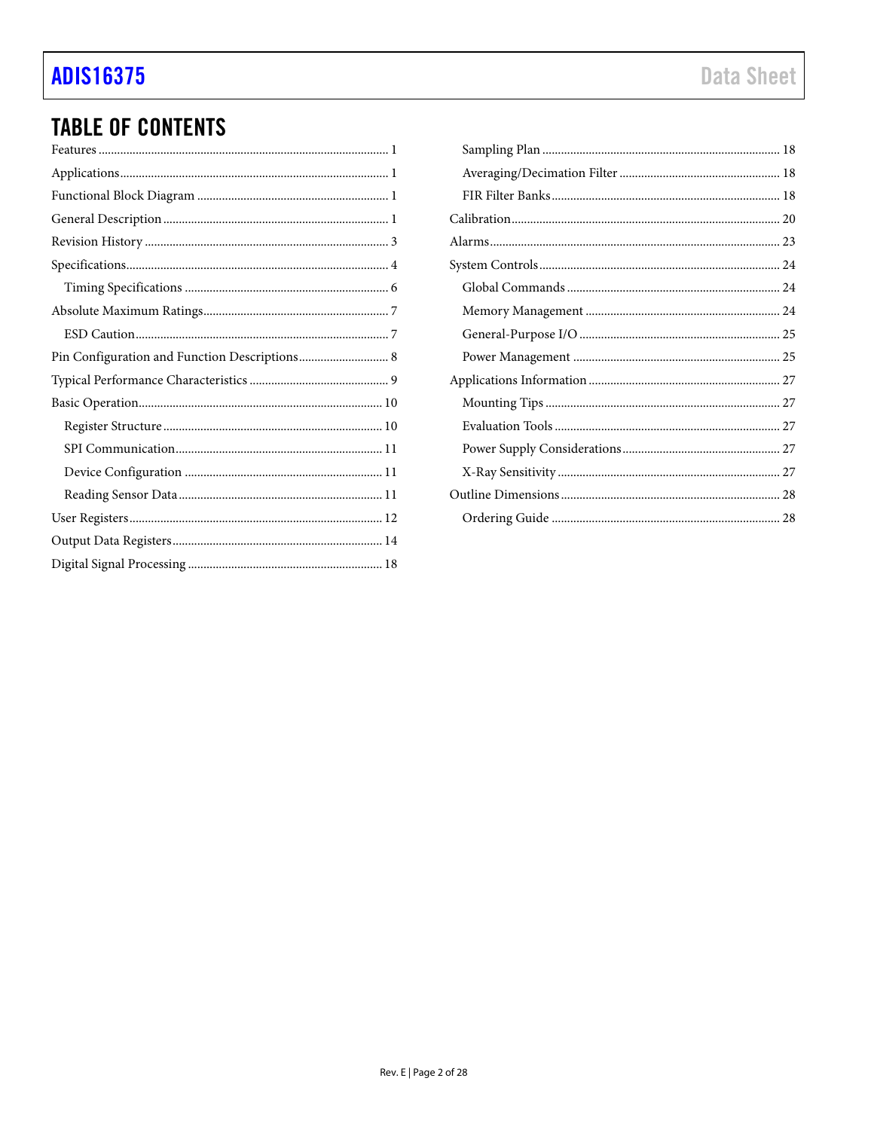# **ADIS16375**

# **TABLE OF CONTENTS**

| Pin Configuration and Function Descriptions 8 |
|-----------------------------------------------|
|                                               |
|                                               |
|                                               |
|                                               |
|                                               |
|                                               |
|                                               |
|                                               |
|                                               |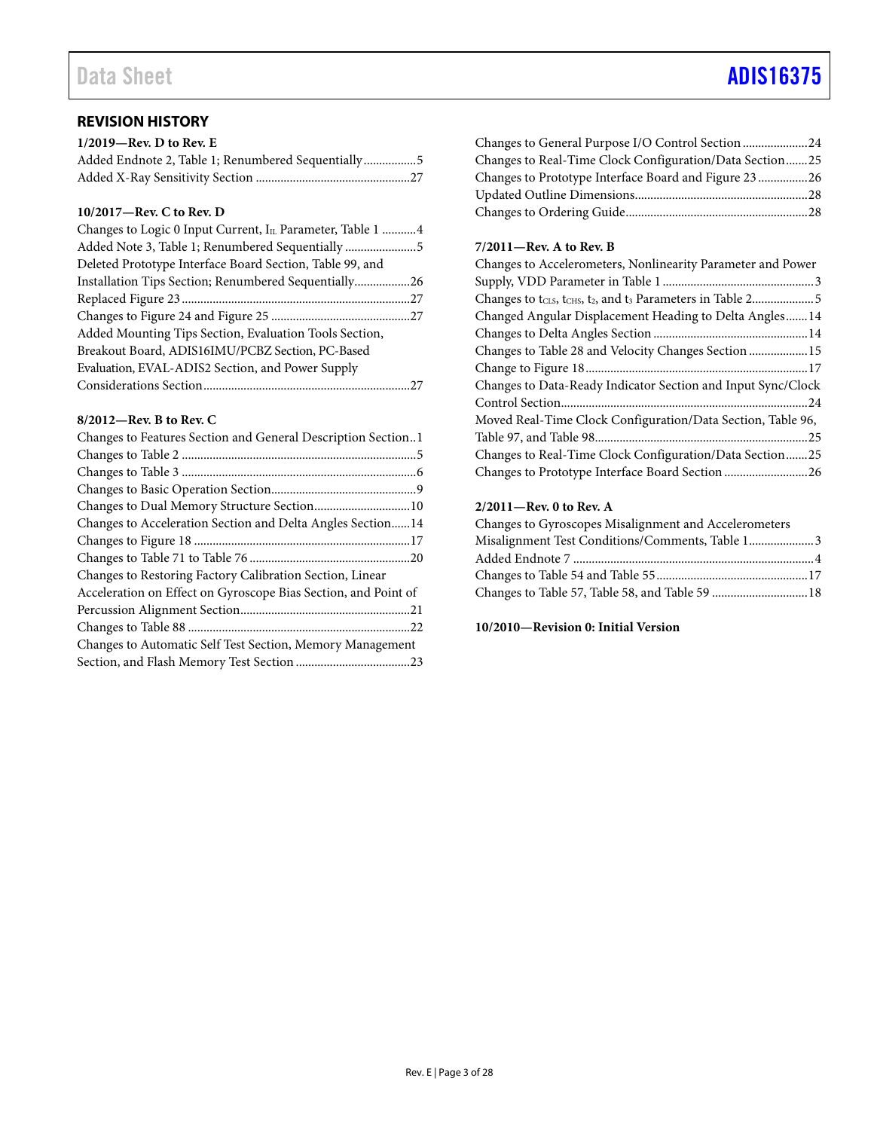# Data Sheet **[ADIS16375](https://www.analog.com/ADIS16375?doc=ADIS16375.pdf)**

# <span id="page-2-0"></span>**REVISION HISTORY**

| $1/2019$ —Rev. D to Rev. E |  |
|----------------------------|--|
|                            |  |
|                            |  |

# **10/2017—Rev. C to Rev. D**

| Changes to Logic 0 Input Current, IL Parameter, Table 1  4 |  |
|------------------------------------------------------------|--|
| Added Note 3, Table 1; Renumbered Sequentially 5           |  |
| Deleted Prototype Interface Board Section, Table 99, and   |  |
| Installation Tips Section; Renumbered Sequentially26       |  |
|                                                            |  |
|                                                            |  |
| Added Mounting Tips Section, Evaluation Tools Section,     |  |
| Breakout Board, ADIS16IMU/PCBZ Section, PC-Based           |  |
| Evaluation, EVAL-ADIS2 Section, and Power Supply           |  |
|                                                            |  |

# **8/2012—Rev. B to Rev. C**

| Changes to Features Section and General Description Section1   |
|----------------------------------------------------------------|
|                                                                |
|                                                                |
|                                                                |
|                                                                |
| Changes to Acceleration Section and Delta Angles Section14     |
|                                                                |
|                                                                |
| Changes to Restoring Factory Calibration Section, Linear       |
| Acceleration on Effect on Gyroscope Bias Section, and Point of |
|                                                                |
|                                                                |
| Changes to Automatic Self Test Section, Memory Management      |
|                                                                |
|                                                                |

# Changes to General Purpose I/O Control Section ..................... 24 Changes to Real-Time Clock Configuration/Data Section ....... 25 Changes to Prototype Interface Board and Figure 23 ................ 26 Updated Outline Dimensions ........................................................ 28 Changes to Ordering Guide ........................................................... 28

# **7/2011—Rev. A to Rev. B**

| Changes to Accelerometers, Nonlinearity Parameter and Power  |
|--------------------------------------------------------------|
|                                                              |
|                                                              |
| Changed Angular Displacement Heading to Delta Angles 14      |
|                                                              |
| Changes to Table 28 and Velocity Changes Section  15         |
|                                                              |
| Changes to Data-Ready Indicator Section and Input Sync/Clock |
|                                                              |
| Moved Real-Time Clock Configuration/Data Section, Table 96,  |
|                                                              |
| Changes to Real-Time Clock Configuration/Data Section25      |
| Changes to Prototype Interface Board Section 26              |

## **2/2011—Rev. 0 to Rev. A**

| Changes to Gyroscopes Misalignment and Accelerometers |  |
|-------------------------------------------------------|--|
| Misalignment Test Conditions/Comments, Table 1 3      |  |
|                                                       |  |
|                                                       |  |
| Changes to Table 57, Table 58, and Table 59  18       |  |

### **10/2010—Revision 0: Initial Version**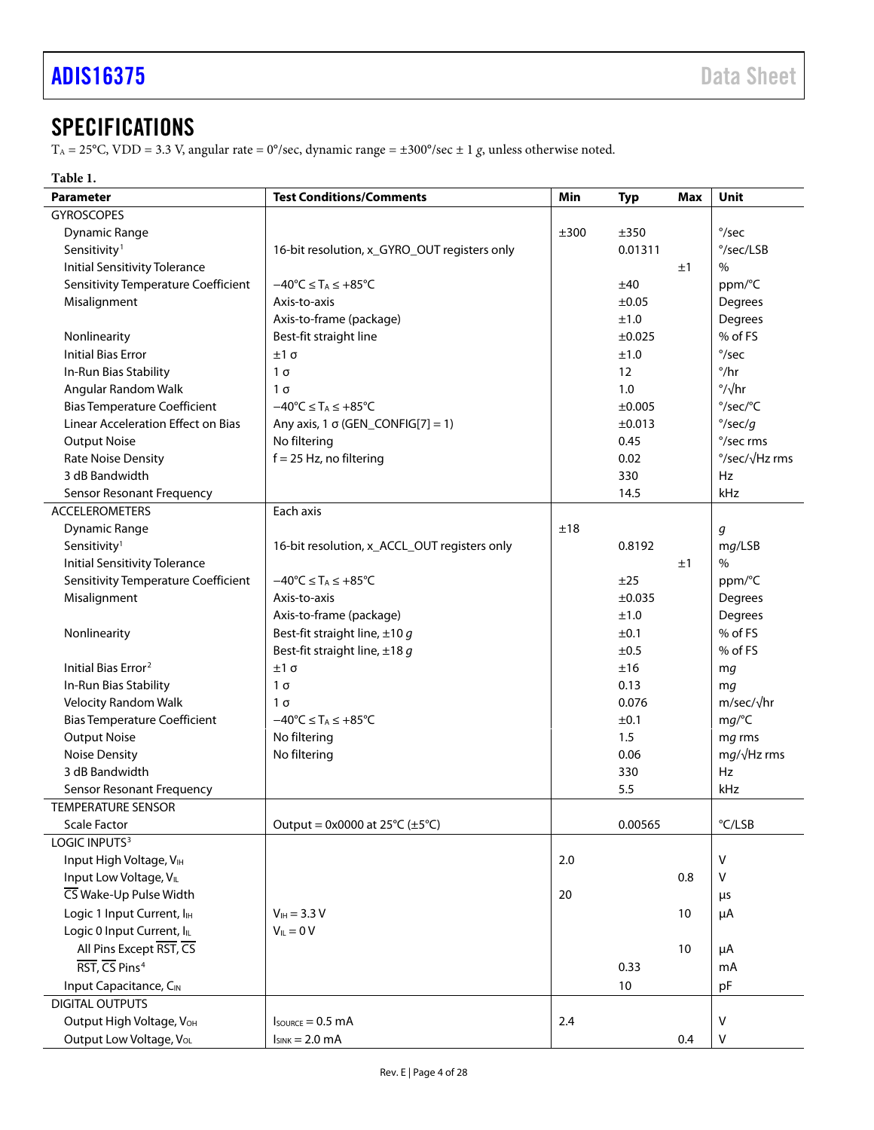# <span id="page-3-0"></span>**SPECIFICATIONS**

TA = 25°C, VDD = 3.3 V, angular rate = 0°/sec, dynamic range = ±300°/sec ± 1 *g*, unless otherwise noted.

# **Table 1.**

| <b>Parameter</b>                          | <b>Test Conditions/Comments</b>                               | Min  | <b>Typ</b>        | <b>Max</b> | <b>Unit</b>               |
|-------------------------------------------|---------------------------------------------------------------|------|-------------------|------------|---------------------------|
| <b>GYROSCOPES</b>                         |                                                               |      |                   |            |                           |
| <b>Dynamic Range</b>                      |                                                               | ±300 | ±350              |            | $\degree$ /sec            |
| Sensitivity <sup>1</sup>                  | 16-bit resolution, x_GYRO_OUT registers only                  |      | 0.01311           |            | °/sec/LSB                 |
| <b>Initial Sensitivity Tolerance</b>      |                                                               |      |                   | ±1         | %                         |
| Sensitivity Temperature Coefficient       | $-40^{\circ}$ C $\leq$ T <sub>A</sub> $\leq$ +85 $^{\circ}$ C |      | ±40               |            | ppm/°C                    |
| Misalignment                              | Axis-to-axis                                                  |      | ±0.05             |            | Degrees                   |
|                                           | Axis-to-frame (package)                                       |      | ±1.0              |            | Degrees                   |
| Nonlinearity                              | Best-fit straight line                                        |      | $\pm 0.025$       |            | % of FS                   |
| <b>Initial Bias Error</b>                 | $±1\sigma$                                                    |      | ±1.0              |            | $\degree$ /sec            |
| In-Run Bias Stability                     | $1\sigma$                                                     |      | $12 \overline{ }$ |            | $^{\circ}/\text{hr}$      |
| Angular Random Walk                       | $1\sigma$                                                     |      | 1.0               |            | $\frac{\circ}{\sqrt{hr}}$ |
| <b>Bias Temperature Coefficient</b>       | $-40^{\circ}C \leq T_A \leq +85^{\circ}C$                     |      | ±0.005            |            | °/sec/°C                  |
| <b>Linear Acceleration Effect on Bias</b> | Any axis, 1 $\sigma$ (GEN_CONFIG[7] = 1)                      |      | $\pm 0.013$       |            | $\degree$ /sec/g          |
| <b>Output Noise</b>                       | No filtering                                                  |      | 0.45              |            | °/sec rms                 |
| Rate Noise Density                        | $f = 25$ Hz, no filtering                                     |      | 0.02              |            | °/sec/√Hz rms             |
| 3 dB Bandwidth                            |                                                               |      | 330               |            | Hz                        |
| Sensor Resonant Frequency                 |                                                               |      | 14.5              |            | kHz                       |
| <b>ACCELEROMETERS</b>                     | Each axis                                                     |      |                   |            |                           |
| <b>Dynamic Range</b>                      |                                                               | ±18  |                   |            | g                         |
| Sensitivity <sup>1</sup>                  | 16-bit resolution, x_ACCL_OUT registers only                  |      | 0.8192            |            | mg/LSB                    |
| <b>Initial Sensitivity Tolerance</b>      |                                                               |      |                   | ±1         | $\%$                      |
| Sensitivity Temperature Coefficient       | $-40^{\circ}$ C $\leq$ T <sub>A</sub> $\leq$ +85 $^{\circ}$ C |      | ±25               |            | ppm/°C                    |
| Misalignment                              | Axis-to-axis                                                  |      | ±0.035            |            | Degrees                   |
|                                           | Axis-to-frame (package)                                       |      | ±1.0              |            | Degrees                   |
| Nonlinearity                              | Best-fit straight line, $\pm 10$ g                            |      | ±0.1              |            | % of FS                   |
|                                           | Best-fit straight line, $\pm 18$ g                            |      | ±0.5              |            | % of FS                   |
| Initial Bias Error <sup>2</sup>           | $±1\sigma$                                                    |      | ±16               |            | mg                        |
| In-Run Bias Stability                     | $1\sigma$                                                     |      | 0.13              |            | mq                        |
| <b>Velocity Random Walk</b>               | 1σ                                                            |      | 0.076             |            | $m/sec/\sqrt{hr}$         |
| <b>Bias Temperature Coefficient</b>       | $-40^{\circ}C \leq T_A \leq +85^{\circ}C$                     |      | ±0.1              |            | mg/C                      |
| <b>Output Noise</b>                       | No filtering                                                  |      | 1.5               |            | mg rms                    |
| <b>Noise Density</b>                      | No filtering                                                  |      | 0.06              |            | $mg/\sqrt{Hz}$ rms        |
| 3 dB Bandwidth                            |                                                               |      | 330               |            | Hz                        |
| Sensor Resonant Frequency                 |                                                               |      | 5.5               |            | kHz                       |
| <b>TEMPERATURE SENSOR</b>                 |                                                               |      |                   |            |                           |
| Scale Factor                              | Output = $0x0000$ at $25^{\circ}$ C ( $\pm 5^{\circ}$ C)      |      | 0.00565           |            | °C/LSB                    |
| LOGIC INPUTS <sup>3</sup>                 |                                                               |      |                   |            |                           |
| Input High Voltage, VIH                   |                                                               | 2.0  |                   |            | $\vee$                    |
| Input Low Voltage, VIL                    |                                                               |      |                   | 0.8        | v                         |
| CS Wake-Up Pulse Width                    |                                                               | 20   |                   |            | μs                        |
| Logic 1 Input Current, I <sub>H</sub>     | $V_{IH} = 3.3 V$                                              |      |                   | 10         | μA                        |
| Logic 0 Input Current, IL                 | $V_{IL} = 0 V$                                                |      |                   |            |                           |
| All Pins Except RST, CS                   |                                                               |      |                   | 10         | μA                        |
| RST, CS Pins <sup>4</sup>                 |                                                               |      | 0.33              |            | mA                        |
| Input Capacitance, CIN                    |                                                               |      | 10                |            | pF                        |
| <b>DIGITAL OUTPUTS</b>                    |                                                               |      |                   |            |                           |
| Output High Voltage, VOH                  | $I_{\text{SOWRCE}} = 0.5 \text{ mA}$                          | 2.4  |                   |            | V                         |
| Output Low Voltage, VoL                   | $I_{SINK} = 2.0 \text{ mA}$                                   |      |                   | 0.4        | v                         |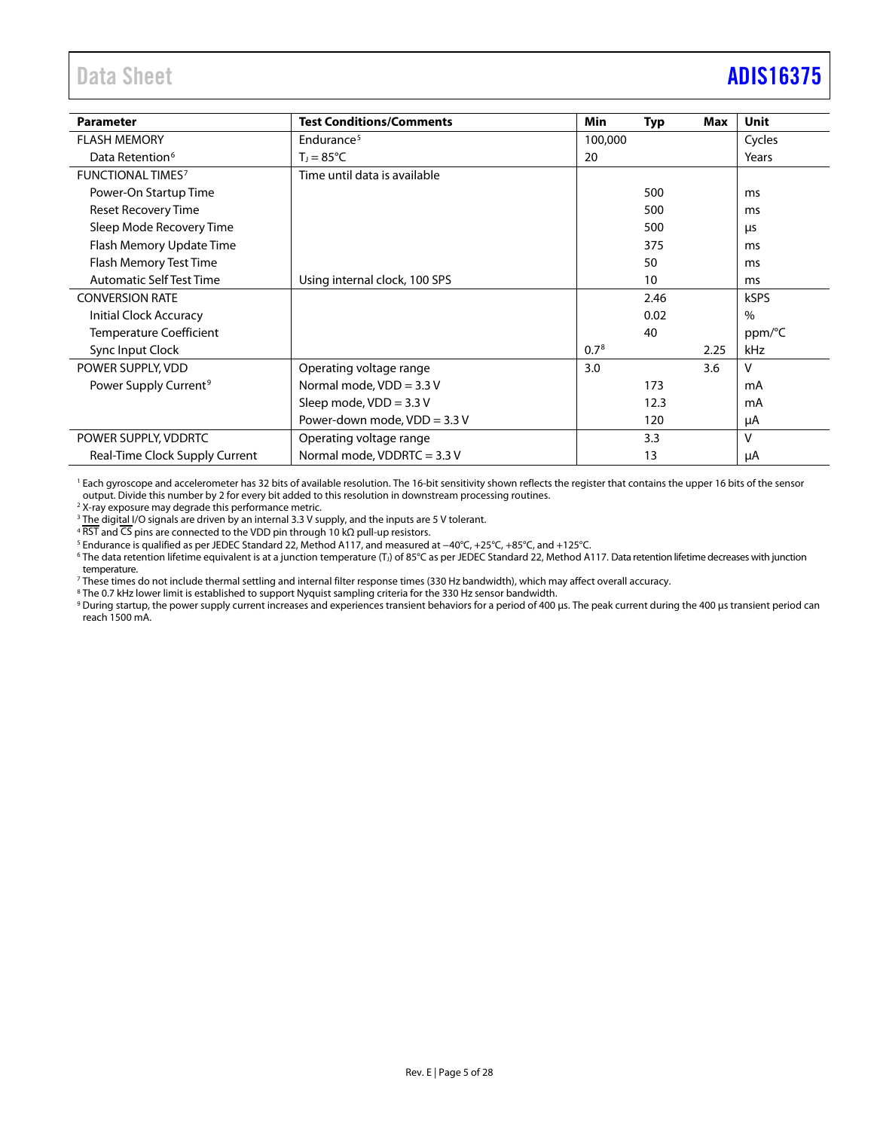# <span id="page-4-0"></span>Data Sheet **[ADIS16375](https://www.analog.com/ADIS16375?doc=ADIS16375.pdf)**

| <b>Parameter</b>                  | <b>Test Conditions/Comments</b> | <b>Min</b>       | <b>Typ</b> | Max  | <b>Unit</b> |
|-----------------------------------|---------------------------------|------------------|------------|------|-------------|
| <b>FLASH MEMORY</b>               | Endurance <sup>5</sup>          | 100,000          |            |      | Cycles      |
| Data Retention <sup>6</sup>       | $T_1 = 85^{\circ}C$             | 20               |            |      | Years       |
| <b>FUNCTIONAL TIMES?</b>          | Time until data is available    |                  |            |      |             |
| Power-On Startup Time             |                                 |                  | 500        |      | ms          |
| <b>Reset Recovery Time</b>        |                                 |                  | 500        |      | ms          |
| Sleep Mode Recovery Time          |                                 |                  | 500        |      | μs          |
| Flash Memory Update Time          |                                 |                  | 375        |      | ms          |
| Flash Memory Test Time            |                                 |                  | 50         |      | ms          |
| <b>Automatic Self Test Time</b>   | Using internal clock, 100 SPS   |                  | 10         |      | ms          |
| <b>CONVERSION RATE</b>            |                                 |                  | 2.46       |      | <b>kSPS</b> |
| Initial Clock Accuracy            |                                 |                  | 0.02       |      | $\%$        |
| <b>Temperature Coefficient</b>    |                                 |                  | 40         |      | ppm/°C      |
| Sync Input Clock                  |                                 | 0.7 <sup>8</sup> |            | 2.25 | kHz         |
| POWER SUPPLY, VDD                 | Operating voltage range         | 3.0              |            | 3.6  | v           |
| Power Supply Current <sup>9</sup> | Normal mode, $VDD = 3.3 V$      |                  | 173        |      | mA          |
|                                   | Sleep mode, $VDD = 3.3 V$       |                  | 12.3       |      | mA          |
|                                   | Power-down mode, $VDD = 3.3 V$  |                  | 120        |      | μA          |
| POWER SUPPLY, VDDRTC              | Operating voltage range         |                  | 3.3        |      | v           |
| Real-Time Clock Supply Current    | Normal mode, VDDRTC = 3.3 V     |                  | 13         |      | μA          |

<sup>1</sup> Each gyroscope and accelerometer has 32 bits of available resolution. The 16-bit sensitivity shown reflects the register that contains the upper 16 bits of the sensor output. Divide this number by 2 for every bit added to this resolution in downstream processing routines. 2

X-ray exposure may degrade this performance metric.

<sup>3</sup> The digital I/O signals are driven by an internal 3.3 V supply, and the inputs are 5 V tolerant.

4 RST and CS pins are connected to the VDD pin through 10 kΩ pull-up resistors.<br><sup>5</sup> Endurance is qualified as per JEDEC Standard 22, Method A117, and measured at –40°C, +25°C, +85°C, and +125°C.

<sup>6</sup> The data retention lifetime equivalent is at a junction temperature (T<sub>J</sub>) of 85°C as per JEDEC Standard 22, Method A117. Data retention lifetime decreases with junction temperature.

These times do not include thermal settling and internal filter response times (330 Hz bandwidth), which may affect overall accuracy.<br><sup>8</sup> The 0.7 kHz lower limit is established to support Nyquist sampling criteria for the

<sup>9</sup> During startup, the power supply current increases and experiences transient behaviors for a period of 400 μs. The peak current during the 400 μs transient period can reach 1500 mA.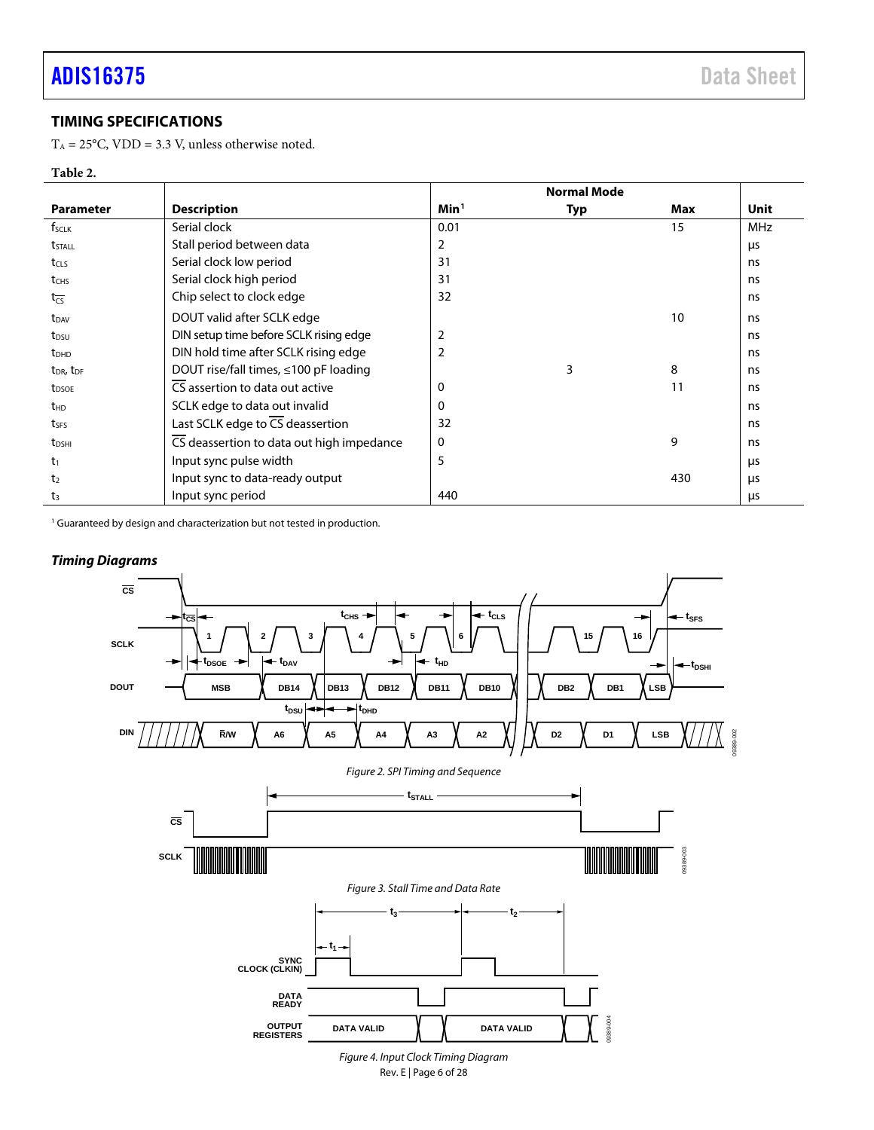09389-002

389-002

# <span id="page-5-0"></span>**TIMING SPECIFICATIONS**

 $T_A = 25^{\circ}$ C, VDD = 3.3 V, unless otherwise noted.

## **Table 2.**

|                                   |                                             | <b>Normal Mode</b> |     |     |      |
|-----------------------------------|---------------------------------------------|--------------------|-----|-----|------|
| <b>Parameter</b>                  | <b>Description</b>                          | Min <sup>1</sup>   | Typ | Max | Unit |
| f <sub>sclk</sub>                 | Serial clock                                | 0.01               |     | 15  | MHz  |
| tstall                            | Stall period between data                   | 2                  |     |     | μs   |
| t <sub>CLS</sub>                  | Serial clock low period                     | 31                 |     |     | ns.  |
| t <sub>CHS</sub>                  | Serial clock high period                    | 31                 |     |     | ns   |
| $t_{\overline{CS}}$               | Chip select to clock edge                   | 32                 |     |     | ns   |
| $t_{DAV}$                         | DOUT valid after SCLK edge                  |                    |     | 10  | ns   |
| t <sub>DSU</sub>                  | DIN setup time before SCLK rising edge      | $\overline{2}$     |     |     | ns   |
| <b>t</b> <sub>DHD</sub>           | DIN hold time after SCLK rising edge        | $\overline{2}$     |     |     | ns   |
| t <sub>DR</sub> , t <sub>DF</sub> | DOUT rise/fall times, $\leq 100$ pF loading |                    | 3   | 8   | ns   |
| t <sub>DSOE</sub>                 | CS assertion to data out active             | 0                  |     | 11  | ns   |
| t <sub>HD</sub>                   | SCLK edge to data out invalid               | 0                  |     |     | ns   |
| tses                              | Last SCLK edge to CS deassertion            | 32                 |     |     | ns   |
| t <sub>DSHI</sub>                 | CS deassertion to data out high impedance   | 0                  |     | 9   | ns   |
| $t_1$                             | Input sync pulse width                      | 5                  |     |     | μs   |
| t <sub>2</sub>                    | Input sync to data-ready output             |                    |     | 430 | μs   |
| $t_3$                             | Input sync period                           | 440                |     |     | μs   |

<sup>1</sup> Guaranteed by design and characterization but not tested in production.



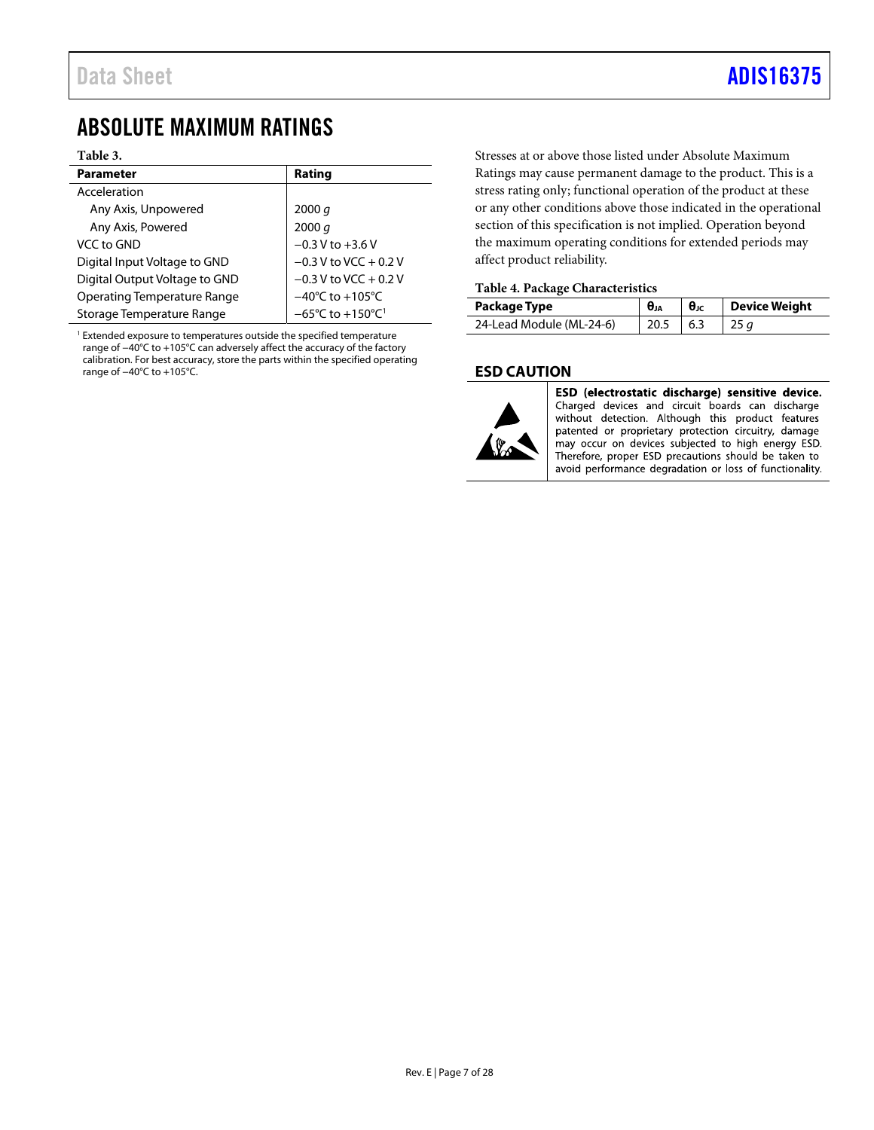# <span id="page-6-0"></span>ABSOLUTE MAXIMUM RATINGS

#### **Table 3.**

| <b>Parameter</b>              | Rating                                           |
|-------------------------------|--------------------------------------------------|
| Acceleration                  |                                                  |
| Any Axis, Unpowered           | 2000 $q$                                         |
| Any Axis, Powered             | 2000 q                                           |
| VCC to GND                    | $-0.3 V$ to $+3.6 V$                             |
| Digital Input Voltage to GND  | $-0.3$ V to VCC + 0.2 V                          |
| Digital Output Voltage to GND | $-0.3$ V to VCC + 0.2 V                          |
| Operating Temperature Range   | $-40^{\circ}$ C to $+105^{\circ}$ C              |
| Storage Temperature Range     | $-65^{\circ}$ C to $+150^{\circ}$ C <sup>1</sup> |

<sup>1</sup> Extended exposure to temperatures outside the specified temperature range of −40°C to +105°C can adversely affect the accuracy of the factory calibration. For best accuracy, store the parts within the specified operating range of −40°C to +105°C.

Stresses at or above those listed under Absolute Maximum Ratings may cause permanent damage to the product. This is a stress rating only; functional operation of the product at these or any other conditions above those indicated in the operational section of this specification is not implied. Operation beyond the maximum operating conditions for extended periods may affect product reliability.

#### **Table 4. Package Characteristics**

| Package Type             | $\theta_{JA}$ | $\theta_{\rm IC}$ | Device Weight |
|--------------------------|---------------|-------------------|---------------|
| 24-Lead Module (ML-24-6) | 20.5          | 6.3               |               |

## <span id="page-6-1"></span>**ESD CAUTION**



ESD (electrostatic discharge) sensitive device. Charged devices and circuit boards can discharge without detection. Although this product features patented or proprietary protection circuitry, damage may occur on devices subjected to high energy ESD. Therefore, proper ESD precautions should be taken to avoid performance degradation or loss of functionality.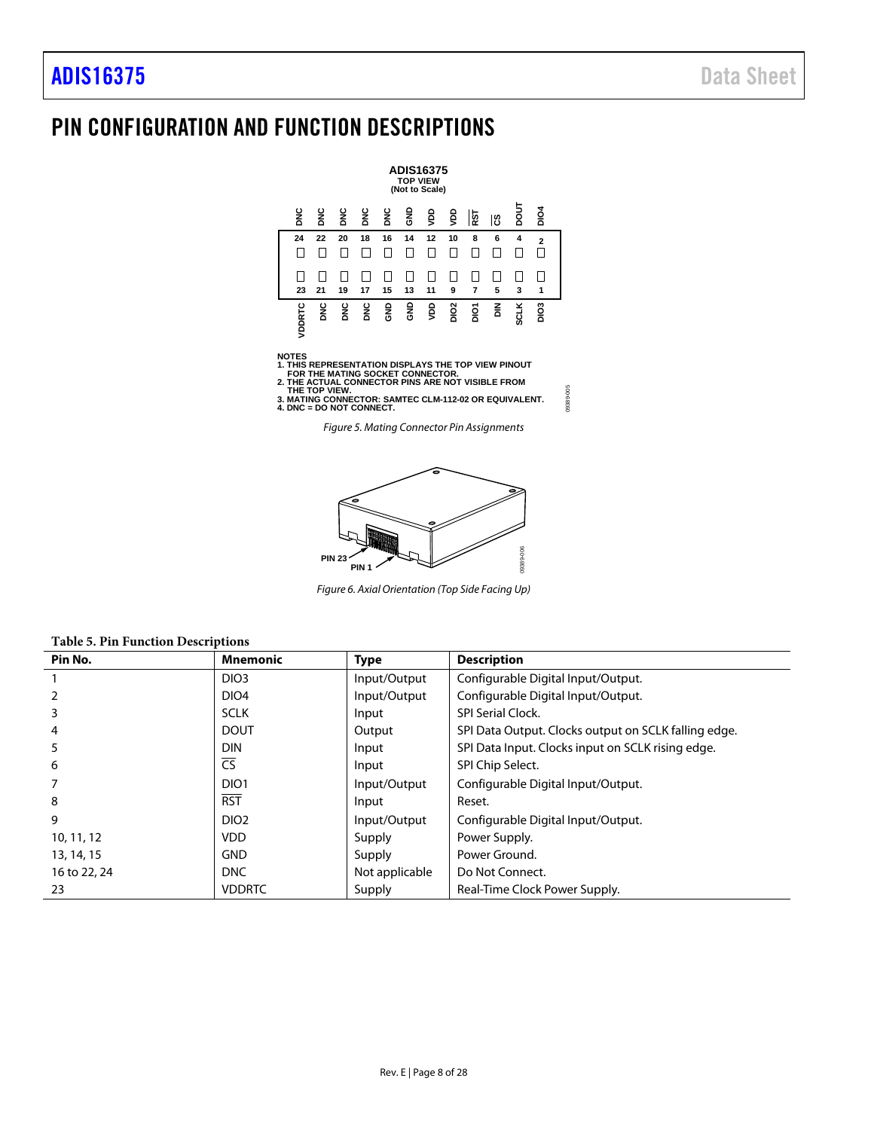# <span id="page-7-0"></span>PIN CONFIGURATION AND FUNCTION DESCRIPTIONS

|        |     |           |    |    | <b>TOP VIEW</b> | <b>ADIS16375</b><br>(Not to Scale) |                  |     |     |             |                  |  |
|--------|-----|-----------|----|----|-----------------|------------------------------------|------------------|-----|-----|-------------|------------------|--|
| ЗR     | DNC | DNC       | ŠС | ŠС | 흥               | ĝ                                  | ĝ                | RST | ပြီ | <b>Tiod</b> | DIO <sub>4</sub> |  |
| 24     | 22  | 20        | 18 | 16 | 14              | 12                                 | 10               | 8   | 6   | 4           | $\overline{2}$   |  |
| 23     | 21  | 19        | 17 | 15 | 13              | 11                                 | 9                | 7   | 5   | 3           | 1                |  |
| VDDRTC | ă   | <b>SR</b> | ă  | 9g | 응               | gav                                | DIO <sub>2</sub> | ă   | 좀   | <b>SCLK</b> | DIO <sub>3</sub> |  |

NOTES<br>1. THIS REPRESENTATION DISPLAYS THE TOP VIEW PINOUT<br>2. THIS REPRATING SOCKET CONNECTOR.<br>2. THE ACTUAL CONNECTOR PINS ARE NOT VISIBLE FROM<br>3. MATING CONNECTOR: SAMTEC CLM-112-02 OR EQUIVALENT.<br>4. DNC = DO NOT CONNECT.

*Figure 5. Mating Connector Pin Assignments* 

09389-005

09389-005



*Figure 6. Axial Orientation (Top Side Facing Up)*

<span id="page-7-2"></span><span id="page-7-1"></span>

|  |  | <b>Table 5. Pin Function Descriptions</b> |
|--|--|-------------------------------------------|
|--|--|-------------------------------------------|

| Pin No.      | <b>Mnemonic</b>          | <b>Type</b>    | <b>Description</b>                                   |
|--------------|--------------------------|----------------|------------------------------------------------------|
|              | DIO <sub>3</sub>         | Input/Output   | Configurable Digital Input/Output.                   |
|              | DIO <sub>4</sub>         | Input/Output   | Configurable Digital Input/Output.                   |
|              | <b>SCLK</b>              | Input          | <b>SPI Serial Clock.</b>                             |
| 4            | <b>DOUT</b>              | Output         | SPI Data Output. Clocks output on SCLK falling edge. |
|              | <b>DIN</b>               | Input          | SPI Data Input. Clocks input on SCLK rising edge.    |
| 6            | $\overline{\mathsf{CS}}$ | Input          | SPI Chip Select.                                     |
|              | DIO <sub>1</sub>         | Input/Output   | Configurable Digital Input/Output.                   |
| 8            | <b>RST</b>               | Input          | Reset.                                               |
| 9            | DIO <sub>2</sub>         | Input/Output   | Configurable Digital Input/Output.                   |
| 10, 11, 12   | <b>VDD</b>               | Supply         | Power Supply.                                        |
| 13, 14, 15   | <b>GND</b>               | Supply         | Power Ground.                                        |
| 16 to 22, 24 | <b>DNC</b>               | Not applicable | Do Not Connect.                                      |
| 23           | <b>VDDRTC</b>            | Supply         | Real-Time Clock Power Supply.                        |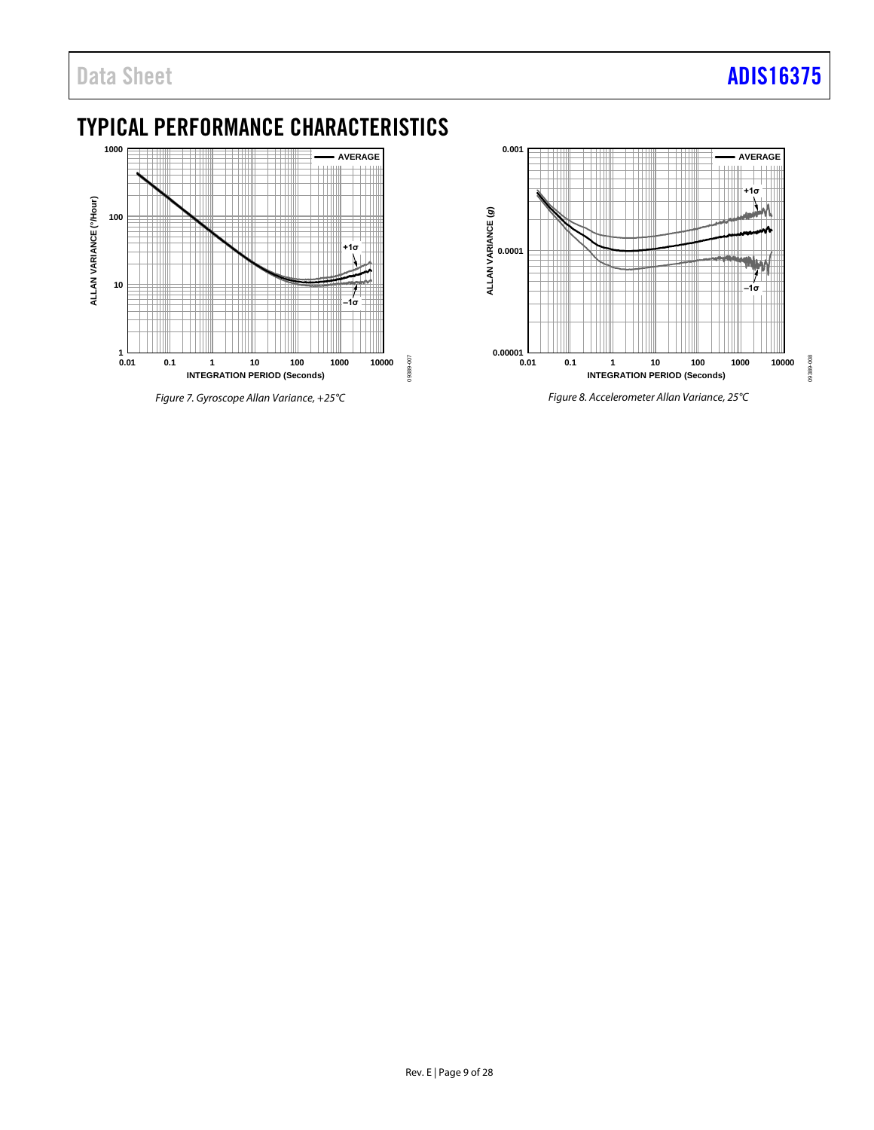# <span id="page-8-0"></span>TYPICAL PERFORMANCE CHARACTERISTICS



*Figure 7. Gyroscope Allan Variance, +25°C*



Rev. E | Page 9 of 28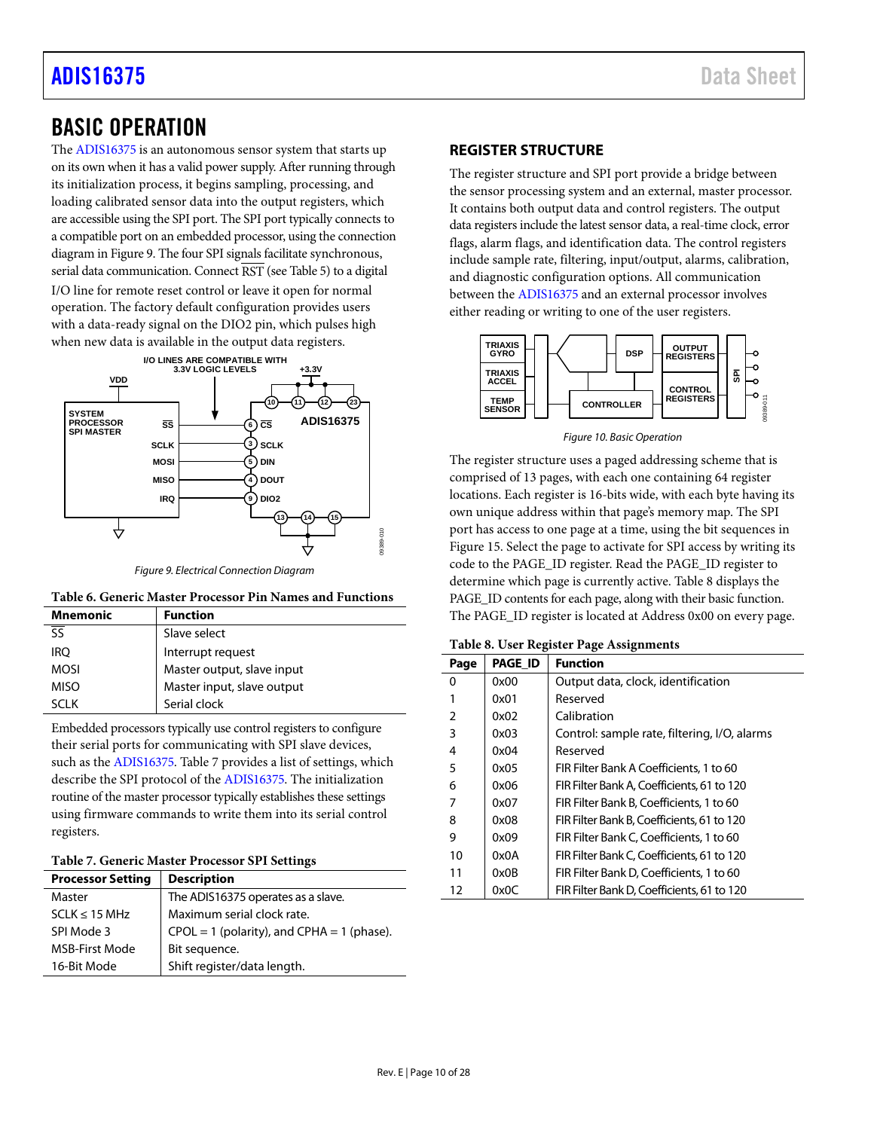# [ADIS16375](https://www.analog.com/ADIS16375?doc=ADIS16375.pdf) Data Sheet

# <span id="page-9-0"></span>BASIC OPERATION

The [ADIS16375](https://www.analog.com/ADIS16375) is an autonomous sensor system that starts up on its own when it has a valid power supply. After running through its initialization process, it begins sampling, processing, and loading calibrated sensor data into the output registers, which are accessible using the SPI port. The SPI port typically connects to a compatible port on an embedded processor, using the connection diagram i[n Figure 9.](#page-9-2) The four SPI signals facilitate synchronous, serial data communication. Connect RST (se[e Table 5\)](#page-7-1) to a digital I/O line for remote reset control or leave it open for normal operation. The factory default configuration provides users with a data-ready signal on the DIO2 pin, which pulses high when new data is available in the output data registers.



*Figure 9. Electrical Connection Diagram*

<span id="page-9-2"></span>

| Mnemonic                            | <b>Function</b>            |
|-------------------------------------|----------------------------|
| $\overline{\overline{\mathsf{ss}}}$ | Slave select               |
| <b>IRO</b>                          | Interrupt request          |
| <b>MOSI</b>                         | Master output, slave input |
| <b>MISO</b>                         | Master input, slave output |
| SCI K                               | Serial clock               |

Embedded processors typically use control registers to configure their serial ports for communicating with SPI slave devices, such as th[e ADIS16375.](https://www.analog.com/ADIS16375) [Table 7](#page-9-3) provides a list of settings, which describe the SPI protocol of the [ADIS16375.](https://www.analog.com/ADIS16375) The initialization routine of the master processor typically establishes these settings using firmware commands to write them into its serial control registers.

### <span id="page-9-3"></span>**Table 7. Generic Master Processor SPI Settings**

| <b>Processor Setting</b> | <b>Description</b>                             |
|--------------------------|------------------------------------------------|
| Master                   | The ADIS16375 operates as a slave.             |
| $SCLK \leq 15 MHz$       | Maximum serial clock rate.                     |
| SPI Mode 3               | $CPOL = 1$ (polarity), and $CPHA = 1$ (phase). |
| <b>MSB-First Mode</b>    | Bit sequence.                                  |
| 16-Bit Mode              | Shift register/data length.                    |

# <span id="page-9-1"></span>**REGISTER STRUCTURE**

The register structure and SPI port provide a bridge between the sensor processing system and an external, master processor. It contains both output data and control registers. The output data registers include the latest sensor data, a real-time clock, error flags, alarm flags, and identification data. The control registers include sample rate, filtering, input/output, alarms, calibration, and diagnostic configuration options. All communication between the [ADIS16375](https://www.analog.com/ADIS16375) and an external processor involves either reading or writing to one of the user registers.



*Figure 10. Basic Operation*

The register structure uses a paged addressing scheme that is comprised of 13 pages, with each one containing 64 register locations. Each register is 16-bits wide, with each byte having its own unique address within that page's memory map. The SPI port has access to one page at a time, using the bit sequences in [Figure 15.](#page-10-3) Select the page to activate for SPI access by writing its code to the PAGE\_ID register. Read the PAGE\_ID register to determine which page is currently active[. Table 8](#page-9-4) displays the PAGE\_ID contents for each page, along with their basic function. The PAGE\_ID register is located at Address 0x00 on every page.

<span id="page-9-4"></span>

|  |  |  | Table 8. User Register Page Assignments |
|--|--|--|-----------------------------------------|
|--|--|--|-----------------------------------------|

| Page | <b>PAGE ID</b> | <b>Function</b>                              |
|------|----------------|----------------------------------------------|
| 0    | 0x00           | Output data, clock, identification           |
|      | 0x01           | Reserved                                     |
| 2    | 0x02           | Calibration                                  |
| 3    | 0x03           | Control: sample rate, filtering, I/O, alarms |
| 4    | 0x04           | Reserved                                     |
| 5    | 0x05           | FIR Filter Bank A Coefficients, 1 to 60      |
| 6    | 0x06           | FIR Filter Bank A, Coefficients, 61 to 120   |
|      | 0x07           | FIR Filter Bank B, Coefficients, 1 to 60     |
| 8    | 0x08           | FIR Filter Bank B, Coefficients, 61 to 120   |
| 9    | 0x09           | FIR Filter Bank C, Coefficients, 1 to 60     |
| 10   | 0x0A           | FIR Filter Bank C, Coefficients, 61 to 120   |
| 11   | 0x0B           | FIR Filter Bank D, Coefficients, 1 to 60     |
| 12   | 0x0C           | FIR Filter Bank D, Coefficients, 61 to 120   |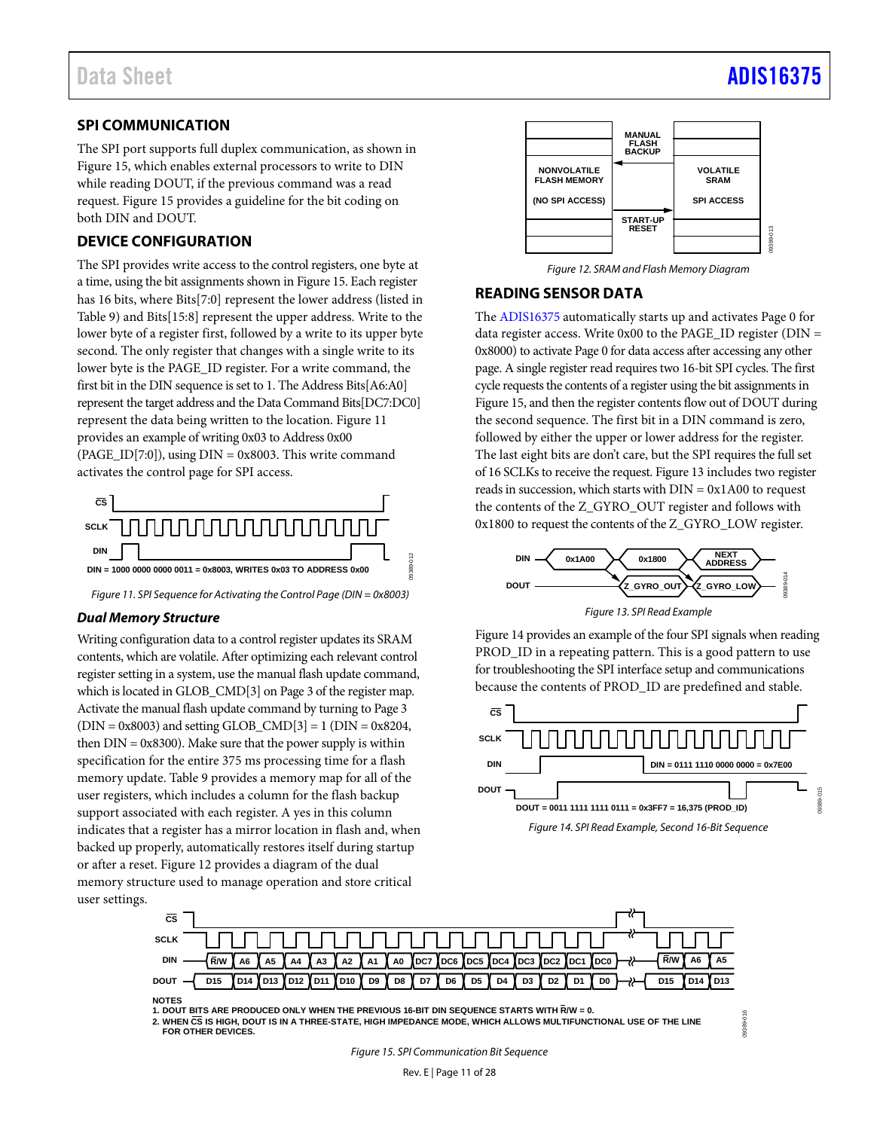### <span id="page-10-0"></span>**SPI COMMUNICATION**

The SPI port supports full duplex communication, as shown in [Figure 15,](#page-10-3) which enables external processors to write to DIN while reading DOUT, if the previous command was a read request. [Figure 15](#page-10-3) provides a guideline for the bit coding on both DIN and DOUT.

# <span id="page-10-1"></span>**DEVICE CONFIGURATION**

The SPI provides write access to the control registers, one byte at a time, using the bit assignments shown i[n Figure 15.](#page-10-3) Each register has 16 bits, where Bits[7:0] represent the lower address (listed in [Table 9\)](#page-11-1) and Bits[15:8] represent the upper address. Write to the lower byte of a register first, followed by a write to its upper byte second. The only register that changes with a single write to its lower byte is the PAGE\_ID register. For a write command, the first bit in the DIN sequence is set to 1. The Address Bits[A6:A0] represent the target address and the Data Command Bits[DC7:DC0] represent the data being written to the location. [Figure 11](#page-10-4) provides an example of writing 0x03 to Address 0x00  $(PAGE_ID[7:0])$ , using  $DIN = 0x8003$ . This write command activates the control page for SPI access.



<span id="page-10-4"></span>*Figure 11. SPI Sequence for Activating the Control Page (DIN = 0x8003)*

#### *Dual Memory Structure*

Writing configuration data to a control register updates its SRAM contents, which are volatile. After optimizing each relevant control register setting in a system, use the manual flash update command, which is located in GLOB\_CMD[3] on Page 3 of the register map. Activate the manual flash update command by turning to Page 3  $(DIN = 0x8003)$  and setting GLOB\_CMD[3] = 1 (DIN = 0x8204, then  $DIN = 0x8300$ . Make sure that the power supply is within specification for the entire 375 ms processing time for a flash memory update. [Table 9](#page-11-1) provides a memory map for all of the user registers, which includes a column for the flash backup support associated with each register. A yes in this column indicates that a register has a mirror location in flash and, when backed up properly, automatically restores itself during startup or after a reset[. Figure 12](#page-10-5) provides a diagram of the dual memory structure used to manage operation and store critical user settings.



*Figure 12. SRAM and Flash Memory Diagram*

### <span id="page-10-5"></span><span id="page-10-2"></span>**READING SENSOR DATA**

The [ADIS16375](https://www.analog.com/ADIS16375) automatically starts up and activates Page 0 for data register access. Write  $0x00$  to the PAGE\_ID register (DIN = 0x8000) to activate Page 0 for data access after accessing any other page. A single register read requires two 16-bit SPI cycles. The first cycle requests the contents of a register using the bit assignments in [Figure 15,](#page-10-3) and then the register contents flow out of DOUT during the second sequence. The first bit in a DIN command is zero, followed by either the upper or lower address for the register. The last eight bits are don't care, but the SPI requires the full set of 16 SCLKs to receive the request[. Figure 13](#page-10-6) includes two register reads in succession, which starts with  $DIN = 0x1A00$  to request the contents of the Z\_GYRO\_OUT register and follows with 0x1800 to request the contents of the Z\_GYRO\_LOW register.



*Figure 13. SPI Read Example*

<span id="page-10-6"></span>[Figure 14](#page-10-7) provides an example of the four SPI signals when reading PROD\_ID in a repeating pattern. This is a good pattern to use for troubleshooting the SPI interface setup and communications because the contents of PROD\_ID are predefined and stable.

<span id="page-10-7"></span>

09389-016



**<sup>1.</sup> DOUT BITS ARE PRODUCED ONLY WHEN THE PREVIOUS 16-BIT DIN SEQUENCE STARTS WITH R/W = 0.**

<span id="page-10-3"></span>**2. WHEN CS IS HIGH, DOUT IS IN A THREE-STATE, HIGH IMPEDANCE MODE, WHICH ALLOWS MULTIFUNCTIONAL USE OF THE LINE FOR OTHER DEVICES.**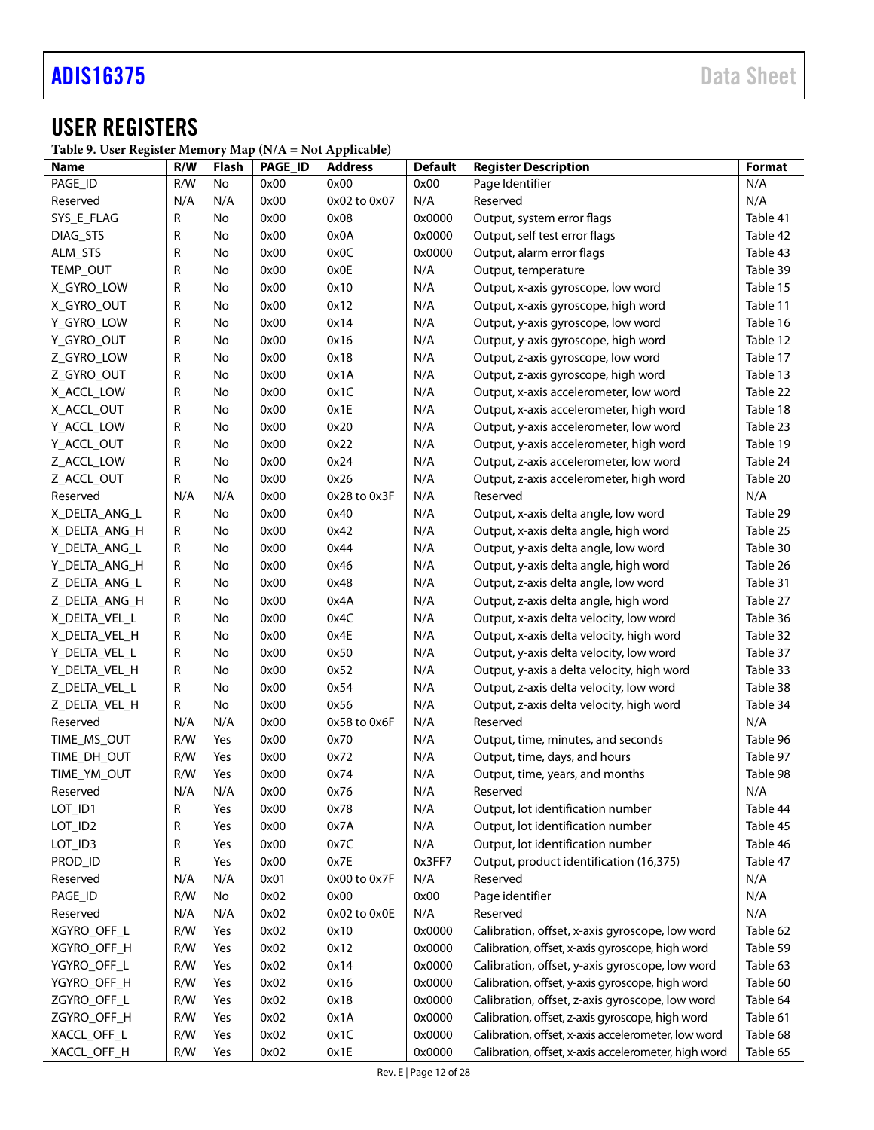# <span id="page-11-0"></span>USER REGISTERS

<span id="page-11-1"></span>**Table 9. User Register Memory Map (N/A = Not Applicable)**

| Name          | R/W | Flash     | PAGE_ID | <b>Address</b> | <b>Default</b> | <b>Register Description</b>                          | Format   |
|---------------|-----|-----------|---------|----------------|----------------|------------------------------------------------------|----------|
| PAGE_ID       | R/W | No        | 0x00    | 0x00           | 0x00           | Page Identifier                                      | N/A      |
| Reserved      | N/A | N/A       | 0x00    | 0x02 to 0x07   | N/A            | Reserved                                             | N/A      |
| SYS_E_FLAG    | R   | No        | 0x00    | 0x08           | 0x0000         | Output, system error flags                           | Table 41 |
| DIAG_STS      | R   | No        | 0x00    | 0x0A           | 0x0000         | Output, self test error flags                        | Table 42 |
| ALM_STS       | R   | No        | 0x00    | 0x0C           | 0x0000         | Output, alarm error flags                            | Table 43 |
| TEMP_OUT      | R   | No        | 0x00    | 0x0E           | N/A            | Output, temperature                                  | Table 39 |
| X_GYRO_LOW    | R   | No        | 0x00    | 0x10           | N/A            | Output, x-axis gyroscope, low word                   | Table 15 |
| X_GYRO_OUT    | R   | No        | 0x00    | 0x12           | N/A            | Output, x-axis gyroscope, high word                  | Table 11 |
| Y_GYRO_LOW    | R   | No        | 0x00    | 0x14           | N/A            | Output, y-axis gyroscope, low word                   | Table 16 |
| Y_GYRO_OUT    | R   | No        | 0x00    | 0x16           | N/A            | Output, y-axis gyroscope, high word                  | Table 12 |
| Z_GYRO_LOW    | R   | No        | 0x00    | 0x18           | N/A            | Output, z-axis gyroscope, low word                   | Table 17 |
| Z_GYRO_OUT    | R   | <b>No</b> | 0x00    | 0x1A           | N/A            | Output, z-axis gyroscope, high word                  | Table 13 |
| X_ACCL_LOW    | R   | <b>No</b> | 0x00    | 0x1C           | N/A            | Output, x-axis accelerometer, low word               | Table 22 |
| X_ACCL_OUT    | R   | <b>No</b> | 0x00    | 0x1E           | N/A            | Output, x-axis accelerometer, high word              | Table 18 |
| Y_ACCL_LOW    | R   | No        | 0x00    | 0x20           | N/A            | Output, y-axis accelerometer, low word               | Table 23 |
| Y_ACCL_OUT    | R   | No        | 0x00    | 0x22           | N/A            | Output, y-axis accelerometer, high word              | Table 19 |
| Z_ACCL_LOW    | R   | No        | 0x00    | 0x24           | N/A            | Output, z-axis accelerometer, low word               | Table 24 |
| Z_ACCL_OUT    | R   | No        | 0x00    | 0x26           | N/A            | Output, z-axis accelerometer, high word              | Table 20 |
| Reserved      | N/A | N/A       | 0x00    | 0x28 to 0x3F   | N/A            | Reserved                                             | N/A      |
| X_DELTA_ANG_L | R   | No        | 0x00    | 0x40           | N/A            | Output, x-axis delta angle, low word                 | Table 29 |
| X_DELTA_ANG_H | R   | No        | 0x00    | 0x42           | N/A            | Output, x-axis delta angle, high word                | Table 25 |
| Y_DELTA_ANG_L | R   | No        | 0x00    | 0x44           | N/A            | Output, y-axis delta angle, low word                 | Table 30 |
| Y DELTA ANG H | R   | No        | 0x00    | 0x46           | N/A            | Output, y-axis delta angle, high word                | Table 26 |
| Z DELTA ANG L | R   | No        | 0x00    | 0x48           | N/A            | Output, z-axis delta angle, low word                 | Table 31 |
| Z_DELTA_ANG_H | R   | No        | 0x00    | 0x4A           | N/A            | Output, z-axis delta angle, high word                | Table 27 |
| X_DELTA_VEL_L | R   | No        | 0x00    | 0x4C           | N/A            | Output, x-axis delta velocity, low word              | Table 36 |
| X_DELTA_VEL_H | R   | No        | 0x00    | 0x4E           | N/A            | Output, x-axis delta velocity, high word             | Table 32 |
| Y_DELTA_VEL_L | R   | No        | 0x00    | 0x50           | N/A            | Output, y-axis delta velocity, low word              | Table 37 |
| Y_DELTA_VEL_H | R   | No        | 0x00    | 0x52           | N/A            | Output, y-axis a delta velocity, high word           | Table 33 |
| Z_DELTA_VEL_L | R   | No        | 0x00    | 0x54           | N/A            | Output, z-axis delta velocity, low word              | Table 38 |
| Z_DELTA_VEL_H | R   | No        | 0x00    | 0x56           | N/A            | Output, z-axis delta velocity, high word             | Table 34 |
| Reserved      | N/A | N/A       | 0x00    | 0x58 to 0x6F   | N/A            | Reserved                                             | N/A      |
| TIME_MS_OUT   | R/W | Yes       | 0x00    | 0x70           | N/A            | Output, time, minutes, and seconds                   | Table 96 |
| TIME_DH_OUT   | R/W | Yes       | 0x00    | 0x72           | N/A            | Output, time, days, and hours                        | Table 97 |
| TIME_YM_OUT   | R/W | Yes       | 0x00    | 0x74           | N/A            | Output, time, years, and months                      | Table 98 |
| Reserved      | N/A | N/A       | 0x00    | 0x76           | N/A            | Reserved                                             | N/A      |
| LOT_ID1       | R   | Yes       | 0x00    | 0x78           | N/A            | Output, lot identification number                    | Table 44 |
| LOT_ID2       | R   | Yes       | 0x00    | 0x7A           | N/A            | Output, lot identification number                    | Table 45 |
| LOT_ID3       | R   | Yes       | 0x00    | 0x7C           | N/A            | Output, lot identification number                    | Table 46 |
| PROD_ID       | R   | Yes       | 0x00    | 0x7E           | 0x3FF7         | Output, product identification (16,375)              | Table 47 |
| Reserved      | N/A | N/A       | 0x01    | 0x00 to 0x7F   | N/A            | Reserved                                             | N/A      |
| PAGE_ID       | R/W | No        | 0x02    | 0x00           | 0x00           | Page identifier                                      | N/A      |
| Reserved      | N/A | N/A       | 0x02    | 0x02 to 0x0E   | N/A            | Reserved                                             | N/A      |
| XGYRO_OFF_L   | R/W | Yes       | 0x02    | 0x10           | 0x0000         | Calibration, offset, x-axis gyroscope, low word      | Table 62 |
| XGYRO_OFF_H   | R/W | Yes       | 0x02    | 0x12           | 0x0000         | Calibration, offset, x-axis gyroscope, high word     | Table 59 |
| YGYRO_OFF_L   | R/W | Yes       | 0x02    | 0x14           | 0x0000         | Calibration, offset, y-axis gyroscope, low word      | Table 63 |
| YGYRO_OFF_H   | R/W | Yes       | 0x02    | 0x16           | 0x0000         | Calibration, offset, y-axis gyroscope, high word     | Table 60 |
| ZGYRO_OFF_L   | R/W | Yes       | 0x02    | 0x18           | 0x0000         | Calibration, offset, z-axis gyroscope, low word      | Table 64 |
| ZGYRO_OFF_H   | R/W | Yes       | 0x02    | 0x1A           | 0x0000         | Calibration, offset, z-axis gyroscope, high word     | Table 61 |
| XACCL_OFF_L   | R/W | Yes       | 0x02    | 0x1C           | 0x0000         | Calibration, offset, x-axis accelerometer, low word  | Table 68 |
| XACCL_OFF_H   | R/W | Yes       | 0x02    | 0x1E           | 0x0000         | Calibration, offset, x-axis accelerometer, high word | Table 65 |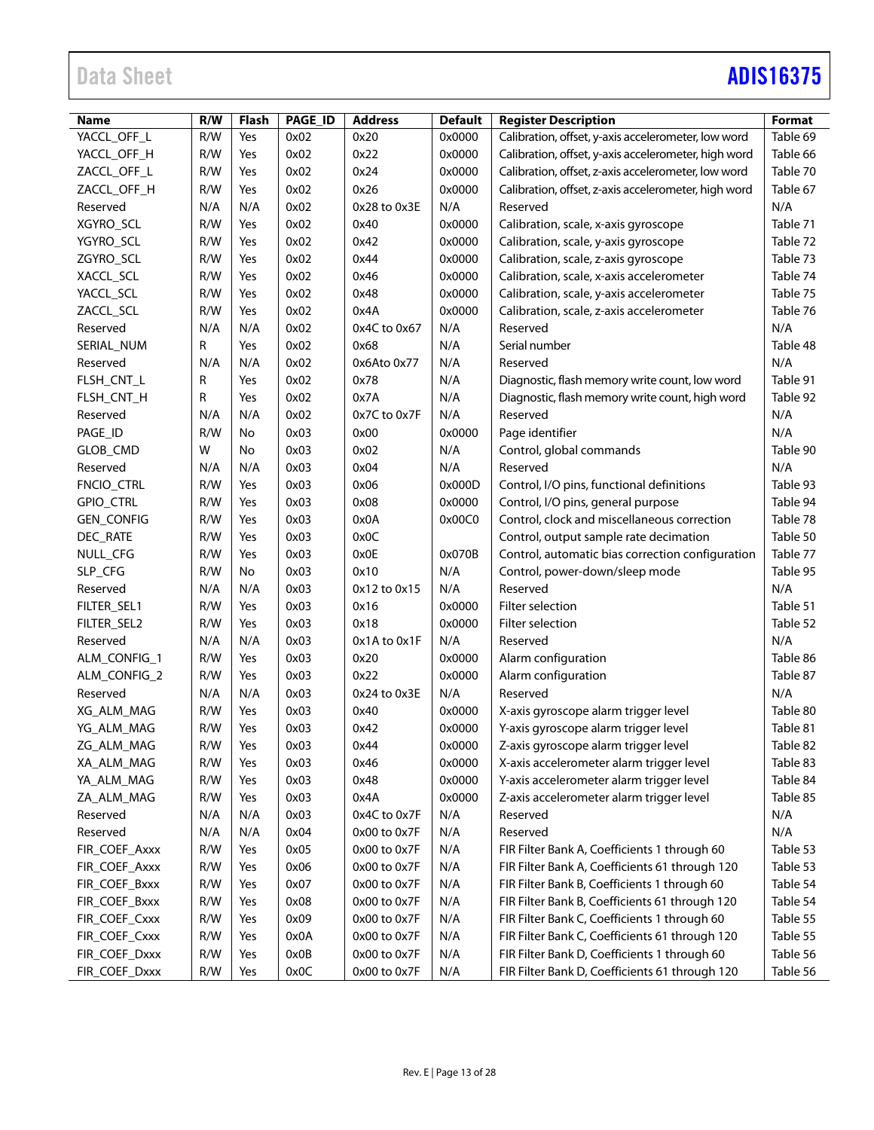# Data Sheet **[ADIS16375](https://www.analog.com/ADIS16375?doc=ADIS16375.pdf)**

| <b>Name</b>       | R/W | <b>Flash</b> | PAGE_ID | <b>Address</b> | <b>Default</b> | <b>Register Description</b>                          | <b>Format</b> |
|-------------------|-----|--------------|---------|----------------|----------------|------------------------------------------------------|---------------|
| YACCL_OFF_L       | R/W | Yes          | 0x02    | 0x20           | 0x0000         | Calibration, offset, y-axis accelerometer, low word  | Table 69      |
| YACCL_OFF_H       | R/W | Yes          | 0x02    | 0x22           | 0x0000         | Calibration, offset, y-axis accelerometer, high word | Table 66      |
| ZACCL_OFF_L       | R/W | Yes          | 0x02    | 0x24           | 0x0000         | Calibration, offset, z-axis accelerometer, low word  | Table 70      |
| ZACCL OFF H       | R/W | Yes          | 0x02    | 0x26           | 0x0000         | Calibration, offset, z-axis accelerometer, high word | Table 67      |
| Reserved          | N/A | N/A          | 0x02    | 0x28 to 0x3E   | N/A            | Reserved                                             | N/A           |
| XGYRO_SCL         | R/W | Yes          | 0x02    | 0x40           | 0x0000         | Calibration, scale, x-axis gyroscope                 | Table 71      |
| YGYRO_SCL         | R/W | Yes          | 0x02    | 0x42           | 0x0000         | Calibration, scale, y-axis gyroscope                 | Table 72      |
| ZGYRO_SCL         | R/W | Yes          | 0x02    | 0x44           | 0x0000         | Calibration, scale, z-axis gyroscope                 | Table 73      |
| XACCL_SCL         | R/W | Yes          | 0x02    | 0x46           | 0x0000         | Calibration, scale, x-axis accelerometer             | Table 74      |
| YACCL_SCL         | R/W | Yes          | 0x02    | 0x48           | 0x0000         | Calibration, scale, y-axis accelerometer             | Table 75      |
| ZACCL_SCL         | R/W | Yes          | 0x02    | 0x4A           | 0x0000         | Calibration, scale, z-axis accelerometer             | Table 76      |
| Reserved          | N/A | N/A          | 0x02    | 0x4C to 0x67   | N/A            | Reserved                                             | N/A           |
| SERIAL_NUM        | R   | Yes          | 0x02    | 0x68           | N/A            | Serial number                                        | Table 48      |
| Reserved          | N/A | N/A          | 0x02    | 0x6Ato 0x77    | N/A            | Reserved                                             | N/A           |
| FLSH_CNT_L        | R   | Yes          | 0x02    | 0x78           | N/A            | Diagnostic, flash memory write count, low word       | Table 91      |
| FLSH_CNT_H        | R   | Yes          | 0x02    | 0x7A           | N/A            | Diagnostic, flash memory write count, high word      | Table 92      |
| Reserved          | N/A | N/A          | 0x02    | 0x7C to 0x7F   | N/A            | Reserved                                             | N/A           |
| PAGE_ID           | R/W | No           | 0x03    | 0x00           | 0x0000         | Page identifier                                      | N/A           |
| GLOB_CMD          | W   | No           | 0x03    | 0x02           | N/A            | Control, global commands                             | Table 90      |
| Reserved          | N/A | N/A          | 0x03    | 0x04           | N/A            | Reserved                                             | N/A           |
| FNCIO_CTRL        | R/W | Yes          | 0x03    | 0x06           | 0x000D         | Control, I/O pins, functional definitions            | Table 93      |
| <b>GPIO_CTRL</b>  | R/W | Yes          | 0x03    | 0x08           | 0x0000         | Control, I/O pins, general purpose                   | Table 94      |
| <b>GEN_CONFIG</b> | R/W | Yes          | 0x03    | 0x0A           | 0x00C0         | Control, clock and miscellaneous correction          | Table 78      |
| DEC_RATE          | R/W | Yes          | 0x03    | 0x0C           |                | Control, output sample rate decimation               | Table 50      |
| NULL_CFG          | R/W | Yes          | 0x03    | 0x0E           | 0x070B         | Control, automatic bias correction configuration     | Table 77      |
| SLP_CFG           | R/W | No           | 0x03    | 0x10           | N/A            | Control, power-down/sleep mode                       | Table 95      |
| Reserved          | N/A | N/A          | 0x03    | 0x12 to 0x15   | N/A            | Reserved                                             | N/A           |
| FILTER_SEL1       | R/W | Yes          | 0x03    | 0x16           | 0x0000         | Filter selection                                     | Table 51      |
| FILTER_SEL2       | R/W | Yes          | 0x03    | 0x18           | 0x0000         | Filter selection                                     | Table 52      |
| Reserved          | N/A | N/A          | 0x03    | 0x1A to 0x1F   | N/A            | Reserved                                             | N/A           |
| ALM_CONFIG_1      | R/W | Yes          | 0x03    | 0x20           | 0x0000         | Alarm configuration                                  | Table 86      |
| ALM_CONFIG_2      | R/W | Yes          | 0x03    | 0x22           | 0x0000         | Alarm configuration                                  | Table 87      |
| Reserved          | N/A | N/A          | 0x03    | 0x24 to 0x3E   | N/A            | Reserved                                             | N/A           |
| XG_ALM_MAG        | R/W | Yes          | 0x03    | 0x40           | 0x0000         | X-axis gyroscope alarm trigger level                 | Table 80      |
| YG_ALM_MAG        | R/W | Yes          | 0x03    | 0x42           | 0x0000         | Y-axis gyroscope alarm trigger level                 | Table 81      |
| ZG_ALM_MAG        | R/W | Yes          | 0x03    | 0x44           | 0x0000         | Z-axis gyroscope alarm trigger level                 | Table 82      |
| XA_ALM_MAG        | R/W | Yes          | 0x03    | 0x46           | 0x0000         | X-axis accelerometer alarm trigger level             | Table 83      |
| YA_ALM_MAG        | R/W | Yes          | 0x03    | 0x48           | 0x0000         | Y-axis accelerometer alarm trigger level             | Table 84      |
| ZA_ALM_MAG        | R/W | Yes          | 0x03    | 0x4A           | 0x0000         | Z-axis accelerometer alarm trigger level             | Table 85      |
| Reserved          | N/A | N/A          | 0x03    | 0x4C to 0x7F   | N/A            | Reserved                                             | N/A           |
| Reserved          | N/A | N/A          | 0x04    | 0x00 to 0x7F   | N/A            | Reserved                                             | N/A           |
| FIR_COEF_Axxx     | R/W | Yes          | 0x05    | 0x00 to 0x7F   | N/A            | FIR Filter Bank A, Coefficients 1 through 60         | Table 53      |
| FIR_COEF_Axxx     | R/W | Yes          | 0x06    | 0x00 to 0x7F   | N/A            | FIR Filter Bank A, Coefficients 61 through 120       | Table 53      |
| FIR_COEF_Bxxx     | R/W | Yes          | 0x07    | 0x00 to 0x7F   | N/A            | FIR Filter Bank B, Coefficients 1 through 60         | Table 54      |
| FIR_COEF_Bxxx     | R/W | Yes          | 0x08    | 0x00 to 0x7F   | N/A            | FIR Filter Bank B, Coefficients 61 through 120       | Table 54      |
| FIR_COEF_Cxxx     | R/W | Yes          | 0x09    | 0x00 to 0x7F   | N/A            | FIR Filter Bank C, Coefficients 1 through 60         | Table 55      |
| FIR_COEF_Cxxx     | R/W | Yes          | 0x0A    | 0x00 to 0x7F   | N/A            | FIR Filter Bank C, Coefficients 61 through 120       | Table 55      |
| FIR_COEF_Dxxx     | R/W | Yes          | 0x0B    | 0x00 to 0x7F   | N/A            | FIR Filter Bank D, Coefficients 1 through 60         | Table 56      |
| FIR_COEF_Dxxx     | R/W | Yes          | 0x0C    | 0x00 to 0x7F   | N/A            | FIR Filter Bank D, Coefficients 61 through 120       | Table 56      |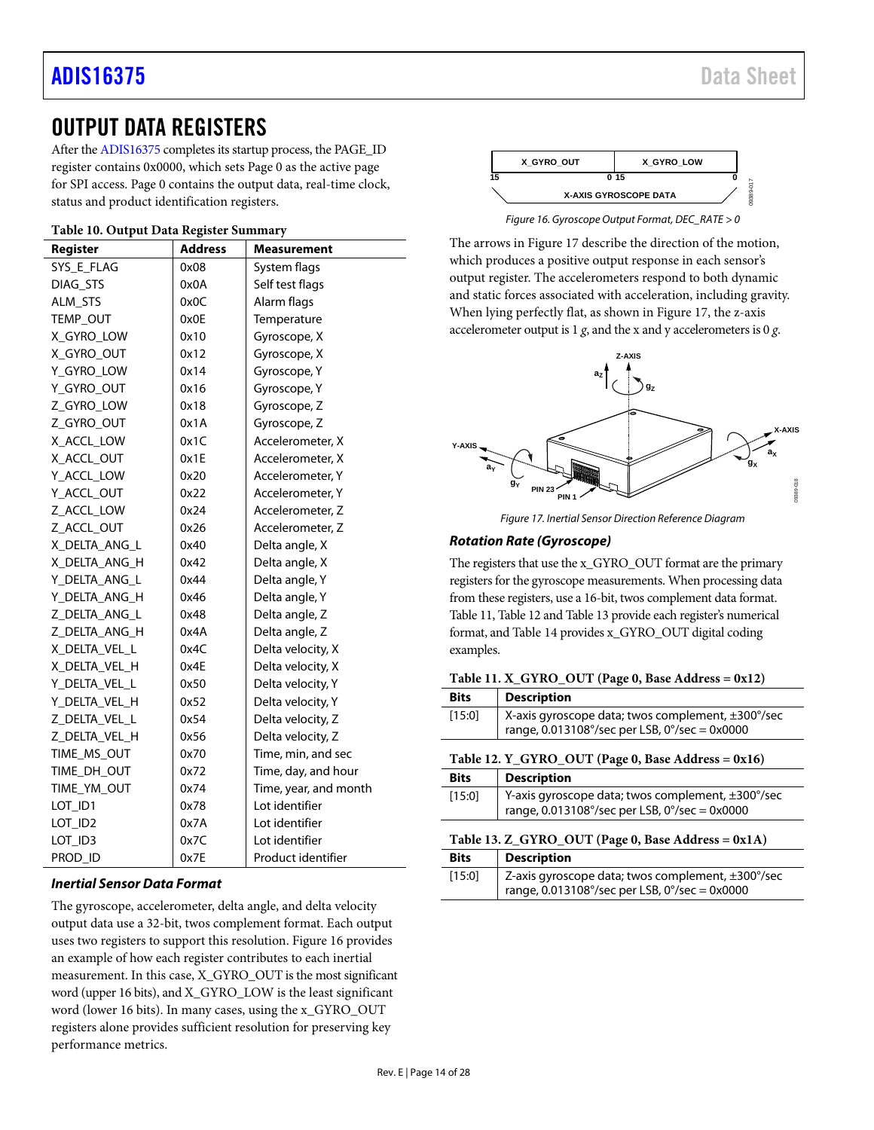# <span id="page-13-0"></span>OUTPUT DATA REGISTERS

After th[e ADIS16375](https://www.analog.com/ADIS16375) completes its startup process, the PAGE\_ID register contains 0x0000, which sets Page 0 as the active page for SPI access. Page 0 contains the output data, real-time clock, status and product identification registers.

### **Table 10. Output Data Register Summary**

| Register      | <b>Address</b> | Measurement           |
|---------------|----------------|-----------------------|
| SYS E FLAG    | 0x08           | System flags          |
| DIAG_STS      | 0x0A           | Self test flags       |
| ALM STS       | 0x0C           | Alarm flags           |
| TEMP_OUT      | 0x0E           | Temperature           |
| X_GYRO_LOW    | 0x10           | Gyroscope, X          |
| X_GYRO_OUT    | 0x12           | Gyroscope, X          |
| Y_GYRO_LOW    | 0x14           | Gyroscope, Y          |
| Y_GYRO_OUT    | 0x16           | Gyroscope, Y          |
| Z_GYRO_LOW    | 0x18           | Gyroscope, Z          |
| Z GYRO OUT    | 0x1A           | Gyroscope, Z          |
| X_ACCL_LOW    | 0x1C           | Accelerometer, X      |
| X_ACCL_OUT    | 0x1E           | Accelerometer, X      |
| Y_ACCL_LOW    | 0x20           | Accelerometer, Y      |
| Y_ACCL_OUT    | 0x22           | Accelerometer, Y      |
| Z_ACCL_LOW    | 0x24           | Accelerometer, Z      |
| Z_ACCL_OUT    | 0x26           | Accelerometer, Z      |
| X_DELTA_ANG_L | 0x40           | Delta angle, X        |
| X DELTA ANG H | 0x42           | Delta angle, X        |
| Y_DELTA_ANG_L | 0x44           | Delta angle, Y        |
| Y_DELTA_ANG_H | 0x46           | Delta angle, Y        |
| Z DELTA ANG L | 0x48           | Delta angle, Z        |
| Z_DELTA_ANG_H | 0x4A           | Delta angle, Z        |
| X_DELTA_VEL_L | 0x4C           | Delta velocity, X     |
| X_DELTA_VEL_H | 0x4E           | Delta velocity, X     |
| Y DELTA VEL L | 0x50           | Delta velocity, Y     |
| Y_DELTA_VEL_H | 0x52           | Delta velocity, Y     |
| Z_DELTA_VEL_L | 0x54           | Delta velocity, Z     |
| Z_DELTA_VEL_H | 0x56           | Delta velocity, Z     |
| TIME_MS_OUT   | 0x70           | Time, min, and sec    |
| TIME_DH_OUT   | 0x72           | Time, day, and hour   |
| TIME_YM_OUT   | 0x74           | Time, year, and month |
| LOT_ID1       | 0x78           | Lot identifier        |
| LOT_ID2       | 0x7A           | Lot identifier        |
| LOT_ID3       | 0x7C           | Lot identifier        |
| PROD ID       | 0x7E           | Product identifier    |

### *Inertial Sensor Data Format*

The gyroscope, accelerometer, delta angle, and delta velocity output data use a 32-bit, twos complement format. Each output uses two registers to support this resolution. [Figure 16](#page-13-4) provides an example of how each register contributes to each inertial measurement. In this case, X\_GYRO\_OUT is the most significant word (upper 16 bits), and X\_GYRO\_LOW is the least significant word (lower 16 bits). In many cases, using the x\_GYRO\_OUT registers alone provides sufficient resolution for preserving key performance metrics.



*Figure 16. Gyroscope Output Format, DEC\_RATE > 0*

<span id="page-13-4"></span>The arrows in [Figure 17](#page-13-5) describe the direction of the motion, which produces a positive output response in each sensor's output register. The accelerometers respond to both dynamic and static forces associated with acceleration, including gravity. When lying perfectly flat, as shown i[n Figure 17,](#page-13-5) the z-axis accelerometer output is 1 *g*, and the x and y accelerometers is 0 *g*.



*Figure 17. Inertial Sensor Direction Reference Diagram*

#### <span id="page-13-5"></span>*Rotation Rate (Gyroscope)*

The registers that use the x\_GYRO\_OUT format are the primary registers for the gyroscope measurements. When processing data from these registers, use a 16-bit, twos complement data format. [Table 11,](#page-13-1) [Table 12](#page-13-2) an[d Table 13](#page-13-3) provide each register's numerical format, an[d Table 14](#page-14-10) provides x\_GYRO\_OUT digital coding examples.

#### <span id="page-13-1"></span>Table 11. X\_GYRO\_OUT (Page  $0$ , Base Address  $= 0x12$ )

<span id="page-13-2"></span>

| <b>Bits</b>                                        | <b>Description</b>                                                                                 |  |  |  |  |  |  |
|----------------------------------------------------|----------------------------------------------------------------------------------------------------|--|--|--|--|--|--|
| [15:0]                                             | X-axis gyroscope data; twos complement, ±300°/sec<br>range, 0.013108°/sec per LSB, 0°/sec = 0x0000 |  |  |  |  |  |  |
| Table 12. Y_GYRO_OUT (Page 0, Base Address = 0x16) |                                                                                                    |  |  |  |  |  |  |
| <b>Bits</b>                                        | <b>Description</b>                                                                                 |  |  |  |  |  |  |
| [15:0]                                             | Y-axis gyroscope data; twos complement, ±300°/sec<br>range, 0.013108°/sec per LSB, 0°/sec = 0x0000 |  |  |  |  |  |  |
| Table 13. Z_GYRO_OUT (Page 0, Base Address = 0x1A) |                                                                                                    |  |  |  |  |  |  |
| <b>Bits</b>                                        | <b>Description</b>                                                                                 |  |  |  |  |  |  |
| [15:0]                                             | Z-axis gyroscope data; twos complement, ±300°/sec                                                  |  |  |  |  |  |  |

<span id="page-13-3"></span>range, 0.013108°/sec per LSB, 0°/sec = 0x0000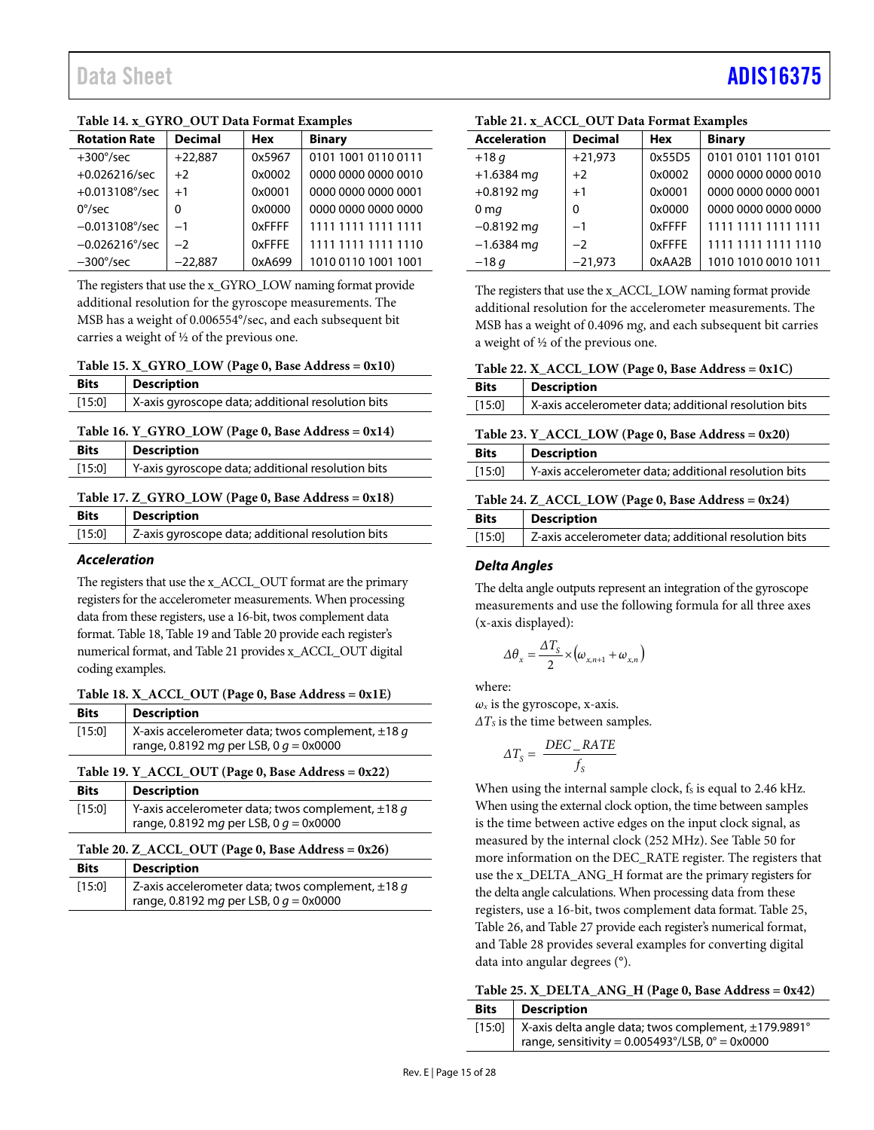# Data Sheet And a sheet Albert Advanced [ADIS16375](https://www.analog.com/ADIS16375?doc=ADIS16375.pdf) ADIS16375

| <b>Rotation Rate</b>    | <b>Decimal</b> | <b>Hex</b> | <b>Binary</b>       |
|-------------------------|----------------|------------|---------------------|
| $+300^{\circ}/sec$      | $+22,887$      | 0x5967     | 0101 1001 0110 0111 |
| $+0.026216/sec$         | $+2$           | 0x0002     | 0000 0000 0000 0010 |
| $+0.013108^{\circ}/sec$ | $+1$           | 0x0001     | 0000 0000 0000 0001 |
| $0^{\circ}/sec$         | 0              | 0x0000     | 0000 0000 0000 0000 |
| $-0.013108^{\circ}/sec$ | $-1$           | 0xFFFF     | 1111 1111 1111 1111 |
| $-0.026216^{\circ}/sec$ | $-2$           | 0xFFFE     | 1111 1111 1111 1110 |
| $-300^{\circ}/sec$      | $-22.887$      | 0xA699     | 1010 0110 1001 1001 |

#### <span id="page-14-10"></span>**Table 14. x\_GYRO\_OUT Data Format Examples**

The registers that use the x\_GYRO\_LOW naming format provide additional resolution for the gyroscope measurements. The MSB has a weight of 0.006554°/sec, and each subsequent bit carries a weight of ½ of the previous one.

#### <span id="page-14-0"></span>**Table 15. X\_GYRO\_LOW (Page 0, Base Address = 0x10)**

| <b>Bits</b> | <b>Description</b>                                |
|-------------|---------------------------------------------------|
| [15:0]      | X-axis gyroscope data; additional resolution bits |

#### <span id="page-14-1"></span>**Table 16. Y\_GYRO\_LOW (Page 0, Base Address = 0x14)**

| <b>Bits</b> | <b>Description</b>                                |
|-------------|---------------------------------------------------|
| [15:0]      | Y-axis gyroscope data; additional resolution bits |

#### <span id="page-14-2"></span>**Table 17. Z\_GYRO\_LOW (Page 0, Base Address = 0x18)**

| <b>Bits</b> | <b>Description</b>                                |
|-------------|---------------------------------------------------|
| [15:0]      | Z-axis gyroscope data; additional resolution bits |

#### *Acceleration*

The registers that use the x\_ACCL\_OUT format are the primary registers for the accelerometer measurements. When processing data from these registers, use a 16-bit, twos complement data format[. Table 18,](#page-14-4) [Table 19](#page-14-6) an[d Table 20](#page-14-8) provide each register's numerical format, an[d Table 21](#page-14-11) provides x\_ACCL\_OUT digital coding examples.

#### <span id="page-14-4"></span>**Table 18. X\_ACCL\_OUT (Page 0, Base Address = 0x1E)**

| <b>Bits</b> | <b>Description</b>                                     |
|-------------|--------------------------------------------------------|
| [15:0]      | X-axis accelerometer data; twos complement, $\pm$ 18 g |
|             | range, 0.8192 mg per LSB, 0 $q = 0 \times 0000$        |

#### <span id="page-14-6"></span>**Table 19. Y\_ACCL\_OUT (Page 0, Base Address = 0x22)**

| <b>Bits</b> | <b>Description</b>                                                                                        |
|-------------|-----------------------------------------------------------------------------------------------------------|
| [15:0]      | Y-axis accelerometer data; twos complement, $\pm$ 18 g<br>range, 0.8192 mg per LSB, 0 $q = 0 \times 0000$ |

#### <span id="page-14-8"></span>**Table 20. Z\_ACCL\_OUT (Page 0, Base Address = 0x26)**

| <b>Bits</b> | <b>Description</b>                                     |
|-------------|--------------------------------------------------------|
| [15:0]      | Z-axis accelerometer data; twos complement, $\pm$ 18 q |
|             | range, 0.8192 mg per LSB, 0 $q = 0 \times 0000$        |

# <span id="page-14-11"></span>**Table 21. x\_ACCL\_OUT Data Format Examples**

| <b>Acceleration</b> | <b>Decimal</b> | <b>Hex</b> | <b>Binary</b>       |
|---------------------|----------------|------------|---------------------|
| $+18q$              | $+21,973$      | 0x55D5     | 0101 0101 1101 0101 |
| $+1.6384$ mg        | $+2$           | 0x0002     | 0000 0000 0000 0010 |
| $+0.8192$ mg        | $+1$           | 0x0001     | 0000 0000 0000 0001 |
| 0 <sub>mg</sub>     | 0              | 0x0000     | 0000 0000 0000 0000 |
| $-0.8192$ mg        | $-1$           | 0xFFFF     | 1111 1111 1111 1111 |
| $-1.6384$ mg        | $-2$           | 0xFFFE     | 1111 1111 1111 1110 |
| $-18q$              | $-21.973$      | 0xAA2B     | 1010 1010 0010 1011 |

The registers that use the x\_ACCL\_LOW naming format provide additional resolution for the accelerometer measurements. The MSB has a weight of 0.4096 m*g*, and each subsequent bit carries a weight of ½ of the previous one.

#### <span id="page-14-3"></span>**Table 22. X\_ACCL\_LOW (Page 0, Base Address = 0x1C)**

| <b>Bits</b> | <b>Description</b>                                    |
|-------------|-------------------------------------------------------|
| [15:0]      | X-axis accelerometer data; additional resolution bits |
|             |                                                       |

#### <span id="page-14-5"></span>**Table 23. Y\_ACCL\_LOW (Page 0, Base Address = 0x20)**

| <b>Bits</b> | <b>Description</b>                                    |
|-------------|-------------------------------------------------------|
| [15:0]      | Y-axis accelerometer data; additional resolution bits |
|             |                                                       |

#### <span id="page-14-7"></span>**Table 24. Z\_ACCL\_LOW (Page 0, Base Address = 0x24)**

| <b>Bits</b> | <b>Description</b>                                    |
|-------------|-------------------------------------------------------|
| [15:0]      | Z-axis accelerometer data; additional resolution bits |

#### *Delta Angles*

The delta angle outputs represent an integration of the gyroscope measurements and use the following formula for all three axes (x-axis displayed):

$$
\Delta\theta_x = \frac{\Delta T_s}{2} \times (\omega_{x,n+1} + \omega_{x,n})
$$

where:

 $\omega_x$  is the gyroscope, x-axis. *ΔT<sub>s</sub>* is the time between samples.

*DEC RATE* 

$$
\Delta T_s = \frac{DEC\_K111}{f_s}
$$

When using the internal sample clock, fs is equal to 2.46 kHz. When using the external clock option, the time between samples is the time between active edges on the input clock signal, as measured by the internal clock (252 MHz). See [Table 50](#page-17-4) for more information on the DEC\_RATE register. The registers that use the x\_DELTA\_ANG\_H format are the primary registers for the delta angle calculations. When processing data from these registers, use a 16-bit, twos complement data format[. Table 25,](#page-14-9)  [Table 26,](#page-15-3) an[d Table 27](#page-15-5) provide each register's numerical format, an[d Table 28](#page-15-12) provides several examples for converting digital data into angular degrees (°).

<span id="page-14-9"></span>

| $D_{\text{max}}$ $D_{\text{normalization}}$ |                                                       |
|---------------------------------------------|-------------------------------------------------------|
|                                             | Table 25. X_DELTA_ANG_H (Page 0, Base Address = 0x42) |
|                                             |                                                       |

|  | <b>Bits</b>   Description                                     |  |  |  |
|--|---------------------------------------------------------------|--|--|--|
|  | [15:0]   X-axis delta angle data; twos complement, ±179.9891° |  |  |  |
|  | range, sensitivity = $0.005493^{\circ}/LSB$ , 0° = 0x0000     |  |  |  |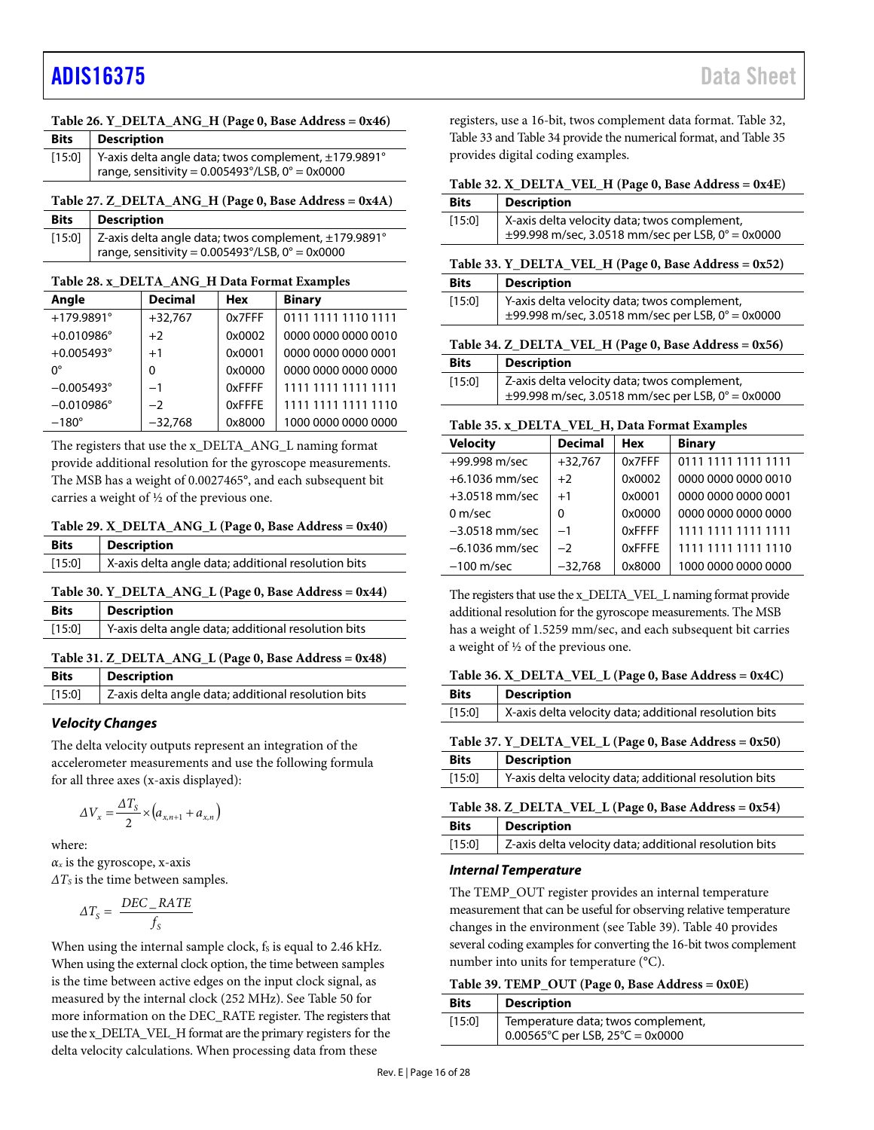# [ADIS16375](https://www.analog.com/ADIS16375?doc=ADIS16375.pdf) Data Sheet

<span id="page-15-3"></span>

| Table 26. Y_DELTA_ANG_H (Page 0, Base Address = 0x46) |  |  |  |  |
|-------------------------------------------------------|--|--|--|--|
|                                                       |  |  |  |  |

| <b>Bits</b> | Description                                                                                                              |
|-------------|--------------------------------------------------------------------------------------------------------------------------|
|             | [15:0] Y-axis delta angle data; twos complement, ±179.9891°<br>range, sensitivity = $0.005493^{\circ}/LSB$ , 0° = 0x0000 |
|             |                                                                                                                          |

#### <span id="page-15-5"></span>**Table 27. Z\_DELTA\_ANG\_H (Page 0, Base Address = 0x4A) Bits Description**

| bits pescription                                                                   |
|------------------------------------------------------------------------------------|
| [15:0] $\vert$ Z-axis delta angle data; twos complement, $\pm$ 179.9891 $^{\circ}$ |
| $\frac{1}{2}$ range, sensitivity = 0.005493°/LSB, 0° = 0x0000                      |

<span id="page-15-12"></span>**Table 28. x\_DELTA\_ANG\_H Data Format Examples**

| Angle               | <b>Decimal</b> | <b>Hex</b> | <b>Binary</b>       |
|---------------------|----------------|------------|---------------------|
| $+179.9891^{\circ}$ | $+32,767$      | 0x7FFF     | 0111 1111 1110 1111 |
| $+0.010986^{\circ}$ | $+2$           | 0x0002     | 0000 0000 0000 0010 |
| $+0.005493^{\circ}$ | $+1$           | 0x0001     | 0000 0000 0000 0001 |
| n°                  | $\Omega$       | 0x0000     | 0000 0000 0000 0000 |
| $-0.005493^{\circ}$ | $-1$           | 0xFFFF     | 1111 1111 1111 1111 |
| $-0.010986^{\circ}$ | $-2$           | 0xFFFE     | 1111 1111 1111 1110 |
| $-180^\circ$        | $-32,768$      | 0x8000     | 1000 0000 0000 0000 |

The registers that use the x\_DELTA\_ANG\_L naming format provide additional resolution for the gyroscope measurements. The MSB has a weight of 0.0027465°, and each subsequent bit carries a weight of ½ of the previous one.

<span id="page-15-1"></span>**Table 29. X\_DELTA\_ANG\_L (Page 0, Base Address = 0x40)**

| <b>Bits</b> | <b>Description</b>                                  |
|-------------|-----------------------------------------------------|
| [15:0]      | X-axis delta angle data; additional resolution bits |

### <span id="page-15-2"></span>**Table 30. Y\_DELTA\_ANG\_L (Page 0, Base Address = 0x44)**

| <b>Bits</b> | <b>Description</b>                                  |
|-------------|-----------------------------------------------------|
| [15:0]      | Y-axis delta angle data; additional resolution bits |
|             |                                                     |

#### <span id="page-15-4"></span>**Table 31. Z\_DELTA\_ANG\_L (Page 0, Base Address = 0x48)**

| <b>Bits</b> | <b>Description</b>                                  |  |
|-------------|-----------------------------------------------------|--|
| [15:0]      | Z-axis delta angle data; additional resolution bits |  |
|             |                                                     |  |

### *Velocity Changes*

The delta velocity outputs represent an integration of the accelerometer measurements and use the following formula for all three axes (x-axis displayed):

$$
\Delta V_x = \frac{\Delta T_s}{2} \times \left(a_{x,n+1} + a_{x,n}\right)
$$

where: *αx* is the gyroscope, x-axis *ΔT<sub>s</sub>* is the time between samples.

$$
\Delta T_s = \frac{DEC\_RATE}{f_s}
$$

When using the internal sample clock,  $f_s$  is equal to 2.46 kHz. When using the external clock option, the time between samples is the time between active edges on the input clock signal, as measured by the internal clock (252 MHz). See [Table 50](#page-17-4) for more information on the DEC\_RATE register. The registers that use the x\_DELTA\_VEL\_H format are the primary registers for the delta velocity calculations. When processing data from these

registers, use a 16-bit, twos complement data format[. Table 32,](#page-15-7)  [Table 33](#page-15-9) an[d Table 34](#page-15-11) provide the numerical format, and [Table 35](#page-15-13) provides digital coding examples.

### <span id="page-15-7"></span>**Table 32. X\_DELTA\_VEL\_H (Page 0, Base Address = 0x4E)**

| <b>Bits</b> | <b>Description</b>                                                                                     |
|-------------|--------------------------------------------------------------------------------------------------------|
| [15:0]      | X-axis delta velocity data; twos complement,<br>$\pm$ 99.998 m/sec, 3.0518 mm/sec per LSB, 0° = 0x0000 |
|             |                                                                                                        |

#### <span id="page-15-9"></span>**Table 33. Y\_DELTA\_VEL\_H (Page 0, Base Address = 0x52)**

| <b>Bits</b> | <b>Description</b>                                                                                     |
|-------------|--------------------------------------------------------------------------------------------------------|
| [15:0]      | Y-axis delta velocity data; twos complement,<br>$\pm$ 99.998 m/sec, 3.0518 mm/sec per LSB, 0° = 0x0000 |

#### <span id="page-15-11"></span>**Table 34. Z\_DELTA\_VEL\_H (Page 0, Base Address = 0x56)**

| <b>Bits</b> | <b>Description</b>                                                                                     |
|-------------|--------------------------------------------------------------------------------------------------------|
| [15:0]      | Z-axis delta velocity data; twos complement,<br>$\pm$ 99.998 m/sec, 3.0518 mm/sec per LSB, 0° = 0x0000 |

#### <span id="page-15-13"></span>**Table 35. x\_DELTA\_VEL\_H, Data Format Examples**

| <b>Velocity</b>  | <b>Decimal</b> | <b>Hex</b> | <b>Binary</b>       |
|------------------|----------------|------------|---------------------|
| +99.998 m/sec    | $+32,767$      | 0x7FFF     | 0111 1111 1111 1111 |
| $+6.1036$ mm/sec | $+2$           | 0x0002     | 0000 0000 0000 0010 |
| $+3.0518$ mm/sec | $+1$           | 0x0001     | 0000 0000 0000 0001 |
| 0 m/sec          | 0              | 0x0000     | 0000 0000 0000 0000 |
| $-3.0518$ mm/sec | $-1$           | 0xFFFF     | 1111 1111 1111 1111 |
| $-6.1036$ mm/sec | $-2$           | 0xFFFE     | 1111 1111 1111 1110 |
| $-100$ m/sec     | $-32.768$      | 0x8000     | 1000 0000 0000 0000 |

The registers that use the x\_DELTA\_VEL\_L naming format provide additional resolution for the gyroscope measurements. The MSB has a weight of 1.5259 mm/sec, and each subsequent bit carries a weight of ½ of the previous one.

#### <span id="page-15-6"></span>**Table 36. X\_DELTA\_VEL\_L (Page 0, Base Address = 0x4C)**

<span id="page-15-8"></span>

| <b>Bits</b>                                           | <b>Description</b>                                     |  |  |
|-------------------------------------------------------|--------------------------------------------------------|--|--|
| [15:0]                                                | X-axis delta velocity data; additional resolution bits |  |  |
| Table 37. Y_DELTA_VEL_L (Page 0, Base Address = 0x50) |                                                        |  |  |
| <b>Bits</b>                                           | <b>Description</b>                                     |  |  |
| [15:0]                                                | Y-axis delta velocity data; additional resolution bits |  |  |
| Table 38. Z_DELTA_VEL_L (Page 0, Base Address = 0x54) |                                                        |  |  |
| <b>Bits</b>                                           | <b>Description</b>                                     |  |  |
| [15:0]                                                | Z-axis delta velocity data; additional resolution bits |  |  |

#### <span id="page-15-10"></span>*Internal Temperature*

The TEMP\_OUT register provides an internal temperature measurement that can be useful for observing relative temperature changes in the environment (se[e Table 39\)](#page-15-0)[. Table 40](#page-16-8) provides several coding examples for converting the 16-bit twos complement number into units for temperature (°C).

#### <span id="page-15-0"></span>**Table 39. TEMP\_OUT (Page 0, Base Address = 0x0E)**

| <b>Bits</b> | <b>Description</b>                                                                          |
|-------------|---------------------------------------------------------------------------------------------|
| $[15:0]$    | Temperature data; twos complement,<br>$0.00565^{\circ}$ C per LSB, 25 $^{\circ}$ C = 0x0000 |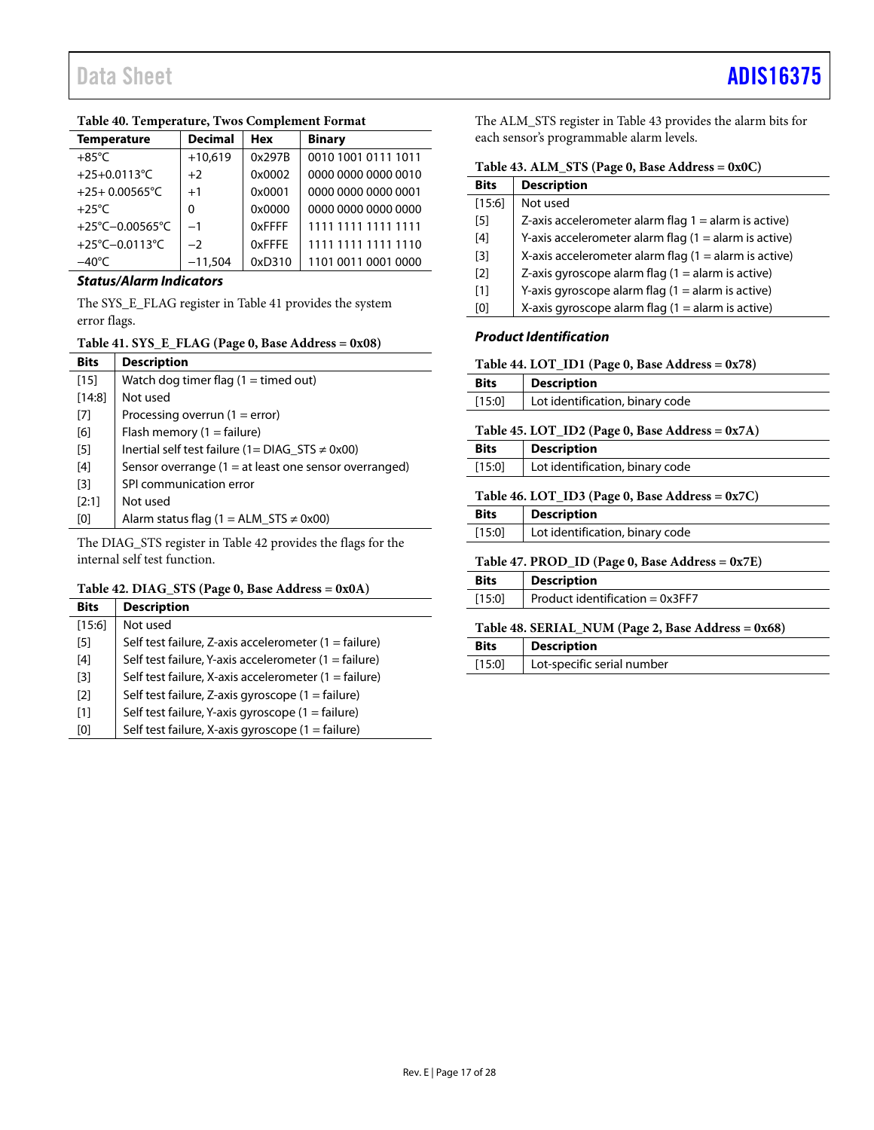| <b>Temperature</b>      | <b>Decimal</b> | <b>Hex</b>    | <b>Binary</b>       |
|-------------------------|----------------|---------------|---------------------|
| $+85^{\circ}$ C         | $+10,619$      | 0x297B        | 0010 1001 0111 1011 |
| +25+0.0113°C            | $+2$           | 0x0002        | 0000 0000 0000 0010 |
| $+25+0.00565^{\circ}$ C | $+1$           | 0x0001        | 0000 0000 0000 0001 |
| $+25^{\circ}$ C         | 0              | 0x0000        | 0000 0000 0000 0000 |
| +25°C-0.00565°C         | $-1$           | <b>OxFFFF</b> | 1111 1111 1111 1111 |
| +25°C-0.0113°C          | $-2$           | 0xFFFF        | 1111 1111 1111 1110 |
| $-40^{\circ}$ C         | $-11,504$      | 0xD310        | 1101 0011 0001 0000 |

### <span id="page-16-8"></span>**Table 40. Temperature, Twos Complement Format**

# *Status/Alarm Indicators*

The SYS\_E\_FLAG register i[n Table 41](#page-16-0) provides the system error flags.

# <span id="page-16-0"></span>**Table 41. SYS\_E\_FLAG (Page 0, Base Address = 0x08)**

| <b>Bits</b> | <b>Description</b>                                      |
|-------------|---------------------------------------------------------|
| $[15]$      | Watch dog timer flag $(1 =$ timed out)                  |
| [14:8]      | Not used                                                |
| [7]         | Processing overrun $(1 = error)$                        |
| [6]         | Flash memory $(1 = \text{failure})$                     |
| $[5]$       | Inertial self test failure (1 = $DIAG_STS \neq 0x00$ )  |
| [4]         | Sensor overrange $(1 = at least one sensor overranged)$ |
| [3]         | SPI communication error                                 |
| [2:1]       | Not used                                                |
| [0]         | Alarm status flag (1 = ALM_STS $\neq$ 0x00)             |

The DIAG\_STS register in [Table 42](#page-16-1) provides the flags for the internal self test function.

# <span id="page-16-1"></span>**Table 42. DIAG\_STS (Page 0, Base Address = 0x0A)**

| <b>Bits</b>       | <b>Description</b>                                             |
|-------------------|----------------------------------------------------------------|
| [15:6]            | Not used                                                       |
| [5]               | Self test failure, Z-axis accelerometer (1 = failure)          |
| [4]               | Self test failure, Y-axis accelerometer (1 = failure)          |
| [3]               | Self test failure, X-axis accelerometer $(1 = \text{failure})$ |
| $\lceil 2 \rceil$ | Self test failure, Z-axis gyroscope $(1 = \text{failure})$     |
| [1]               | Self test failure, Y-axis gyroscope (1 = failure)              |
| [0]               | Self test failure, X-axis gyroscope (1 = failure)              |

The ALM\_STS register i[n Table 43](#page-16-2) provides the alarm bits for each sensor's programmable alarm levels.

<span id="page-16-2"></span>

| Table 43. ALM_STS (Page 0, Base Address = 0x0C) |  |  |  |  |
|-------------------------------------------------|--|--|--|--|
|-------------------------------------------------|--|--|--|--|

| <b>Bits</b>       | <b>Description</b>                                      |
|-------------------|---------------------------------------------------------|
| [15:6]            | Not used                                                |
| [5]               | Z-axis accelerometer alarm flag $1 =$ alarm is active)  |
| [4]               | Y-axis accelerometer alarm flag $(1 =$ alarm is active) |
| [3]               | X-axis accelerometer alarm flag $(1 =$ alarm is active) |
| $\lceil 2 \rceil$ | Z-axis gyroscope alarm flag $(1 =$ alarm is active)     |
| [1]               | Y-axis gyroscope alarm flag $(1 =$ alarm is active)     |
| וסז               | X-axis gyroscope alarm flag $(1 =$ alarm is active)     |

#### *Product Identification*

<span id="page-16-3"></span>

| Table 44. $LOT$ ID1 (Page 0, Base Address = $0x78$ ) |  |  |  |  |  |
|------------------------------------------------------|--|--|--|--|--|
|------------------------------------------------------|--|--|--|--|--|

<span id="page-16-4"></span>

| <b>Bits</b>                                        | <b>Description</b>              |  |  |
|----------------------------------------------------|---------------------------------|--|--|
| [15:0]                                             | Lot identification, binary code |  |  |
| Table 45. LOT_ID2 (Page 0, Base Address = 0x7A)    |                                 |  |  |
| <b>Bits</b>                                        | <b>Description</b>              |  |  |
| $[15:0]$                                           | Lot identification, binary code |  |  |
| Table 46. LOT_ID3 (Page 0, Base Address = $0x7C$ ) |                                 |  |  |
| <b>Bits</b>                                        | <b>Description</b>              |  |  |
| [15:0]                                             | Lot identification, binary code |  |  |
| Table 47. PROD ID (Page 0, Base Address = $0x7E$ ) |                                 |  |  |
| <b>Bits</b>                                        | <b>Description</b>              |  |  |

<span id="page-16-6"></span><span id="page-16-5"></span>

| <b>Bits</b> | <b>Description</b>                |
|-------------|-----------------------------------|
| [15:0]      | Product identification = $0x3FF7$ |

#### <span id="page-16-7"></span>**Table 48. SERIAL\_NUM (Page 2, Base Address = 0x68)**

| <b>Bits</b> | <b>Description</b>         |
|-------------|----------------------------|
| [15:0]      | Lot-specific serial number |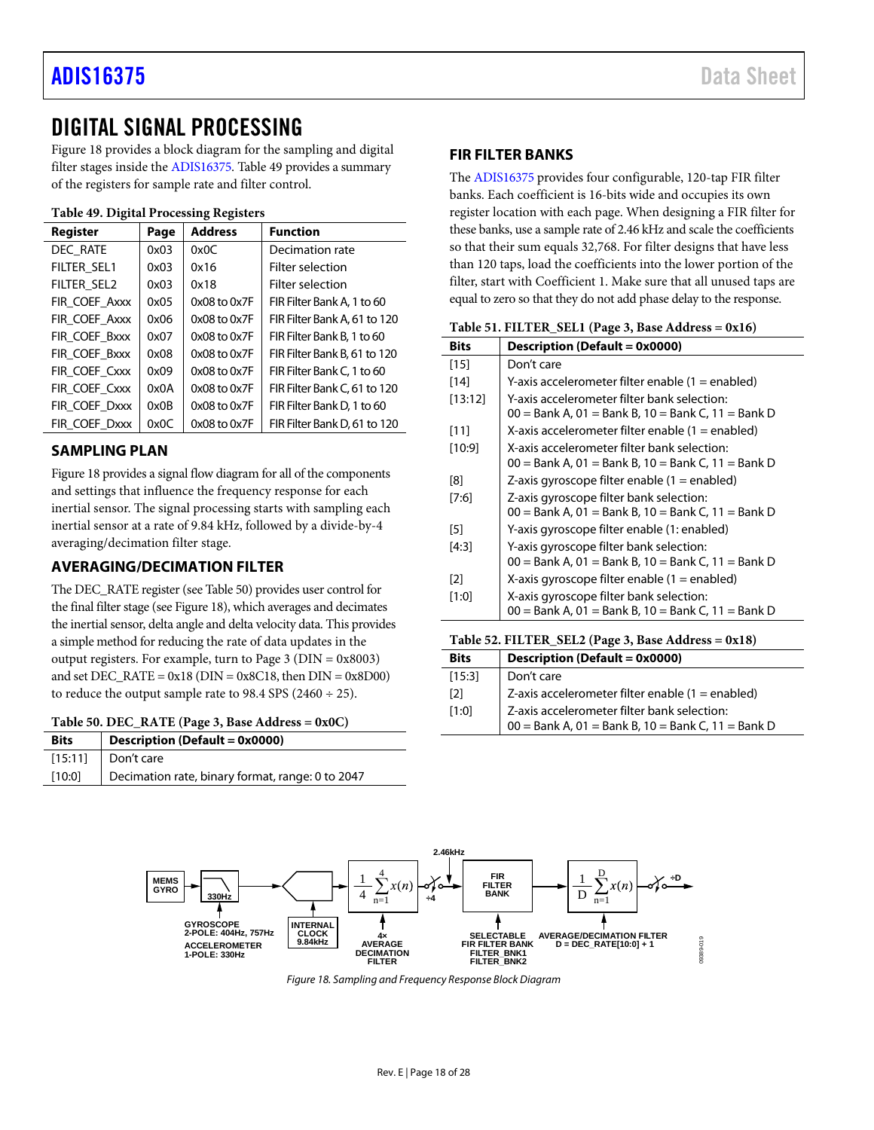# <span id="page-17-0"></span>DIGITAL SIGNAL PROCESSING

[Figure 18](#page-17-7) provides a block diagram for the sampling and digital filter stages inside the [ADIS16375.](https://www.analog.com/ADIS16375) [Table 49](#page-17-8) provides a summary of the registers for sample rate and filter control.

<span id="page-17-8"></span>**Table 49. Digital Processing Registers**

| Register      | Page | <b>Address</b>   | <b>Function</b>              |
|---------------|------|------------------|------------------------------|
| DEC_RATE      | 0x03 | 0x0C             | Decimation rate              |
| FILTER SEL1   | 0x03 | 0x16             | Filter selection             |
| FILTER SEL2   | 0x03 | 0x18             | Filter selection             |
| FIR COEF Axxx | 0x05 | $0x08$ to $0x7F$ | FIR Filter Bank A. 1 to 60   |
| FIR COEF Axxx | 0x06 | $0x08$ to $0x7F$ | FIR Filter Bank A, 61 to 120 |
| FIR COEF Bxxx | 0x07 | $0x08$ to $0x7F$ | FIR Filter Bank B. 1 to 60   |
| FIR COEF Bxxx | 0x08 | $0x08$ to $0x7F$ | FIR Filter Bank B, 61 to 120 |
| FIR COEF Cxxx | 0x09 | $0x08$ to $0x7F$ | FIR Filter Bank C. 1 to 60   |
| FIR COEF Cxxx | 0x0A | 0x08 to 0x7F     | FIR Filter Bank C, 61 to 120 |
| FIR COEF Dxxx | 0x0B | $0x08$ to $0x7F$ | FIR Filter Bank D, 1 to 60   |
| FIR COEF Dxxx | 0x0C | 0x08 to 0x7F     | FIR Filter Bank D, 61 to 120 |

# <span id="page-17-1"></span>**SAMPLING PLAN**

[Figure 18](#page-17-7) provides a signal flow diagram for all of the components and settings that influence the frequency response for each inertial sensor. The signal processing starts with sampling each inertial sensor at a rate of 9.84 kHz, followed by a divide-by-4 averaging/decimation filter stage.

# <span id="page-17-2"></span>**AVERAGING/DECIMATION FILTER**

The DEC\_RATE register (se[e Table 50\)](#page-17-4) provides user control for the final filter stage (se[e Figure 18\)](#page-17-7), which averages and decimates the inertial sensor, delta angle and delta velocity data. This provides a simple method for reducing the rate of data updates in the output registers. For example, turn to Page 3 (DIN = 0x8003) and set  $DEC_RATE = 0x18$  ( $DIN = 0x8C18$ , then  $DIN = 0x8D00$ ) to reduce the output sample rate to 98.4 SPS (2460  $\div$  25).

<span id="page-17-4"></span>

|  |  | Table 50. DEC_RATE (Page 3, Base Address = 0x0C) |
|--|--|--------------------------------------------------|
|--|--|--------------------------------------------------|

| <b>Bits</b> | <b>Description (Default = 0x0000)</b>            |
|-------------|--------------------------------------------------|
| [15:11]     | Don't care                                       |
| [10:0]      | Decimation rate, binary format, range: 0 to 2047 |

### <span id="page-17-3"></span>**FIR FILTER BANKS**

The [ADIS16375](https://www.analog.com/ADIS16375) provides four configurable, 120-tap FIR filter banks. Each coefficient is 16-bits wide and occupies its own register location with each page. When designing a FIR filter for these banks, use a sample rate of 2.46 kHz and scale the coefficients so that their sum equals 32,768. For filter designs that have less than 120 taps, load the coefficients into the lower portion of the filter, start with Coefficient 1. Make sure that all unused taps are equal to zero so that they do not add phase delay to the response.

<span id="page-17-5"></span>

| Table 51. FILTER_SEL1 (Page 3, Base Address = 0x16) |  |  |  |  |
|-----------------------------------------------------|--|--|--|--|
|-----------------------------------------------------|--|--|--|--|

| <b>Bits</b>       | Description (Default = 0x0000)                                                                      |
|-------------------|-----------------------------------------------------------------------------------------------------|
| $[15]$            | Don't care                                                                                          |
| [14]              | Y-axis accelerometer filter enable (1 = enabled)                                                    |
| [13:12]           | Y-axis accelerometer filter bank selection:<br>00 = Bank A, 01 = Bank B, 10 = Bank C, 11 = Bank D   |
| [11]              | X-axis accelerometer filter enable (1 = enabled)                                                    |
| [10:9]            | X-axis accelerometer filter bank selection:<br>$00 =$ Bank A, 01 = Bank B, 10 = Bank C, 11 = Bank D |
| [8]               | Z-axis gyroscope filter enable $(1 =$ enabled)                                                      |
| [7:6]             | Z-axis gyroscope filter bank selection:<br>$00 =$ Bank A, 01 = Bank B, 10 = Bank C, 11 = Bank D     |
| [5]               | Y-axis gyroscope filter enable (1: enabled)                                                         |
| [4:3]             | Y-axis gyroscope filter bank selection:<br>00 = Bank A, 01 = Bank B, 10 = Bank C, 11 = Bank D       |
| $\lceil 2 \rceil$ | X-axis gyroscope filter enable $(1 =$ enabled)                                                      |
| [1:0]             | X-axis gyroscope filter bank selection:<br>$00 =$ Bank A, 01 = Bank B, 10 = Bank C, 11 = Bank D     |

#### <span id="page-17-6"></span>**Table 52. FILTER\_SEL2 (Page 3, Base Address = 0x18)**

| <b>Bits</b>       | <b>Description (Default = 0x0000)</b>                                                                     |
|-------------------|-----------------------------------------------------------------------------------------------------------|
| [15:3]            | Don't care                                                                                                |
| $\lceil 2 \rceil$ | Z-axis accelerometer filter enable (1 = enabled)                                                          |
| [1:0]             | $\vert$ Z-axis accelerometer filter bank selection:<br>00 = Bank A, 01 = Bank B, 10 = Bank C, 11 = Bank D |

<span id="page-17-7"></span>

*Figure 18. Sampling and Frequency Response Block Diagram*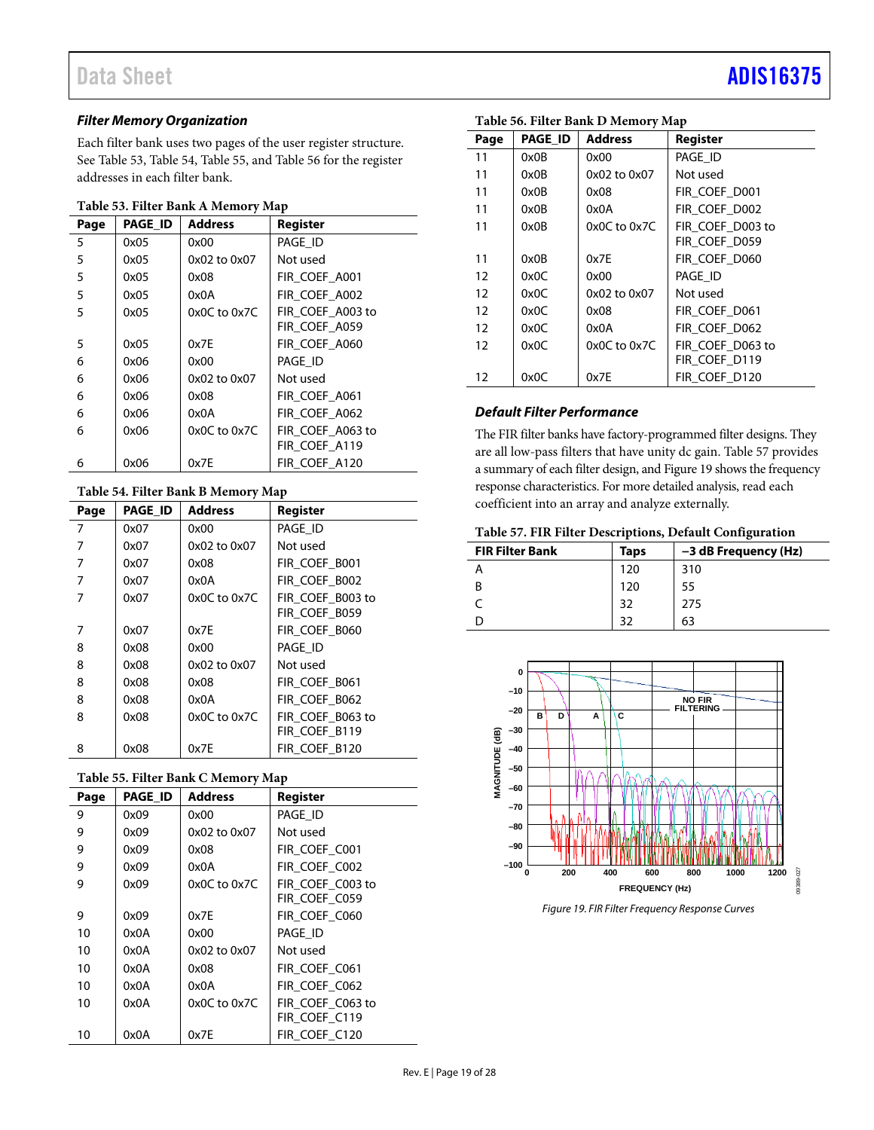# *Filter Memory Organization*

Each filter bank uses two pages of the user register structure. See [Table 53,](#page-18-0) [Table 54,](#page-18-1) [Table 55,](#page-18-2) and [Table 56](#page-18-3) for the register addresses in each filter bank.

#### <span id="page-18-0"></span>**Table 53. Filter Bank A Memory Map**

| Page | <b>PAGE ID</b> | <b>Address</b>   | Register         |
|------|----------------|------------------|------------------|
| 5    | 0x05           | 0x00             | PAGE_ID          |
| 5    | 0x05           | 0x02 to 0x07     | Not used         |
| 5    | 0x05           | 0x08             | FIR COEF A001    |
| 5    | 0x05           | 0x0A             | FIR COEF A002    |
| 5    | 0x05           | $0x0C$ to $0x7C$ | FIR COEF A003 to |
|      |                |                  | FIR_COEF_A059    |
| 5    | 0x05           | 0x7E             | FIR COEF A060    |
| 6    | 0x06           | 0x00             | PAGE ID          |
| 6    | 0x06           | 0x02 to 0x07     | Not used         |
| 6    | 0x06           | 0x08             | FIR COEF A061    |
| 6    | 0x06           | 0x0A             | FIR COEF A062    |
| 6    | 0x06           | $0x0C$ to $0x7C$ | FIR COEF A063 to |
|      |                |                  | FIR_COEF_A119    |
| 6    | 0x06           | 0x7E             | FIR COEF A120    |

### <span id="page-18-1"></span>**Table 54. Filter Bank B Memory Map**

| Table 54. Filter Daily D Memory Map |                |                  |                  |  |  |
|-------------------------------------|----------------|------------------|------------------|--|--|
| Page                                | <b>PAGE_ID</b> | <b>Address</b>   | <b>Register</b>  |  |  |
| 7                                   | 0x07           | 0x00             | PAGE ID          |  |  |
| 7                                   | 0x07           | 0x02 to 0x07     | Not used         |  |  |
| 7                                   | 0x07           | 0x08             | FIR COEF B001    |  |  |
| 7                                   | 0x07           | 0x0A             | FIR COEF B002    |  |  |
| 7                                   | 0x07           | $0x0C$ to $0x7C$ | FIR COEF B003 to |  |  |
|                                     |                |                  | FIR COEF B059    |  |  |
| 7                                   | 0x07           | 0x7E             | FIR COEF B060    |  |  |
| 8                                   | 0x08           | 0x00             | PAGE ID          |  |  |
| 8                                   | 0x08           | 0x02 to 0x07     | Not used         |  |  |
| 8                                   | 0x08           | 0x08             | FIR COEF B061    |  |  |
| 8                                   | 0x08           | 0x0A             | FIR COEF B062    |  |  |
| 8                                   | 0x08           | 0x0C to 0x7C     | FIR_COEF_B063 to |  |  |
|                                     |                |                  | FIR_COEF_B119    |  |  |
| 8                                   | 0x08           | 0x7E             | FIR COEF B120    |  |  |

# <span id="page-18-2"></span>**Table 55. Filter Bank C Memory Map**

| Page | <b>PAGE ID</b> | <b>Address</b>   | Register         |  |  |
|------|----------------|------------------|------------------|--|--|
| 9    | 0x09           | 0x00             | PAGE ID          |  |  |
| 9    | 0x09           | 0x02 to 0x07     | Not used         |  |  |
| 9    | 0x09           | 0x08             | FIR COEF C001    |  |  |
| 9    | 0x09           | 0x0A             | FIR COEF C002    |  |  |
| 9    | 0x09           | $0x0C$ to $0x7C$ | FIR COEF C003 to |  |  |
|      |                |                  | FIR COEF C059    |  |  |
| 9    | 0x09           | 0x7E             | FIR COEF C060    |  |  |
| 10   | 0x0A           | 0x00             | PAGE ID          |  |  |
| 10   | 0x0A           | 0x02 to 0x07     | Not used         |  |  |
| 10   | 0x0A           | 0x08             | FIR COEF C061    |  |  |
| 10   | 0x0A           | 0x0A             | FIR COEF C062    |  |  |
| 10   | 0x0A           | $0x0C$ to $0x7C$ | FIR COEF C063 to |  |  |
|      |                |                  | FIR COEF C119    |  |  |
| 10   | 0x0A           | 0x7E             | FIR COEF C120    |  |  |

# Data Sheet **[ADIS16375](https://www.analog.com/ADIS16375?doc=ADIS16375.pdf)**

| Page | <b>PAGE ID</b> | <b>Address</b>   | Register         |
|------|----------------|------------------|------------------|
| 11   | 0x0B           | 0x00             | PAGE ID          |
| 11   | 0x0B           | 0x02 to 0x07     | Not used         |
| 11   | 0x0B           | 0x08             | FIR COEF D001    |
| 11   | 0x0B           | 0x0A             | FIR COEF D002    |
| 11   | 0x0B           | $0x0C$ to $0x7C$ | FIR COEF D003 to |
|      |                |                  | FIR COEF D059    |
| 11   | 0x0B           | 0x7E             | FIR COEF D060    |
| 12   | 0x0C           | 0x00             | PAGE ID          |
| 12   | 0x0C           | 0x02 to 0x07     | Not used         |
| 12   | 0x0C           | 0x08             | FIR COEF D061    |
| 12   | 0x0C           | 0x0A             | FIR COEF D062    |
| 12   | 0x0C           | $0x0C$ to $0x7C$ | FIR COEF D063 to |
|      |                |                  | FIR COEF D119    |
| 12   | 0x0C           | 0x7E             | FIR COEF D120    |

### <span id="page-18-3"></span>**Table 56. Filter Bank D Memory Map**

## *Default Filter Performance*

The FIR filter banks have factory-programmed filter designs. They are all low-pass filters that have unity dc gain[. Table 57](#page-18-4) provides a summary of each filter design, an[d Figure 19](#page-18-5) shows the frequency response characteristics. For more detailed analysis, read each coefficient into an array and analyze externally.

#### <span id="page-18-4"></span>**Table 57. FIR Filter Descriptions, Default Configuration**

| <b>FIR Filter Bank</b> | Taps | -3 dB Frequency (Hz) |
|------------------------|------|----------------------|
|                        | 120  | 310                  |
|                        | 120  | 55                   |
|                        | 32   | 275                  |
|                        | วว   | 63                   |



<span id="page-18-5"></span>*Figure 19. FIR Filter Frequency Response Curves*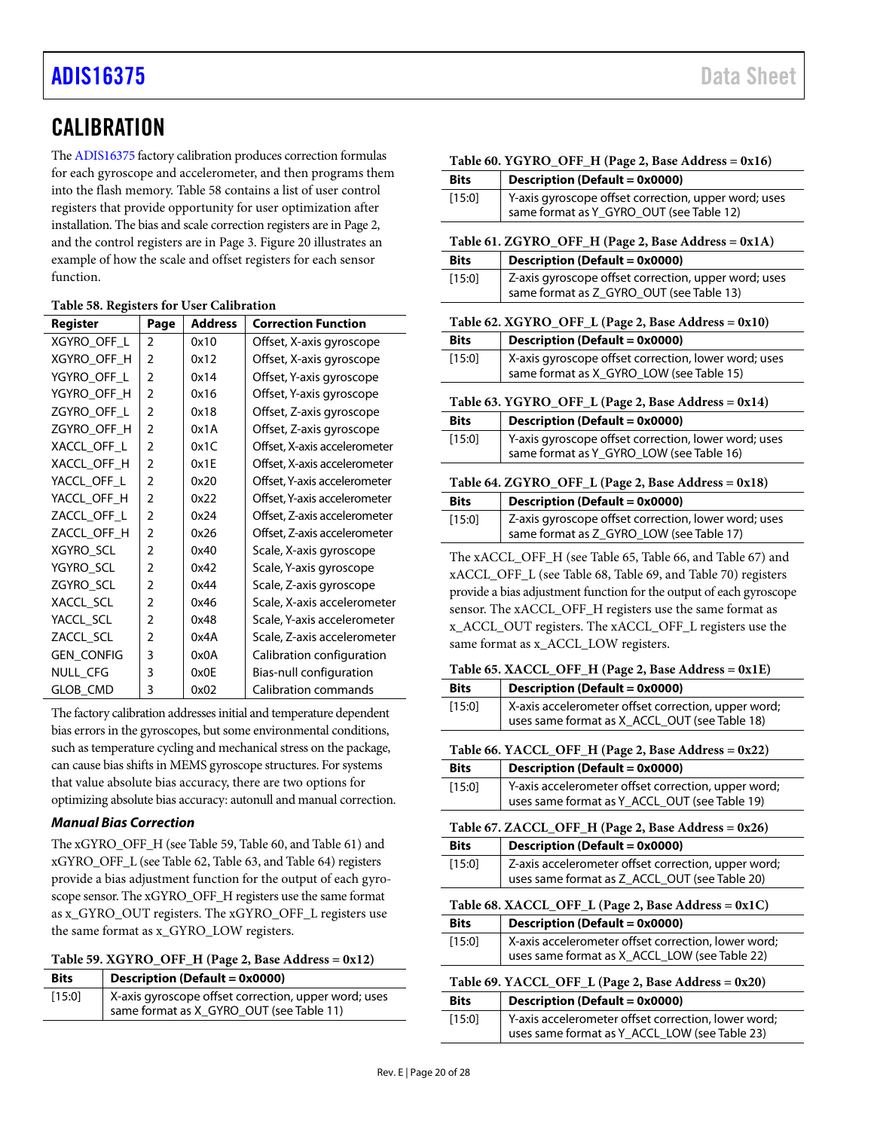# <span id="page-19-0"></span>**CALIBRATION**

Th[e ADIS16375](https://www.analog.com/ADIS16375) factory calibration produces correction formulas for each gyroscope and accelerometer, and then programs them into the flash memory. [Table 58](#page-19-12) contains a list of user control registers that provide opportunity for user optimization after installation. The bias and scale correction registers are in Page 2, and the control registers are in Page 3. [Figure 20](#page-20-7) illustrates an example of how the scale and offset registers for each sensor function.

| Register          | Page           | <b>Address</b> | <b>Correction Function</b>   |
|-------------------|----------------|----------------|------------------------------|
| XGYRO_OFF_L       | $\overline{2}$ | 0x10           | Offset, X-axis gyroscope     |
| XGYRO OFF H       | 2              | 0x12           | Offset, X-axis gyroscope     |
| YGYRO_OFF_L       | 2              | 0x14           | Offset, Y-axis gyroscope     |
| YGYRO_OFF_H       | $\overline{2}$ | 0x16           | Offset, Y-axis gyroscope     |
| ZGYRO_OFF_L       | 2              | 0x18           | Offset, Z-axis gyroscope     |
| ZGYRO_OFF_H       | $\overline{2}$ | 0x1A           | Offset, Z-axis gyroscope     |
| XACCL OFF L       | $\overline{2}$ | 0x1C           | Offset, X-axis accelerometer |
| XACCL OFF H       | $\overline{2}$ | 0x1E           | Offset, X-axis accelerometer |
| YACCL OFF L       | $\overline{2}$ | 0x20           | Offset, Y-axis accelerometer |
| YACCL_OFF_H       | 2              | 0x22           | Offset, Y-axis accelerometer |
| ZACCL OFF L       | $\overline{2}$ | 0x24           | Offset, Z-axis accelerometer |
| ZACCL OFF H       | $\overline{2}$ | 0x26           | Offset, Z-axis accelerometer |
| XGYRO SCL         | 2              | 0x40           | Scale, X-axis gyroscope      |
| YGYRO_SCL         | $\overline{2}$ | 0x42           | Scale, Y-axis gyroscope      |
| ZGYRO_SCL         | 2              | 0x44           | Scale, Z-axis gyroscope      |
| XACCL_SCL         | 2              | 0x46           | Scale, X-axis accelerometer  |
| YACCL_SCL         | $\overline{2}$ | 0x48           | Scale, Y-axis accelerometer  |
| ZACCL SCL         | 2              | 0x4A           | Scale, Z-axis accelerometer  |
| <b>GEN_CONFIG</b> | 3              | 0x0A           | Calibration configuration    |
| NULL_CFG          | 3              | 0x0E           | Bias-null configuration      |
| GLOB CMD          | 3              | 0x02           | Calibration commands         |

<span id="page-19-12"></span>**Table 58. Registers for User Calibration**

The factory calibration addresses initial and temperature dependent bias errors in the gyroscopes, but some environmental conditions, such as temperature cycling and mechanical stress on the package, can cause bias shifts in MEMS gyroscope structures. For systems that value absolute bias accuracy, there are two options for optimizing absolute bias accuracy: autonull and manual correction.

# *Manual Bias Correction*

The xGYRO\_OFF\_H (se[e Table 59,](#page-19-2) [Table 60,](#page-19-4) an[d Table 61\)](#page-19-6) and xGYRO\_OFF\_L (se[e Table 62,](#page-19-1) [Table 63,](#page-19-3) an[d Table 64\)](#page-19-5) registers provide a bias adjustment function for the output of each gyroscope sensor. The xGYRO\_OFF\_H registers use the same format as x\_GYRO\_OUT registers. The xGYRO\_OFF\_L registers use the same format as x\_GYRO\_LOW registers.

<span id="page-19-2"></span>

| Table 59. XGYRO_OFF_H (Page 2, Base Address = 0x12) |  |  |  |  |
|-----------------------------------------------------|--|--|--|--|
|-----------------------------------------------------|--|--|--|--|

| <b>Bits</b> | Description (Default = 0x0000)                       |  |  |
|-------------|------------------------------------------------------|--|--|
| [15:0]      | X-axis gyroscope offset correction, upper word; uses |  |  |
|             | same format as X_GYRO_OUT (see Table 11)             |  |  |

<span id="page-19-6"></span><span id="page-19-4"></span><span id="page-19-3"></span><span id="page-19-1"></span>

|                                                     | Table 60. YGYRO_OFF_H (Page 2, Base Address = 0x16)                                                                                                                                                                                                                                                                                                                                                                 |  |  |  |  |
|-----------------------------------------------------|---------------------------------------------------------------------------------------------------------------------------------------------------------------------------------------------------------------------------------------------------------------------------------------------------------------------------------------------------------------------------------------------------------------------|--|--|--|--|
| <b>Bits</b>                                         | <b>Description (Default = 0x0000)</b>                                                                                                                                                                                                                                                                                                                                                                               |  |  |  |  |
| [15:0]                                              | Y-axis gyroscope offset correction, upper word; uses<br>same format as Y_GYRO_OUT (see Table 12)                                                                                                                                                                                                                                                                                                                    |  |  |  |  |
|                                                     | Table 61. ZGYRO_OFF_H (Page 2, Base Address = 0x1A)                                                                                                                                                                                                                                                                                                                                                                 |  |  |  |  |
| <b>Bits</b>                                         | <b>Description (Default = 0x0000)</b>                                                                                                                                                                                                                                                                                                                                                                               |  |  |  |  |
| [15:0]                                              | Z-axis gyroscope offset correction, upper word; uses<br>same format as Z_GYRO_OUT (see Table 13)                                                                                                                                                                                                                                                                                                                    |  |  |  |  |
|                                                     | Table 62. XGYRO_OFF_L (Page 2, Base Address = 0x10)                                                                                                                                                                                                                                                                                                                                                                 |  |  |  |  |
| <b>Bits</b>                                         | <b>Description (Default = 0x0000)</b>                                                                                                                                                                                                                                                                                                                                                                               |  |  |  |  |
| [15:0]                                              | X-axis gyroscope offset correction, lower word; uses<br>same format as X_GYRO_LOW (see Table 15)                                                                                                                                                                                                                                                                                                                    |  |  |  |  |
|                                                     | Table 63. YGYRO_OFF_L (Page 2, Base Address = 0x14)                                                                                                                                                                                                                                                                                                                                                                 |  |  |  |  |
| <b>Bits</b>                                         | <b>Description (Default = 0x0000)</b>                                                                                                                                                                                                                                                                                                                                                                               |  |  |  |  |
| [15:0]                                              | Y-axis gyroscope offset correction, lower word; uses<br>same format as Y_GYRO_LOW (see Table 16)                                                                                                                                                                                                                                                                                                                    |  |  |  |  |
| Table 64. ZGYRO_OFF_L (Page 2, Base Address = 0x18) |                                                                                                                                                                                                                                                                                                                                                                                                                     |  |  |  |  |
| <b>Bits</b>                                         | <b>Description (Default = 0x0000)</b>                                                                                                                                                                                                                                                                                                                                                                               |  |  |  |  |
| [15:0]                                              | Z-axis gyroscope offset correction, lower word; uses<br>same format as Z_GYRO_LOW (see Table 17)                                                                                                                                                                                                                                                                                                                    |  |  |  |  |
|                                                     | The xACCL OFF H (see Table 65, Table 66, and Table 67) and                                                                                                                                                                                                                                                                                                                                                          |  |  |  |  |
|                                                     | xACCL_OFF_L (see Table 68, Table 69, and Table 70) registers                                                                                                                                                                                                                                                                                                                                                        |  |  |  |  |
|                                                     | provide a bias adjustment function for the output of each gyroscope                                                                                                                                                                                                                                                                                                                                                 |  |  |  |  |
|                                                     | sensor. The xACCL_OFF_H registers use the same format as                                                                                                                                                                                                                                                                                                                                                            |  |  |  |  |
|                                                     | x_ACCL_OUT registers. The xACCL_OFF_L registers use the                                                                                                                                                                                                                                                                                                                                                             |  |  |  |  |
|                                                     | same format as x_ACCL_LOW registers.                                                                                                                                                                                                                                                                                                                                                                                |  |  |  |  |
|                                                     | Table 65. XACCL_OFF_H (Page 2, Base Address = 0x1E)                                                                                                                                                                                                                                                                                                                                                                 |  |  |  |  |
| <b>Bits</b>                                         | <b>Description (Default = 0x0000)</b>                                                                                                                                                                                                                                                                                                                                                                               |  |  |  |  |
| [15:0]                                              | X-axis accelerometer offset correction, upper word;<br>uses same format as X_ACCL_OUT (see Table 18)                                                                                                                                                                                                                                                                                                                |  |  |  |  |
|                                                     | $T(11.77 \text{ V} \text{A} \text{O} \text{C} \text{I} \text{O} \text{F} \text{F} \text{H} \text{D} \text{O} \text{C} \text{C} \text{D} \text{O} \text{C} \text{A} \text{D} \text{C} \text{C} \text{A} \text{D} \text{C} \text{C} \text{C} \text{D} \text{C} \text{C} \text{D} \text{C} \text{C} \text{D} \text{C} \text{D} \text{C} \text{D} \text{C} \text{D} \text{C} \text{D} \text{C} \text{D} \text{$<br>0.22 |  |  |  |  |

<span id="page-19-11"></span><span id="page-19-10"></span><span id="page-19-9"></span><span id="page-19-8"></span><span id="page-19-7"></span><span id="page-19-5"></span>**Table 66. YACCL\_OFF\_H (Page 2, Base Address = 0x22) Bits Description (Default = 0x0000)** [15:0] Y-axis accelerometer offset correction, upper word; uses same format as Y\_ACCL\_OUT (see [Table 19\)](#page-14-6) **Table 67. ZACCL\_OFF\_H (Page 2, Base Address = 0x26) Bits Description (Default = 0x0000)** [15:0] Z-axis accelerometer offset correction, upper word; uses same format as Z\_ACCL\_OUT (see [Table 20\)](#page-14-8) **Table 68. XACCL\_OFF\_L (Page 2, Base Address = 0x1C) Bits Description (Default = 0x0000)** [15:0] X-axis accelerometer offset correction, lower word; uses same format as X\_ACCL\_LOW (see [Table 22\)](#page-14-3) **Table 69. YACCL\_OFF\_L (Page 2, Base Address = 0x20) Bits Description (Default = 0x0000)** [15:0] Y-axis accelerometer offset correction, lower word; uses same format as Y\_ACCL\_LOW (see [Table 23\)](#page-14-5)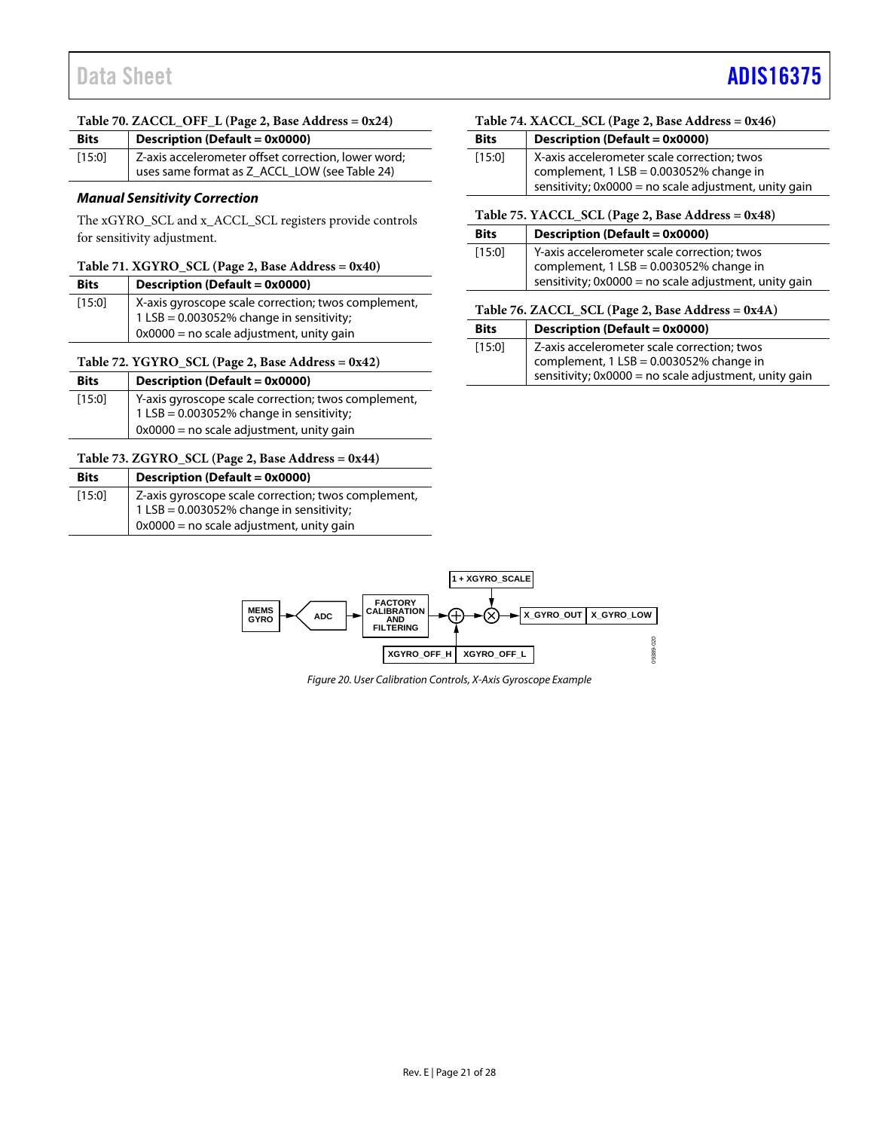#### <span id="page-20-0"></span>**Table 70. ZACCL\_OFF\_L (Page 2, Base Address = 0x24)**

| <b>Bits</b> | <b>Description (Default = 0x0000)</b>                                                                |  |  |
|-------------|------------------------------------------------------------------------------------------------------|--|--|
| [15:0]      | Z-axis accelerometer offset correction, lower word;<br>uses same format as Z_ACCL_LOW (see Table 24) |  |  |

#### *Manual Sensitivity Correction*

The xGYRO\_SCL and x\_ACCL\_SCL registers provide controls for sensitivity adjustment.

#### <span id="page-20-1"></span>**Table 71. XGYRO\_SCL (Page 2, Base Address = 0x40)**

| <b>Bits</b> | Description (Default = 0x0000)                      |
|-------------|-----------------------------------------------------|
| [15:0]      | X-axis gyroscope scale correction; twos complement, |
|             | 1 LSB = 0.003052% change in sensitivity;            |
|             | $0x0000$ = no scale adjustment, unity gain          |

#### <span id="page-20-2"></span>**Table 72. YGYRO\_SCL (Page 2, Base Address = 0x42)**

| <b>Bits</b> | Description (Default = 0x0000)                      |  |  |
|-------------|-----------------------------------------------------|--|--|
| [15:0]      | Y-axis gyroscope scale correction; twos complement, |  |  |
|             | 1 LSB = 0.003052% change in sensitivity;            |  |  |
|             | $0x0000$ = no scale adjustment, unity gain          |  |  |

#### <span id="page-20-3"></span>**Table 73. ZGYRO\_SCL (Page 2, Base Address = 0x44)**

| <b>Bits</b> | Description (Default = 0x0000)                                                                     |  |  |  |
|-------------|----------------------------------------------------------------------------------------------------|--|--|--|
| [15:0]      | Z-axis gyroscope scale correction; twos complement,<br>1 LSB = $0.003052\%$ change in sensitivity; |  |  |  |
|             | $0x0000$ = no scale adjustment, unity gain                                                         |  |  |  |

#### <span id="page-20-4"></span>**Table 74. XACCL\_SCL (Page 2, Base Address = 0x46)**

| <b>Bits</b> | Description (Default = 0x0000)                                                                                                                    |
|-------------|---------------------------------------------------------------------------------------------------------------------------------------------------|
| [15:0]      | X-axis accelerometer scale correction; twos<br>complement, $1$ LSB = 0.003052% change in<br>sensitivity; 0x0000 = no scale adjustment, unity gain |

#### <span id="page-20-5"></span>**Table 75. YACCL\_SCL (Page 2, Base Address = 0x48)**

| <b>Bits</b> | Description (Default = 0x0000)                                                                                                                  |  |  |  |
|-------------|-------------------------------------------------------------------------------------------------------------------------------------------------|--|--|--|
| $[15:0]$    | Y-axis accelerometer scale correction; twos<br>complement, 1 LSB = 0.003052% change in<br>sensitivity; 0x0000 = no scale adjustment, unity gain |  |  |  |

#### <span id="page-20-6"></span>**Table 76. ZACCL\_SCL (Page 2, Base Address = 0x4A)**

| <b>Bits</b> | Description (Default = 0x0000)                                                                                                                  |
|-------------|-------------------------------------------------------------------------------------------------------------------------------------------------|
| [15:0]      | Z-axis accelerometer scale correction; twos<br>complement, 1 LSB = 0.003052% change in<br>sensitivity; 0x0000 = no scale adjustment, unity gain |

<span id="page-20-7"></span>

*Figure 20. User Calibration Controls, X-Axis Gyroscope Example*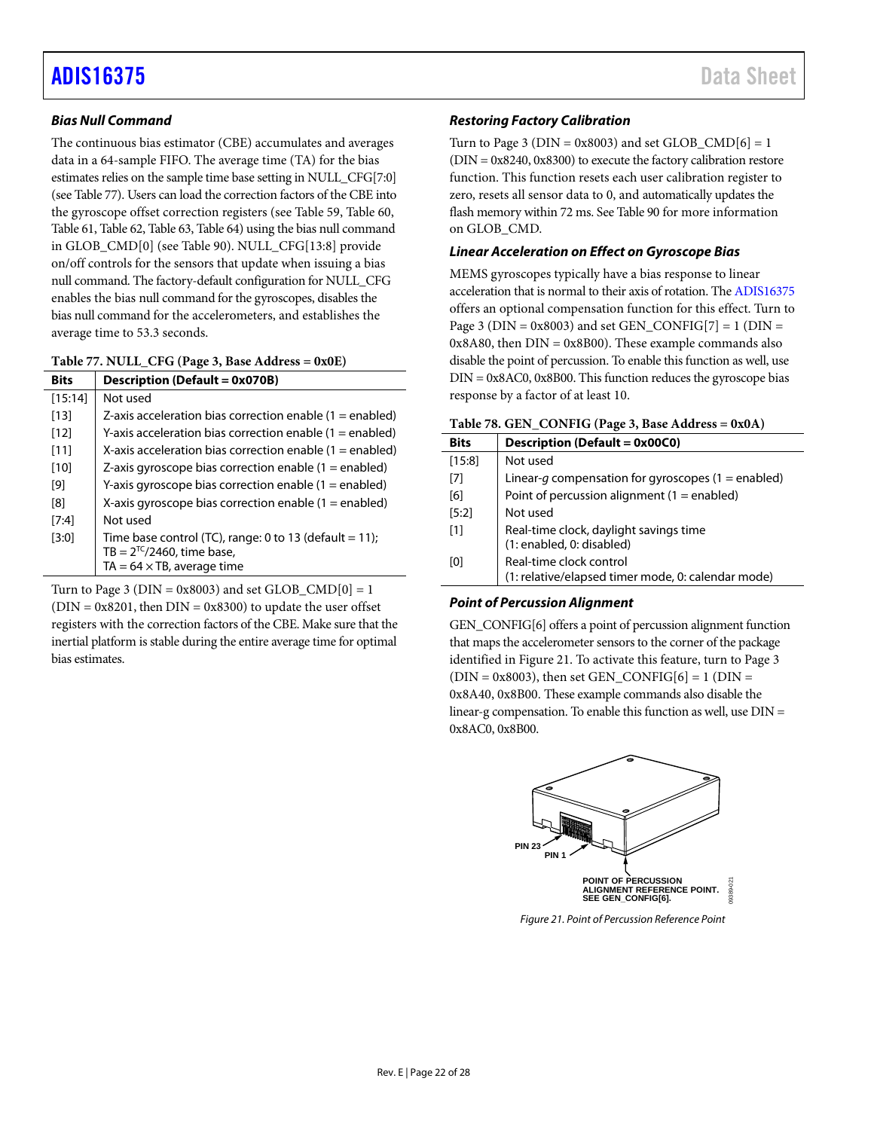# *Bias Null Command*

The continuous bias estimator (CBE) accumulates and averages data in a 64-sample FIFO. The average time (TA) for the bias estimates relies on the sample time base setting in NULL\_CFG[7:0] (see [Table 77\)](#page-21-1). Users can load the correction factors of the CBE into the gyroscope offset correction registers (se[e Table 59,](#page-19-2) [Table 60,](#page-19-4) [Table 61,](#page-19-6) [Table 62,](#page-19-1) [Table 63,](#page-19-3) [Table 64\)](#page-19-5) using the bias null command in GLOB\_CMD[0] (se[e Table 90\)](#page-23-5). NULL\_CFG[13:8] provide on/off controls for the sensors that update when issuing a bias null command. The factory-default configuration for NULL\_CFG enables the bias null command for the gyroscopes, disables the bias null command for the accelerometers, and establishes the average time to 53.3 seconds.

<span id="page-21-1"></span>

|  |  | Table 77. NULL_CFG (Page 3, Base Address = 0x0E) |
|--|--|--------------------------------------------------|
|--|--|--------------------------------------------------|

| <b>Bits</b> | <b>Description (Default = 0x070B)</b>                      |  |  |  |
|-------------|------------------------------------------------------------|--|--|--|
| [15:14]     | Not used                                                   |  |  |  |
| [13]        | Z-axis acceleration bias correction enable $(1 =$ enabled) |  |  |  |
| [12]        | Y-axis acceleration bias correction enable $(1 =$ enabled) |  |  |  |
| [11]        | X-axis acceleration bias correction enable $(1 =$ enabled) |  |  |  |
| [10]        | Z-axis gyroscope bias correction enable $(1 =$ enabled)    |  |  |  |
| [9]         | Y-axis gyroscope bias correction enable $(1 =$ enabled)    |  |  |  |
| [8]         | X-axis gyroscope bias correction enable $(1 =$ enabled)    |  |  |  |
| [7:4]       | Not used                                                   |  |  |  |
| [3:0]       | Time base control (TC), range: 0 to 13 (default = 11);     |  |  |  |
|             | TB = $2^{TC}/2460$ , time base,                            |  |  |  |
|             | TA = $64 \times$ TB, average time                          |  |  |  |

Turn to Page 3 ( $DIN = 0x8003$ ) and set  $GLOB\_CMD[0] = 1$  $(DIN = 0x8201,$  then  $DIN = 0x8300)$  to update the user offset registers with the correction factors of the CBE. Make sure that the inertial platform is stable during the entire average time for optimal bias estimates.

## *Restoring Factory Calibration*

Turn to Page 3 ( $DIN = 0x8003$ ) and set  $GLOB\_CMD[6] = 1$ (DIN = 0x8240, 0x8300) to execute the factory calibration restore function. This function resets each user calibration register to zero, resets all sensor data to 0, and automatically updates the flash memory within 72 ms. Se[e Table 90](#page-23-5) for more information on GLOB\_CMD.

### *Linear Acceleration on Effect on Gyroscope Bias*

MEMS gyroscopes typically have a bias response to linear acceleration that is normal to their axis of rotation. Th[e ADIS16375](https://www.analog.com/ADIS16375) offers an optional compensation function for this effect. Turn to Page 3 ( $DIN = 0x8003$ ) and set GEN\_CONFIG[7] = 1 ( $DIN =$  $0x8A80$ , then  $DIN = 0x8B00$ ). These example commands also disable the point of percussion. To enable this function as well, use  $DIN = 0x8AC0, 0x8B00$ . This function reduces the gyroscope bias response by a factor of at least 10.

<span id="page-21-0"></span>

|  |  |  | Table 78. GEN_CONFIG (Page 3, Base Address = 0x0A) |  |
|--|--|--|----------------------------------------------------|--|
|--|--|--|----------------------------------------------------|--|

| <b>Bits</b> | <b>Description (Default = 0x00C0)</b>                                         |
|-------------|-------------------------------------------------------------------------------|
| [15:8]      | Not used                                                                      |
| [7]         | Linear-q compensation for gyroscopes (1 = enabled)                            |
| [6]         | Point of percussion alignment ( $1 =$ enabled)                                |
| [5:2]       | Not used                                                                      |
| [1]         | Real-time clock, daylight savings time<br>(1: enabled, 0: disabled)           |
| [0]         | Real-time clock control<br>(1: relative/elapsed timer mode, 0: calendar mode) |

### *Point of Percussion Alignment*

GEN\_CONFIG[6] offers a point of percussion alignment function that maps the accelerometer sensors to the corner of the package identified in [Figure 21.](#page-21-2) To activate this feature, turn to Page 3  $(DIN = 0x8003)$ , then set GEN\_CONFIG[6] = 1 (DIN = 0x8A40, 0x8B00. These example commands also disable the linear-g compensation. To enable this function as well, use  $DIN =$ 0x8AC0, 0x8B00.



<span id="page-21-2"></span>*Figure 21. Point of Percussion Reference Point*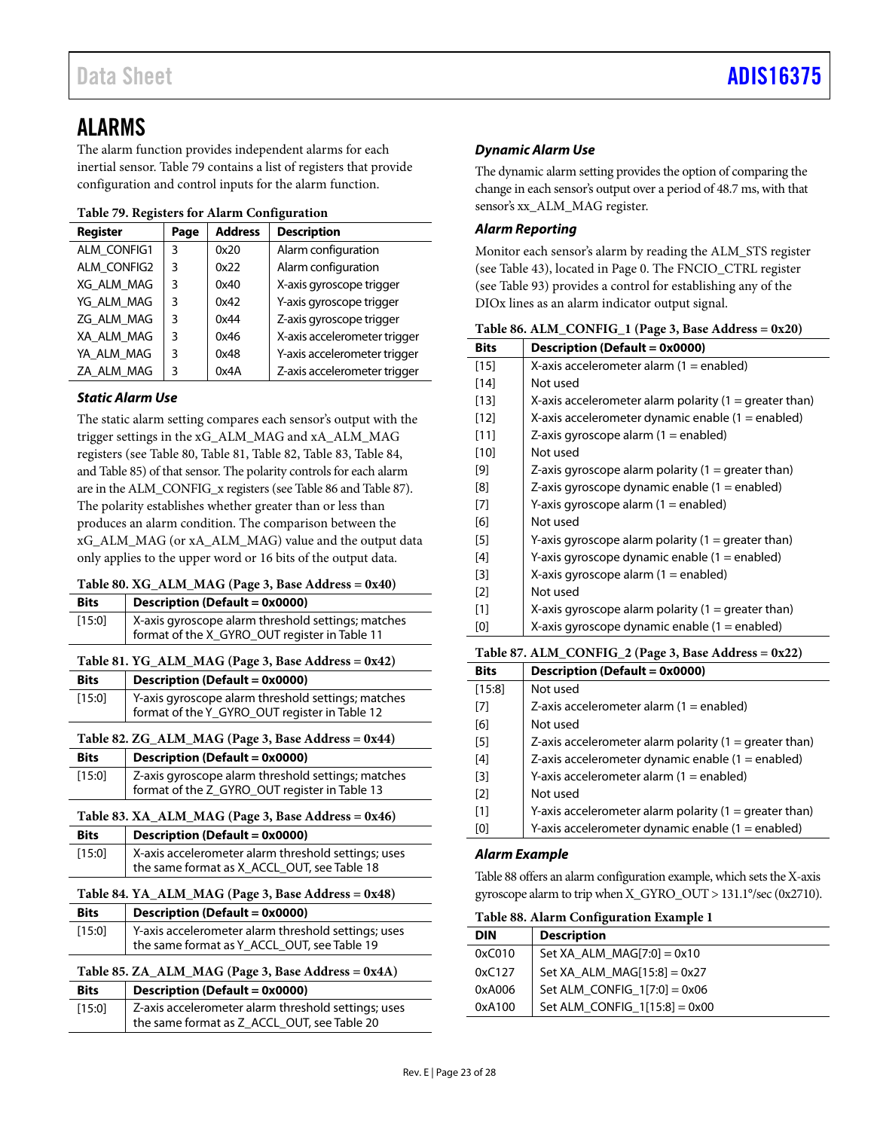# <span id="page-22-0"></span>ALARMS

The alarm function provides independent alarms for each inertial sensor. [Table 79](#page-22-9) contains a list of registers that provide configuration and control inputs for the alarm function.

### <span id="page-22-9"></span>**Table 79. Registers for Alarm Configuration**

| <b>Register</b> | Page | <b>Address</b> | <b>Description</b>           |
|-----------------|------|----------------|------------------------------|
| ALM CONFIG1     | 3    | 0x20           | Alarm configuration          |
| ALM CONFIG2     | 3    | 0x22           | Alarm configuration          |
| XG ALM MAG      | 3    | 0x40           | X-axis gyroscope trigger     |
| YG ALM MAG      | 3    | 0x42           | Y-axis gyroscope trigger     |
| ZG ALM MAG      | ٦    | 0x44           | Z-axis gyroscope trigger     |
| XA ALM MAG      | ٦    | 0x46           | X-axis accelerometer trigger |
| YA ALM MAG      | ξ    | 0x48           | Y-axis accelerometer trigger |
| ZA ALM MAG      | 3    | 0x4A           | Z-axis accelerometer trigger |

# *Static Alarm Use*

The static alarm setting compares each sensor's output with the trigger settings in the xG\_ALM\_MAG and xA\_ALM\_MAG registers (see [Table 80,](#page-22-3) [Table 81,](#page-22-4) [Table 82,](#page-22-5) [Table 83,](#page-22-6) [Table 84,](#page-22-7) an[d Table 85\)](#page-22-8) of that sensor. The polarity controls for each alarm are in the ALM\_CONFIG\_x registers (se[e Table 86](#page-22-1) an[d Table 87\)](#page-22-2). The polarity establishes whether greater than or less than produces an alarm condition. The comparison between the xG\_ALM\_MAG (or xA\_ALM\_MAG) value and the output data only applies to the upper word or 16 bits of the output data.

# <span id="page-22-3"></span>**Table 80. XG\_ALM\_MAG (Page 3, Base Address = 0x40)**

<span id="page-22-6"></span><span id="page-22-5"></span><span id="page-22-4"></span>

| <b>Bits</b> | <b>Description (Default = 0x0000)</b>               |
|-------------|-----------------------------------------------------|
| $[15:0]$    | X-axis gyroscope alarm threshold settings; matches  |
|             | format of the X_GYRO_OUT register in Table 11       |
|             | Table 81. YG_ALM_MAG (Page 3, Base Address = 0x42)  |
| <b>Bits</b> | <b>Description (Default = 0x0000)</b>               |
| [15:0]      | Y-axis gyroscope alarm threshold settings; matches  |
|             | format of the Y_GYRO_OUT register in Table 12       |
|             | Table 82. ZG_ALM_MAG (Page 3, Base Address = 0x44)  |
| <b>Bits</b> | <b>Description (Default = 0x0000)</b>               |
| $[15:0]$    | Z-axis gyroscope alarm threshold settings; matches  |
|             | format of the Z_GYRO_OUT register in Table 13       |
|             | Table 83. XA_ALM_MAG (Page 3, Base Address = 0x46)  |
| <b>Bits</b> | Description (Default = 0x0000)                      |
| [15:0]      | X-axis accelerometer alarm threshold settings; uses |
|             | the same format as X_ACCL_OUT, see Table 18         |
|             | Table 84. YA_ALM_MAG (Page 3, Base Address = 0x48)  |
| <b>Bits</b> | <b>Description (Default = 0x0000)</b>               |
| [15:0]      | Y-axis accelerometer alarm threshold settings; uses |
|             | the same format as Y_ACCL_OUT, see Table 19         |
|             |                                                     |
|             | Table 85. ZA_ALM_MAG (Page 3, Base Address = 0x4A)  |
| <b>Bits</b> | <b>Description (Default = 0x0000)</b>               |

<span id="page-22-8"></span><span id="page-22-7"></span>the same format as Z\_ACCL\_OUT, se[e Table 20](#page-14-8)

# *Dynamic Alarm Use*

The dynamic alarm setting provides the option of comparing the change in each sensor's output over a period of 48.7 ms, with that sensor's xx\_ALM\_MAG register.

# *Alarm Reporting*

Monitor each sensor's alarm by reading the ALM\_STS register (see [Table 43\)](#page-16-2), located in Page 0. The FNCIO\_CTRL register (see [Table 93\)](#page-24-2) provides a control for establishing any of the DIOx lines as an alarm indicator output signal.

<span id="page-22-1"></span>

| DILS   | Description (Delault = 0x0000)                           |
|--------|----------------------------------------------------------|
| $[15]$ | X-axis accelerometer alarm $(1 =$ enabled)               |
| [14]   | Not used                                                 |
| [13]   | X-axis accelerometer alarm polarity $(1 =$ greater than) |
| [12]   | X-axis accelerometer dynamic enable $(1 =$ enabled)      |
| [11]   | Z-axis gyroscope alarm $(1 =$ enabled)                   |
| [10]   | Not used                                                 |
| [9]    | Z-axis gyroscope alarm polarity $(1 =$ greater than)     |
| [8]    | Z-axis gyroscope dynamic enable $(1 =$ enabled)          |
| $[7]$  | Y-axis gyroscope alarm $(1 =$ enabled)                   |
| [6]    | Not used                                                 |
| [5]    | Y-axis gyroscope alarm polarity $(1 =$ greater than)     |
| [4]    | Y-axis gyroscope dynamic enable $(1 =$ enabled)          |
| [3]    | X-axis gyroscope alarm $(1 =$ enabled)                   |
| $[2]$  | Not used                                                 |
| [1]    | X-axis gyroscope alarm polarity $(1 =$ greater than)     |
| [0]    | X-axis gyroscope dynamic enable $(1 =$ enabled)          |
|        |                                                          |

# <span id="page-22-2"></span>**Table 87. ALM\_CONFIG\_2 (Page 3, Base Address = 0x22)**

| <b>Bits</b>       | <b>Description (Default = 0x0000)</b>                    |
|-------------------|----------------------------------------------------------|
| [15:8]            | Not used                                                 |
| [7]               | Z-axis accelerometer alarm $(1 =$ enabled)               |
| [6]               | Not used                                                 |
| [5]               | Z-axis accelerometer alarm polarity $(1 =$ greater than) |
| [4]               | Z-axis accelerometer dynamic enable $(1 =$ enabled)      |
| [3]               | Y-axis accelerometer alarm $(1 =$ enabled)               |
| $\lceil 2 \rceil$ | Not used                                                 |
| [1]               | Y-axis accelerometer alarm polarity $(1 =$ greater than) |
| [0]               | Y-axis accelerometer dynamic enable $(1 =$ enabled)      |

# *Alarm Example*

[Table 88](#page-22-10) offers an alarm configuration example, which sets the X-axis gyroscope alarm to trip when X\_GYRO\_OUT > 131.1°/sec (0x2710).

<span id="page-22-10"></span>

| Table 88. Alarm Configuration Example 1 |                                 |  |  |
|-----------------------------------------|---------------------------------|--|--|
| <b>DIN</b>                              | <b>Description</b>              |  |  |
| 0xC010                                  | Set XA ALM MAG[7:0] = $0x10$    |  |  |
| 0xC127                                  | Set XA ALM MAG[15:8] = $0x27$   |  |  |
| 0xA006                                  | Set ALM CONFIG $1[7:0] = 0x06$  |  |  |
| 0xA100                                  | Set ALM CONFIG $1[15:8] = 0x00$ |  |  |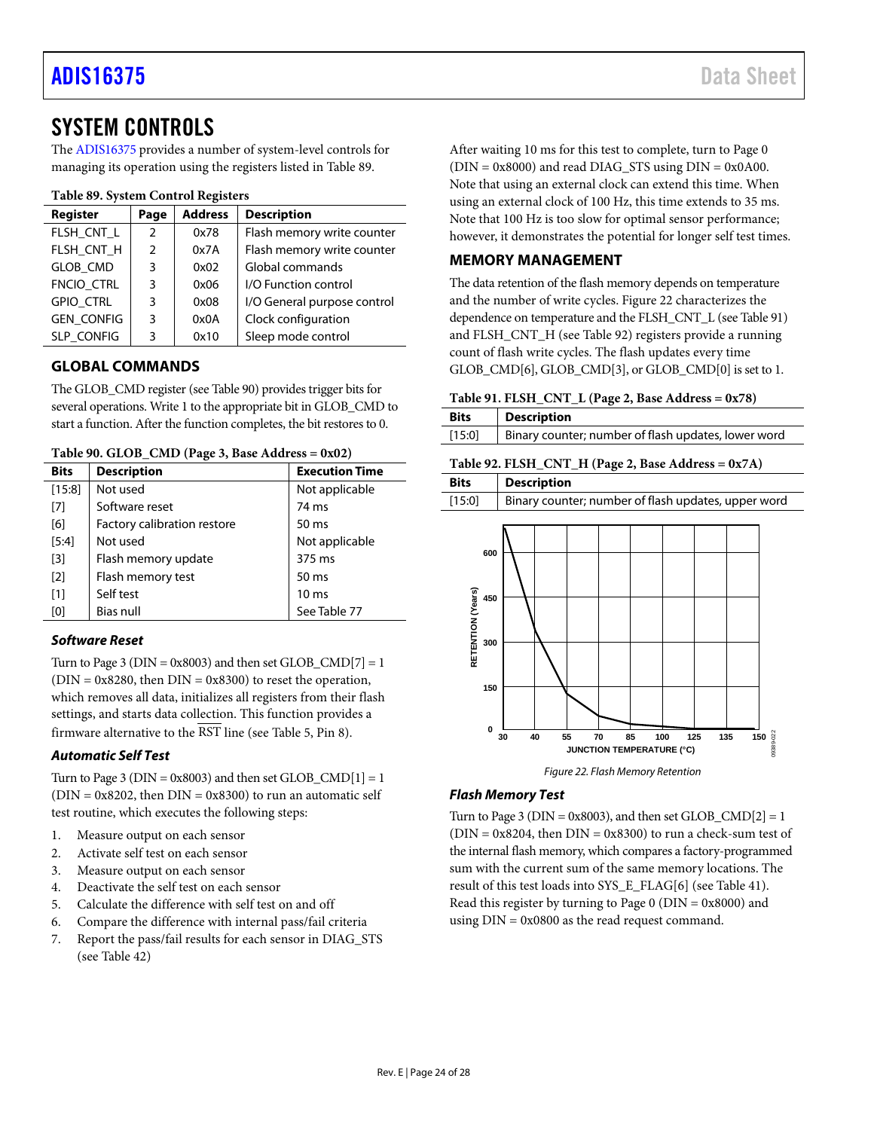# <span id="page-23-0"></span>SYSTEM CONTROLS

The [ADIS16375](https://www.analog.com/ADIS16375) provides a number of system-level controls for managing its operation using the registers listed in [Table 89.](#page-23-6)

### <span id="page-23-6"></span>**Table 89. System Control Registers**

| Register          | Page           | <b>Address</b> | <b>Description</b>          |
|-------------------|----------------|----------------|-----------------------------|
| FLSH CNT L        | $\overline{2}$ | 0x78           | Flash memory write counter  |
| FLSH_CNT_H        | $\mathcal{P}$  | 0x7A           | Flash memory write counter  |
| <b>GLOB CMD</b>   | 3              | 0x02           | Global commands             |
| FNCIO_CTRL        | 3              | 0x06           | I/O Function control        |
| <b>GPIO CTRL</b>  | 3              | 0x08           | I/O General purpose control |
| <b>GEN_CONFIG</b> | 3              | 0x0A           | Clock configuration         |
| <b>SLP CONFIG</b> | 3              | 0x10           | Sleep mode control          |

# <span id="page-23-1"></span>**GLOBAL COMMANDS**

The GLOB\_CMD register (se[e Table 90\)](#page-23-5) provides trigger bits for several operations. Write 1 to the appropriate bit in GLOB\_CMD to start a function. After the function completes, the bit restores to 0.

<span id="page-23-5"></span>**Table 90. GLOB\_CMD (Page 3, Base Address = 0x02)**

| <b>Bits</b>       | <b>Description</b>          | <b>Execution Time</b> |
|-------------------|-----------------------------|-----------------------|
| [15:8]            | Not used                    | Not applicable        |
| [7]               | Software reset              | 74 ms                 |
| [6]               | Factory calibration restore | 50 ms                 |
| $[5:4]$           | Not used                    | Not applicable        |
| [3]               | Flash memory update         | 375 ms                |
| $\lceil 2 \rceil$ | Flash memory test           | $50 \text{ ms}$       |
| [1]               | Self test                   | 10 <sub>ms</sub>      |
| [0]               | Bias null                   | See Table 77          |

# *Software Reset*

Turn to Page 3 ( $DIN = 0x8003$ ) and then set GLOB  $\text{CMD}[7] = 1$  $(DIN = 0x8280,$  then  $DIN = 0x8300$  to reset the operation, which removes all data, initializes all registers from their flash settings, and starts data collection. This function provides a firmware alternative to the  $\overline{\text{RST}}$  line (se[e Table 5,](#page-7-1) Pin 8).

### *Automatic Self Test*

Turn to Page 3 ( $DIN = 0x8003$ ) and then set  $GLOB\_CMD[1] = 1$  $(DIN = 0x8202$ , then  $DIN = 0x8300$  to run an automatic self test routine, which executes the following steps:

- 1. Measure output on each sensor
- 2. Activate self test on each sensor
- 3. Measure output on each sensor
- 4. Deactivate the self test on each sensor
- 5. Calculate the difference with self test on and off
- 6. Compare the difference with internal pass/fail criteria
- 7. Report the pass/fail results for each sensor in DIAG\_STS (see [Table 42\)](#page-16-1)

After waiting 10 ms for this test to complete, turn to Page 0  $(DIN = 0x8000)$  and read DIAG\_STS using  $DIN = 0x0A00$ . Note that using an external clock can extend this time. When using an external clock of 100 Hz, this time extends to 35 ms. Note that 100 Hz is too slow for optimal sensor performance; however, it demonstrates the potential for longer self test times.

# <span id="page-23-2"></span>**MEMORY MANAGEMENT**

The data retention of the flash memory depends on temperature and the number of write cycles. [Figure 22](#page-23-7) characterizes the dependence on temperature and the FLSH\_CNT\_L (se[e Table 91\)](#page-23-3) and FLSH\_CNT\_H (se[e Table 92\)](#page-23-4) registers provide a running count of flash write cycles. The flash updates every time GLOB\_CMD[6], GLOB\_CMD[3], or GLOB\_CMD[0] is set to 1.

<span id="page-23-3"></span>

|  |  | Table 91. FLSH_CNT_L (Page 2, Base Address = $0x78$ ) |  |
|--|--|-------------------------------------------------------|--|
|  |  |                                                       |  |

| <b>Bits</b> | <b>Description</b>                                  |
|-------------|-----------------------------------------------------|
| [15:0]      | Binary counter; number of flash updates, lower word |
|             |                                                     |

<span id="page-23-4"></span>

|                                               | Table 92. FLSH_CNT_H (Page 2, Base Address = 0x7A)     |
|-----------------------------------------------|--------------------------------------------------------|
| <b>Bits</b>                                   | <b>Description</b>                                     |
| [15:0]                                        | Binary counter; number of flash updates, upper word    |
| 600<br>RETENTION (Years)<br>450<br>300<br>150 |                                                        |
| 0                                             | 150<br>55<br>135<br>30<br>40<br>70<br>85<br>100<br>125 |
|                                               | 09389-022<br>JUNCTION TEMPERATURE (°C)                 |
|                                               |                                                        |

*Figure 22. Flash Memory Retention*

# <span id="page-23-7"></span>*Flash Memory Test*

Turn to Page 3 ( $DIN = 0x8003$ ), and then set  $GLOB\_CMD[2] = 1$  $(DIN = 0x8204$ , then  $DIN = 0x8300$  to run a check-sum test of the internal flash memory, which compares a factory-programmed sum with the current sum of the same memory locations. The result of this test loads into SYS\_E\_FLAG[6] (see [Table 41\)](#page-16-0). Read this register by turning to Page  $0$  (DIN = 0x8000) and using DIN = 0x0800 as the read request command.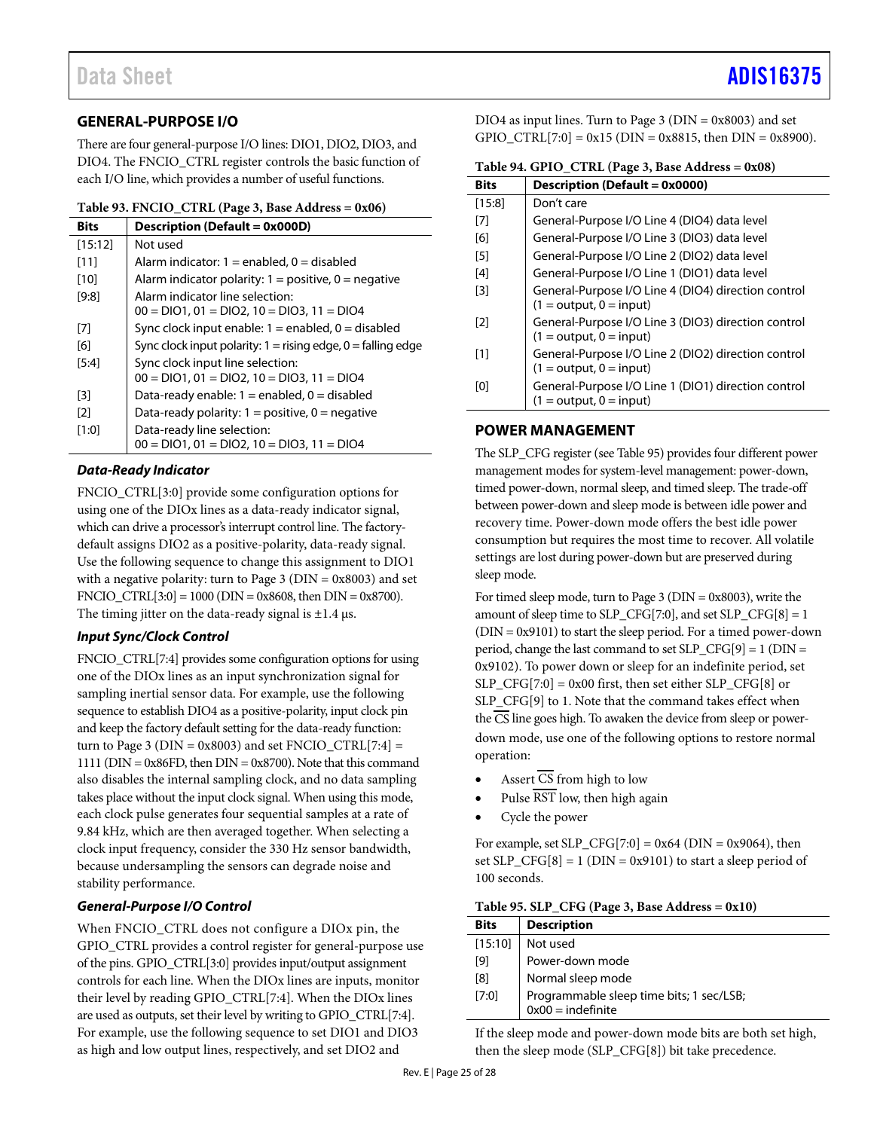# <span id="page-24-0"></span>**GENERAL-PURPOSE I/O**

There are four general-purpose I/O lines: DIO1, DIO2, DIO3, and DIO4. The FNCIO\_CTRL register controls the basic function of each I/O line, which provides a number of useful functions.

<span id="page-24-2"></span>

|  |  | Table 93. FNCIO_CTRL (Page 3, Base Address = 0x06) |
|--|--|----------------------------------------------------|
|--|--|----------------------------------------------------|

| <b>Bits</b>       | <b>Description (Default = 0x000D)</b>                            |
|-------------------|------------------------------------------------------------------|
| [15:12]           | Not used                                                         |
| [11]              | Alarm indicator: $1 =$ enabled, $0 =$ disabled                   |
| [10]              | Alarm indicator polarity: $1 =$ positive, $0 =$ negative         |
| [9:8]             | Alarm indicator line selection:                                  |
|                   | $00 = DIO1$ , $01 = DIO2$ , $10 = DIO3$ , $11 = DIO4$            |
| [7]               | Sync clock input enable: $1 =$ enabled, $0 =$ disabled           |
| [6]               | Sync clock input polarity: $1 =$ rising edge, $0 =$ falling edge |
| [5:4]             | Sync clock input line selection:                                 |
|                   | $00 = DIO1$ , $01 = DIO2$ , $10 = DIO3$ , $11 = DIO4$            |
| [3]               | Data-ready enable: $1 =$ enabled, $0 =$ disabled                 |
| $\lceil 2 \rceil$ | Data-ready polarity: $1 =$ positive, $0 =$ negative              |
| [1:0]             | Data-ready line selection:                                       |
|                   | $00 = DIO1$ , $01 = DIO2$ , $10 = DIO3$ , $11 = DIO4$            |

## *Data-Ready Indicator*

FNCIO\_CTRL[3:0] provide some configuration options for using one of the DIOx lines as a data-ready indicator signal, which can drive a processor's interrupt control line. The factorydefault assigns DIO2 as a positive-polarity, data-ready signal. Use the following sequence to change this assignment to DIO1 with a negative polarity: turn to Page  $3$  (DIN = 0x8003) and set FNCIO\_CTRL $[3:0] = 1000$  (DIN = 0x8608, then DIN = 0x8700). The timing jitter on the data-ready signal is  $\pm 1.4$  µs.

# *Input Sync/Clock Control*

FNCIO\_CTRL[7:4] provides some configuration options for using one of the DIOx lines as an input synchronization signal for sampling inertial sensor data. For example, use the following sequence to establish DIO4 as a positive-polarity, input clock pin and keep the factory default setting for the data-ready function: turn to Page 3 ( $DIN = 0x8003$ ) and set  $FNCIO_CTRL[7:4] =$ 1111 ( $DIN = 0x86FD$ , then  $DIN = 0x8700$ ). Note that this command also disables the internal sampling clock, and no data sampling takes place without the input clock signal. When using this mode, each clock pulse generates four sequential samples at a rate of 9.84 kHz, which are then averaged together. When selecting a clock input frequency, consider the 330 Hz sensor bandwidth, because undersampling the sensors can degrade noise and stability performance.

# *General-Purpose I/O Control*

When FNCIO\_CTRL does not configure a DIOx pin, the GPIO\_CTRL provides a control register for general-purpose use of the pins. GPIO\_CTRL[3:0] provides input/output assignment controls for each line. When the DIOx lines are inputs, monitor their level by reading GPIO\_CTRL[7:4]. When the DIOx lines are used as outputs, set their level by writing to GPIO\_CTRL[7:4]. For example, use the following sequence to set DIO1 and DIO3 as high and low output lines, respectively, and set DIO2 and

DIO4 as input lines. Turn to Page  $3$  (DIN = 0x8003) and set GPIO\_CTRL[7:0] =  $0x15$  (DIN =  $0x8815$ , then DIN =  $0x8900$ ).

<span id="page-24-3"></span>

|  |  |  |  | Table 94. GPIO_CTRL (Page 3, Base Address = 0x08) |
|--|--|--|--|---------------------------------------------------|
|--|--|--|--|---------------------------------------------------|

| <b>Bits</b> | <b>Description (Default = 0x0000)</b>                                            |
|-------------|----------------------------------------------------------------------------------|
| [15:8]      | Don't care                                                                       |
| [7]         | General-Purpose I/O Line 4 (DIO4) data level                                     |
| [6]         | General-Purpose I/O Line 3 (DIO3) data level                                     |
| [5]         | General-Purpose I/O Line 2 (DIO2) data level                                     |
| [4]         | General-Purpose I/O Line 1 (DIO1) data level                                     |
| [3]         | General-Purpose I/O Line 4 (DIO4) direction control<br>$(1 = output, 0 = input)$ |
| [2]         | General-Purpose I/O Line 3 (DIO3) direction control<br>$(1 = output, 0 = input)$ |
| [1]         | General-Purpose I/O Line 2 (DIO2) direction control<br>$(1 = output, 0 = input)$ |
| [0]         | General-Purpose I/O Line 1 (DIO1) direction control<br>$(1 = output, 0 = input)$ |

# <span id="page-24-1"></span>**POWER MANAGEMENT**

The SLP\_CFG register (se[e Table 95\)](#page-24-4) provides four different power management modes for system-level management: power-down, timed power-down, normal sleep, and timed sleep. The trade-off between power-down and sleep mode is between idle power and recovery time. Power-down mode offers the best idle power consumption but requires the most time to recover. All volatile settings are lost during power-down but are preserved during sleep mode.

For timed sleep mode, turn to Page 3 (DIN = 0x8003), write the amount of sleep time to  $SLP_CFG[7:0]$ , and set  $SLP_CFG[8] = 1$ (DIN = 0x9101) to start the sleep period. For a timed power-down period, change the last command to set SLP\_CFG[9] = 1 (DIN = 0x9102). To power down or sleep for an indefinite period, set SLP\_CFG[7:0] = 0x00 first, then set either SLP\_CFG[8] or SLP\_CFG[9] to 1. Note that the command takes effect when the CS line goes high. To awaken the device from sleep or powerdown mode, use one of the following options to restore normal operation:

- Assert CS from high to low
- Pulse  $\overline{\text{RST}}$  low, then high again
- Cycle the power

For example, set SLP\_CFG[7:0] =  $0x64$  (DIN =  $0x9064$ ), then set  $SLP_CFG[8] = 1$  (DIN = 0x9101) to start a sleep period of 100 seconds.

<span id="page-24-4"></span>

| Table 95. SLP_CFG (Page 3, Base Address = 0x10) |  |  |  |  |
|-------------------------------------------------|--|--|--|--|
|-------------------------------------------------|--|--|--|--|

| <b>Bits</b> | <b>Description</b>                                              |
|-------------|-----------------------------------------------------------------|
| [15:10]     | Not used                                                        |
| [9]         | Power-down mode                                                 |
| [8]         | Normal sleep mode                                               |
| [7:0]       | Programmable sleep time bits; 1 sec/LSB;<br>$0x00 =$ indefinite |

If the sleep mode and power-down mode bits are both set high, then the sleep mode (SLP\_CFG[8]) bit take precedence.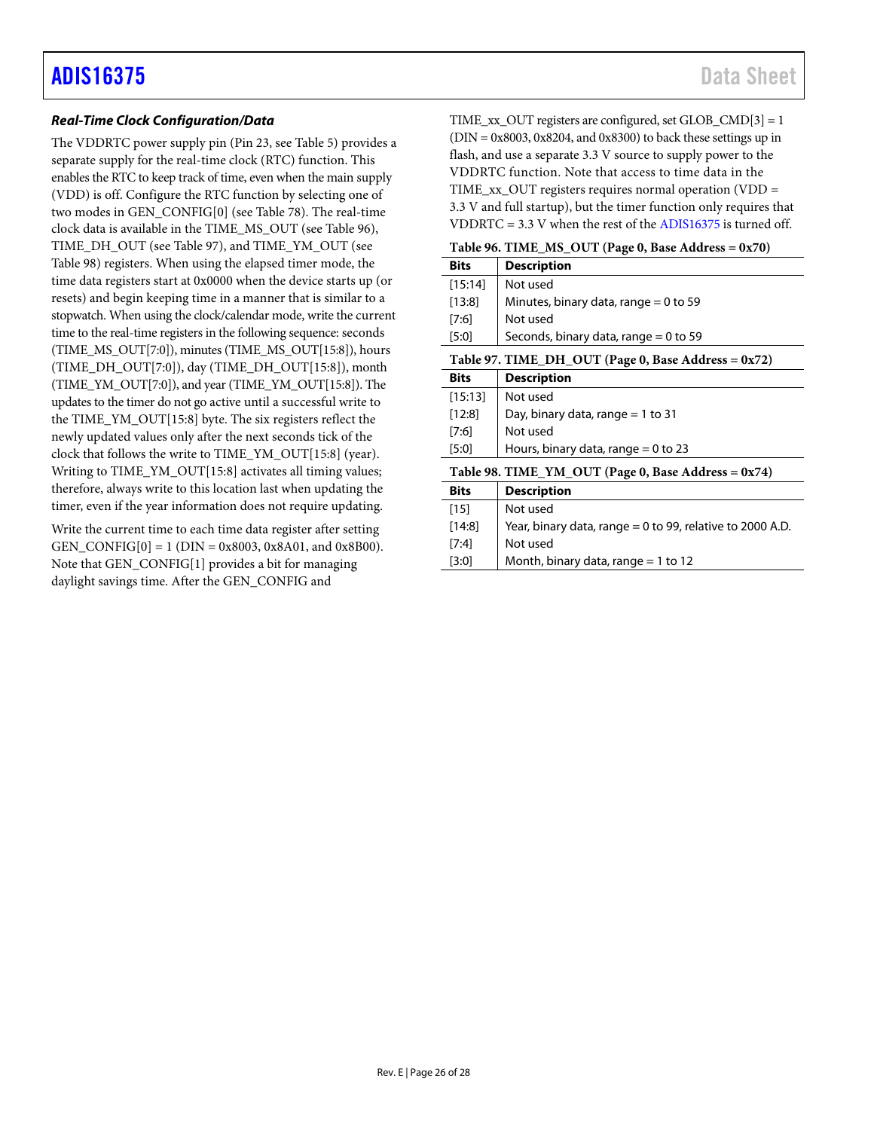# *Real-Time Clock Configuration/Data*

The VDDRTC power supply pin (Pin 23, see [Table 5\)](#page-7-1) provides a separate supply for the real-time clock (RTC) function. This enables the RTC to keep track of time, even when the main supply (VDD) is off. Configure the RTC function by selecting one of two modes in GEN\_CONFIG[0] (se[e Table 78\)](#page-21-0). The real-time clock data is available in the TIME\_MS\_OUT (se[e Table 96\)](#page-25-0), TIME\_DH\_OUT (see [Table 97\)](#page-25-1), and TIME\_YM\_OUT (see [Table 98\)](#page-25-2) registers. When using the elapsed timer mode, the time data registers start at 0x0000 when the device starts up (or resets) and begin keeping time in a manner that is similar to a stopwatch. When using the clock/calendar mode, write the current time to the real-time registers in the following sequence: seconds (TIME\_MS\_OUT[7:0]), minutes (TIME\_MS\_OUT[15:8]), hours (TIME\_DH\_OUT[7:0]), day (TIME\_DH\_OUT[15:8]), month (TIME\_YM\_OUT[7:0]), and year (TIME\_YM\_OUT[15:8]). The updates to the timer do not go active until a successful write to the TIME\_YM\_OUT[15:8] byte. The six registers reflect the newly updated values only after the next seconds tick of the clock that follows the write to TIME\_YM\_OUT[15:8] (year). Writing to TIME\_YM\_OUT[15:8] activates all timing values; therefore, always write to this location last when updating the timer, even if the year information does not require updating.

Write the current time to each time data register after setting GEN\_CONFIG $[0] = 1$  (DIN = 0x8003, 0x8A01, and 0x8B00). Note that GEN\_CONFIG[1] provides a bit for managing daylight savings time. After the GEN\_CONFIG and

TIME\_xx\_OUT registers are configured, set GLOB\_CMD[3] = 1  $(DIN = 0x8003, 0x8204, and 0x8300)$  to back these settings up in flash, and use a separate 3.3 V source to supply power to the VDDRTC function. Note that access to time data in the TIME\_xx\_OUT registers requires normal operation (VDD = 3.3 V and full startup), but the timer function only requires that VDDRTC = 3.3 V when the rest of th[e ADIS16375](https://www.analog.com/ADIS16375) is turned off.

<span id="page-25-0"></span>

| Table 96. TIME_MS_OUT (Page 0, Base Address = 0x70) |  |  |  |  |  |  |
|-----------------------------------------------------|--|--|--|--|--|--|
|-----------------------------------------------------|--|--|--|--|--|--|

<span id="page-25-2"></span><span id="page-25-1"></span>

| <b>Bits</b> | <b>Description</b>                                        |
|-------------|-----------------------------------------------------------|
| [15:14]     | Not used                                                  |
| $[13:8]$    | Minutes, binary data, range $= 0$ to 59                   |
| [7:6]       | Not used                                                  |
| [5:0]       | Seconds, binary data, range $= 0$ to 59                   |
|             | Table 97. TIME_DH_OUT (Page 0, Base Address = 0x72)       |
| <b>Bits</b> | <b>Description</b>                                        |
| [15:13]     | Not used                                                  |
| $[12:8]$    | Day, binary data, range $=$ 1 to 31                       |
| [7:6]       | Not used                                                  |
| [5:0]       | Hours, binary data, range $= 0$ to 23                     |
|             | Table 98. TIME_YM_OUT (Page 0, Base Address = 0x74)       |
| <b>Bits</b> | <b>Description</b>                                        |
| $[15]$      | Not used                                                  |
| $[14:8]$    | Year, binary data, range = 0 to 99, relative to 2000 A.D. |
| [7:4]       | Not used                                                  |
| [3:0]       | Month, binary data, range $=$ 1 to 12                     |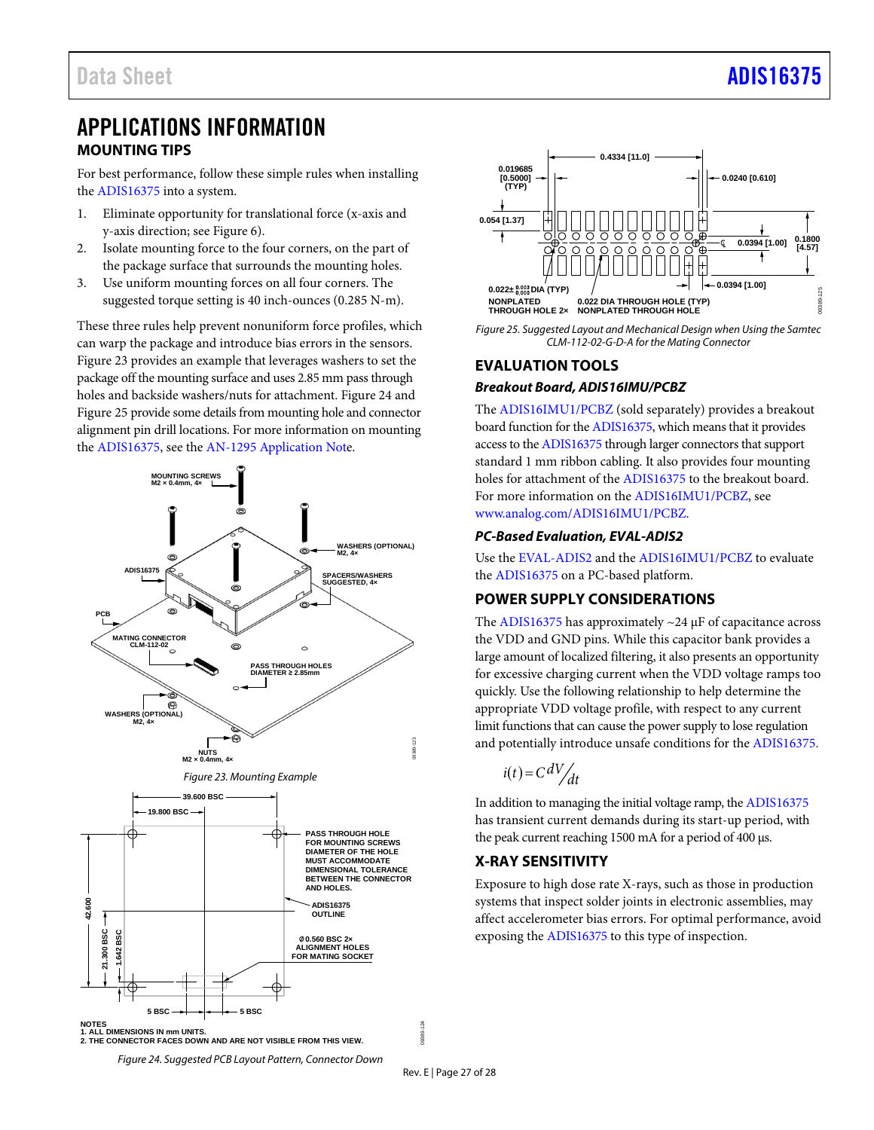# <span id="page-26-0"></span>APPLICATIONS INFORMATION **MOUNTING TIPS**

<span id="page-26-1"></span>For best performance, follow these simple rules when installing the [ADIS16375](https://www.analog.com/ADIS16375?doc=ADIS16375.pdf) into a system.

- 1. Eliminate opportunity for translational force (x-axis and y-axis direction; se[e Figure 6\)](#page-7-2).
- 2. Isolate mounting force to the four corners, on the part of the package surface that surrounds the mounting holes.
- 3. Use uniform mounting forces on all four corners. The suggested torque setting is 40 inch-ounces (0.285 N-m).

These three rules help prevent nonuniform force profiles, which can warp the package and introduce bias errors in the sensors. [Figure 23](#page-26-5) provides an example that leverages washers to set the package off the mounting surface and uses 2.85 mm pass through holes and backside washers/nuts for attachment. [Figure 24](#page-26-6) and [Figure 25](#page-26-7) provide some details from mounting hole and connector alignment pin drill locations. For more information on mounting the [ADIS16375,](https://www.analog.com/ADIS16375?doc=ADIS16375.pdf) see th[e AN-1295 Application Note.](https://www.analog.com/AN-1295?doc=ADIS16375.pdf)

<span id="page-26-5"></span>



<span id="page-26-7"></span>*Figure 25. Suggested Layout and Mechanical Design when Using the Samtec CLM-112-02-G-D-A for the Mating Connector*

# <span id="page-26-2"></span>**EVALUATION TOOLS** *Breakout Board, ADIS16IMU/PCBZ*

The [ADIS16IMU1/PCBZ](https://www.analog.com/ADIS16IMU1/PCBZ?doc=ADIS16375.pdf) (sold separately) provides a breakout board function for th[e ADIS16375,](https://www.analog.com/ADIS16375?doc=ADIS16375.pdf) which means that it provides access to th[e ADIS16375](https://www.analog.com/ADIS16375?doc=ADIS16375.pdf) through larger connectors that support standard 1 mm ribbon cabling. It also provides four mounting holes for attachment of th[e ADIS16375](https://www.analog.com/ADIS16375?doc=ADIS16375.pdf) to the breakout board. For more information on th[e ADIS16IMU1/PCBZ,](https://www.analog.com/ADIS16IMU1/PCBZ?doc=ADIS16375.pdf) see [www.analog.com/ADIS16IMU1/PCBZ.](https://www.analog.com/ADIS16IMU1/PCBZ?doc=ADIS16375.pdf) 

# *PC-Based Evaluation[, EVAL-ADIS2](http://www.analog.com/EVAL-ADIS2?doc=ADIS16485.pdf)*

Use th[e EVAL-ADIS2](https://www.analog.com/EVAL-ADIS2?doc=ADIS16375.pdf) and th[e ADIS16IMU1/PCBZ](https://www.analog.com/ADIS16IMU1/PCBZ?doc=ADIS16375.pdf) to evaluate the [ADIS16375](https://www.analog.com/ADIS16375?doc=ADIS16375.pdf) on a PC-based platform.

# <span id="page-26-3"></span>**POWER SUPPLY CONSIDERATIONS**

The [ADIS16375](https://www.analog.com/ADIS16375?doc=ADIS16375.pdf) has approximately  $\sim$ 24  $\mu$ F of capacitance across the VDD and GND pins. While this capacitor bank provides a large amount of localized filtering, it also presents an opportunity for excessive charging current when the VDD voltage ramps too quickly. Use the following relationship to help determine the appropriate VDD voltage profile, with respect to any current limit functions that can cause the power supply to lose regulation and potentially introduce unsafe conditions for th[e ADIS16375.](https://www.analog.com/ADIS16375?doc=ADIS16375.pdf) 

$$
i(t) = C \, \frac{dV}{dt}
$$

In addition to managing the initial voltage ramp, the [ADIS16375](https://www.analog.com/ADIS16375?doc=ADIS16375.pdf) has transient current demands during its start-up period, with the peak current reaching 1500 mA for a period of 400 μs.

# <span id="page-26-4"></span>**X-RAY SENSITIVITY**

<span id="page-26-6"></span>Exposure to high dose rate X-rays, such as those in production systems that inspect solder joints in electronic assemblies, may affect accelerometer bias errors. For optimal performance, avoid exposing th[e ADIS16375](https://www.analog.com/ADIS16475?doc=ADIS16475.pdf) to this type of inspection.